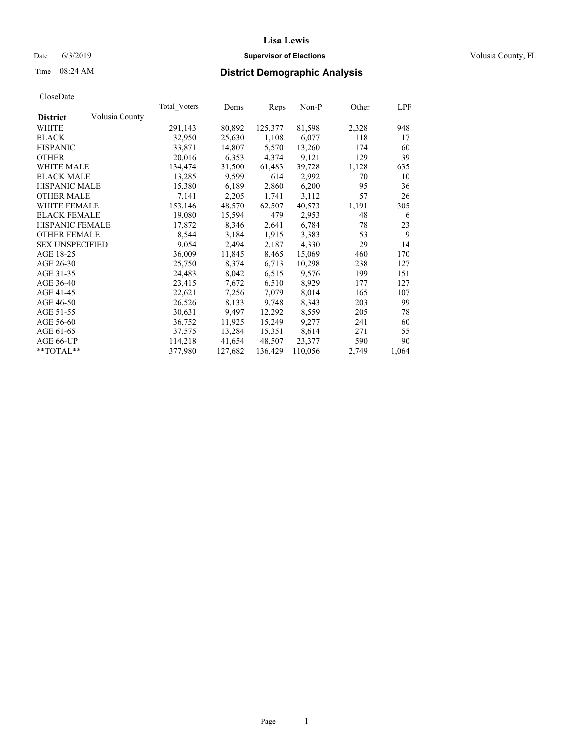#### Date 6/3/2019 **Supervisor of Elections Supervisor of Elections** Volusia County, FL

## Time 08:24 AM **District Demographic Analysis**

|                        |                | Total Voters | Dems    | Reps    | Non-P   | Other | LPF   |
|------------------------|----------------|--------------|---------|---------|---------|-------|-------|
| <b>District</b>        | Volusia County |              |         |         |         |       |       |
| WHITE                  |                | 291,143      | 80,892  | 125,377 | 81,598  | 2,328 | 948   |
| <b>BLACK</b>           |                | 32,950       | 25,630  | 1,108   | 6,077   | 118   | 17    |
| <b>HISPANIC</b>        |                | 33,871       | 14,807  | 5,570   | 13,260  | 174   | 60    |
| <b>OTHER</b>           |                | 20,016       | 6,353   | 4,374   | 9,121   | 129   | 39    |
| WHITE MALE             |                | 134,474      | 31,500  | 61,483  | 39,728  | 1,128 | 635   |
| <b>BLACK MALE</b>      |                | 13,285       | 9,599   | 614     | 2,992   | 70    | 10    |
| <b>HISPANIC MALE</b>   |                | 15,380       | 6,189   | 2,860   | 6,200   | 95    | 36    |
| <b>OTHER MALE</b>      |                | 7,141        | 2,205   | 1,741   | 3,112   | 57    | 26    |
| <b>WHITE FEMALE</b>    |                | 153,146      | 48,570  | 62,507  | 40,573  | 1,191 | 305   |
| <b>BLACK FEMALE</b>    |                | 19,080       | 15,594  | 479     | 2,953   | 48    | 6     |
| HISPANIC FEMALE        |                | 17,872       | 8,346   | 2,641   | 6,784   | 78    | 23    |
| <b>OTHER FEMALE</b>    |                | 8,544        | 3,184   | 1,915   | 3,383   | 53    | 9     |
| <b>SEX UNSPECIFIED</b> |                | 9,054        | 2,494   | 2,187   | 4,330   | 29    | 14    |
| AGE 18-25              |                | 36,009       | 11,845  | 8,465   | 15,069  | 460   | 170   |
| AGE 26-30              |                | 25,750       | 8,374   | 6,713   | 10,298  | 238   | 127   |
| AGE 31-35              |                | 24,483       | 8,042   | 6,515   | 9,576   | 199   | 151   |
| AGE 36-40              |                | 23,415       | 7,672   | 6,510   | 8,929   | 177   | 127   |
| AGE 41-45              |                | 22,621       | 7,256   | 7,079   | 8,014   | 165   | 107   |
| AGE 46-50              |                | 26,526       | 8,133   | 9,748   | 8,343   | 203   | 99    |
| AGE 51-55              |                | 30,631       | 9,497   | 12,292  | 8,559   | 205   | 78    |
| AGE 56-60              |                | 36,752       | 11,925  | 15,249  | 9,277   | 241   | 60    |
| AGE 61-65              |                | 37,575       | 13,284  | 15,351  | 8,614   | 271   | 55    |
| AGE 66-UP              |                | 114,218      | 41,654  | 48,507  | 23,377  | 590   | 90    |
| $*$ $TOTAL**$          |                | 377,980      | 127,682 | 136,429 | 110,056 | 2,749 | 1,064 |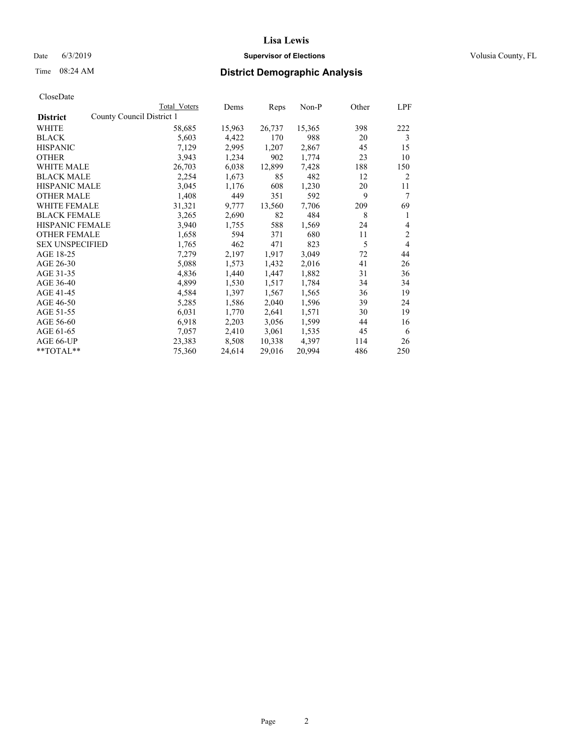## Date 6/3/2019 **Supervisor of Elections Supervisor of Elections** Volusia County, FL

| CloseDate |
|-----------|
|-----------|

|                                              | Total Voters | Dems   | Reps   | Non-P  | Other | LPF            |
|----------------------------------------------|--------------|--------|--------|--------|-------|----------------|
| County Council District 1<br><b>District</b> |              |        |        |        |       |                |
| WHITE                                        | 58,685       | 15,963 | 26,737 | 15,365 | 398   | 222            |
| <b>BLACK</b>                                 | 5,603        | 4,422  | 170    | 988    | 20    | 3              |
| <b>HISPANIC</b>                              | 7,129        | 2,995  | 1,207  | 2,867  | 45    | 15             |
| <b>OTHER</b>                                 | 3,943        | 1,234  | 902    | 1,774  | 23    | 10             |
| <b>WHITE MALE</b>                            | 26,703       | 6,038  | 12,899 | 7,428  | 188   | 150            |
| <b>BLACK MALE</b>                            | 2,254        | 1,673  | 85     | 482    | 12    | 2              |
| <b>HISPANIC MALE</b>                         | 3,045        | 1,176  | 608    | 1,230  | 20    | 11             |
| <b>OTHER MALE</b>                            | 1,408        | 449    | 351    | 592    | 9     | 7              |
| WHITE FEMALE                                 | 31,321       | 9,777  | 13,560 | 7,706  | 209   | 69             |
| <b>BLACK FEMALE</b>                          | 3,265        | 2,690  | 82     | 484    | 8     | 1              |
| <b>HISPANIC FEMALE</b>                       | 3,940        | 1,755  | 588    | 1,569  | 24    | 4              |
| <b>OTHER FEMALE</b>                          | 1,658        | 594    | 371    | 680    | 11    | $\overline{2}$ |
| <b>SEX UNSPECIFIED</b>                       | 1,765        | 462    | 471    | 823    | 5     | 4              |
| AGE 18-25                                    | 7,279        | 2,197  | 1,917  | 3,049  | 72    | 44             |
| AGE 26-30                                    | 5,088        | 1,573  | 1,432  | 2,016  | 41    | 26             |
| AGE 31-35                                    | 4,836        | 1,440  | 1,447  | 1,882  | 31    | 36             |
| AGE 36-40                                    | 4,899        | 1,530  | 1,517  | 1,784  | 34    | 34             |
| AGE 41-45                                    | 4,584        | 1,397  | 1,567  | 1,565  | 36    | 19             |
| AGE 46-50                                    | 5,285        | 1,586  | 2,040  | 1,596  | 39    | 24             |
| AGE 51-55                                    | 6,031        | 1,770  | 2,641  | 1,571  | 30    | 19             |
| AGE 56-60                                    | 6,918        | 2,203  | 3,056  | 1,599  | 44    | 16             |
| AGE 61-65                                    | 7,057        | 2,410  | 3,061  | 1,535  | 45    | 6              |
| AGE 66-UP                                    | 23,383       | 8,508  | 10,338 | 4,397  | 114   | 26             |
| $*$ $TOTAL**$                                | 75,360       | 24,614 | 29,016 | 20,994 | 486   | 250            |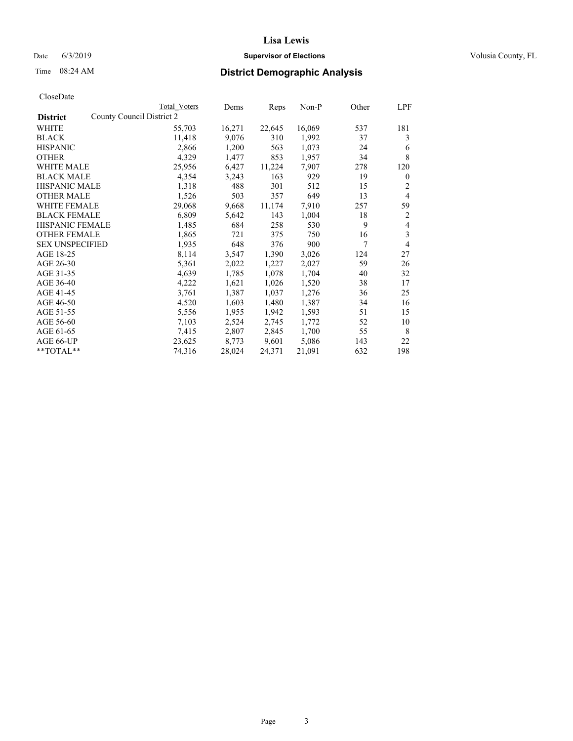## Date 6/3/2019 **Supervisor of Elections Supervisor of Elections** Volusia County, FL

| CloseDate |
|-----------|
|-----------|

|                                              | Total Voters | Dems   | Reps   | Non-P  | Other | LPF            |
|----------------------------------------------|--------------|--------|--------|--------|-------|----------------|
| County Council District 2<br><b>District</b> |              |        |        |        |       |                |
| WHITE                                        | 55,703       | 16,271 | 22,645 | 16,069 | 537   | 181            |
| <b>BLACK</b>                                 | 11,418       | 9,076  | 310    | 1,992  | 37    | 3              |
| <b>HISPANIC</b>                              | 2,866        | 1,200  | 563    | 1,073  | 24    | 6              |
| <b>OTHER</b>                                 | 4,329        | 1,477  | 853    | 1,957  | 34    | 8              |
| WHITE MALE                                   | 25,956       | 6,427  | 11,224 | 7,907  | 278   | 120            |
| <b>BLACK MALE</b>                            | 4,354        | 3,243  | 163    | 929    | 19    | $\mathbf{0}$   |
| <b>HISPANIC MALE</b>                         | 1,318        | 488    | 301    | 512    | 15    | 2              |
| <b>OTHER MALE</b>                            | 1,526        | 503    | 357    | 649    | 13    | $\overline{4}$ |
| <b>WHITE FEMALE</b>                          | 29,068       | 9,668  | 11,174 | 7,910  | 257   | 59             |
| <b>BLACK FEMALE</b>                          | 6,809        | 5,642  | 143    | 1,004  | 18    | 2              |
| <b>HISPANIC FEMALE</b>                       | 1,485        | 684    | 258    | 530    | 9     | 4              |
| <b>OTHER FEMALE</b>                          | 1,865        | 721    | 375    | 750    | 16    | 3              |
| <b>SEX UNSPECIFIED</b>                       | 1,935        | 648    | 376    | 900    | 7     | 4              |
| AGE 18-25                                    | 8,114        | 3,547  | 1,390  | 3,026  | 124   | 27             |
| AGE 26-30                                    | 5,361        | 2,022  | 1,227  | 2,027  | 59    | 26             |
| AGE 31-35                                    | 4,639        | 1,785  | 1,078  | 1,704  | 40    | 32             |
| AGE 36-40                                    | 4,222        | 1,621  | 1,026  | 1,520  | 38    | 17             |
| AGE 41-45                                    | 3,761        | 1,387  | 1,037  | 1,276  | 36    | 25             |
| AGE 46-50                                    | 4,520        | 1,603  | 1,480  | 1,387  | 34    | 16             |
| AGE 51-55                                    | 5,556        | 1,955  | 1,942  | 1,593  | 51    | 15             |
| AGE 56-60                                    | 7,103        | 2,524  | 2,745  | 1,772  | 52    | 10             |
| AGE 61-65                                    | 7,415        | 2,807  | 2,845  | 1,700  | 55    | 8              |
| AGE 66-UP                                    | 23,625       | 8,773  | 9,601  | 5,086  | 143   | 22             |
| $*$ $TOTAL**$                                | 74,316       | 28,024 | 24,371 | 21,091 | 632   | 198            |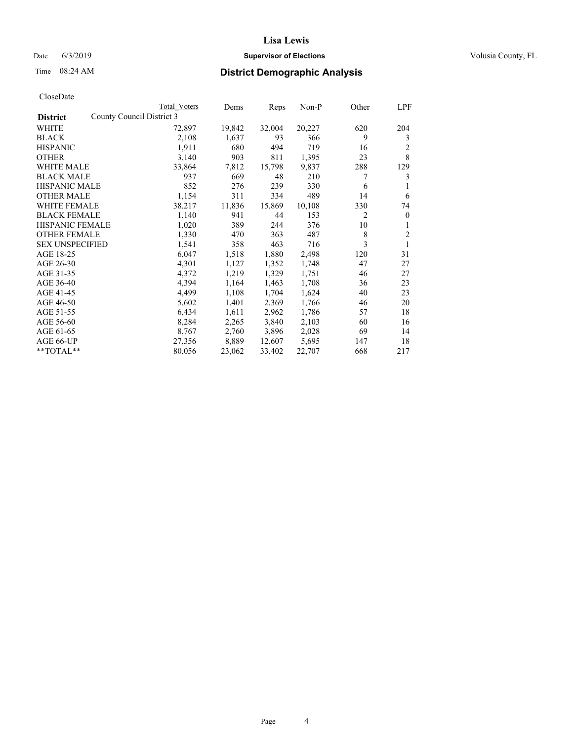#### Date 6/3/2019 **Supervisor of Elections Supervisor of Elections** Volusia County, FL

| CloseDate |
|-----------|
|-----------|

|                                              | Total Voters | Dems   | Reps   | Non-P  | Other          | LPF      |
|----------------------------------------------|--------------|--------|--------|--------|----------------|----------|
| County Council District 3<br><b>District</b> |              |        |        |        |                |          |
| WHITE                                        | 72,897       | 19,842 | 32,004 | 20,227 | 620            | 204      |
| <b>BLACK</b>                                 | 2,108        | 1,637  | 93     | 366    | 9              | 3        |
| <b>HISPANIC</b>                              | 1,911        | 680    | 494    | 719    | 16             | 2        |
| <b>OTHER</b>                                 | 3,140        | 903    | 811    | 1,395  | 23             | 8        |
| WHITE MALE                                   | 33,864       | 7,812  | 15,798 | 9,837  | 288            | 129      |
| <b>BLACK MALE</b>                            | 937          | 669    | 48     | 210    | 7              | 3        |
| <b>HISPANIC MALE</b>                         | 852          | 276    | 239    | 330    | 6              | 1        |
| <b>OTHER MALE</b>                            | 1,154        | 311    | 334    | 489    | 14             | 6        |
| <b>WHITE FEMALE</b>                          | 38,217       | 11,836 | 15,869 | 10,108 | 330            | 74       |
| <b>BLACK FEMALE</b>                          | 1,140        | 941    | 44     | 153    | $\overline{c}$ | $\theta$ |
| <b>HISPANIC FEMALE</b>                       | 1,020        | 389    | 244    | 376    | 10             | 1        |
| <b>OTHER FEMALE</b>                          | 1,330        | 470    | 363    | 487    | 8              | 2        |
| <b>SEX UNSPECIFIED</b>                       | 1,541        | 358    | 463    | 716    | 3              | 1        |
| AGE 18-25                                    | 6,047        | 1,518  | 1,880  | 2,498  | 120            | 31       |
| AGE 26-30                                    | 4,301        | 1,127  | 1,352  | 1,748  | 47             | 27       |
| AGE 31-35                                    | 4,372        | 1,219  | 1,329  | 1,751  | 46             | 27       |
| AGE 36-40                                    | 4,394        | 1,164  | 1,463  | 1,708  | 36             | 23       |
| AGE 41-45                                    | 4,499        | 1,108  | 1,704  | 1,624  | 40             | 23       |
| AGE 46-50                                    | 5,602        | 1,401  | 2,369  | 1,766  | 46             | 20       |
| AGE 51-55                                    | 6,434        | 1,611  | 2,962  | 1,786  | 57             | 18       |
| AGE 56-60                                    | 8,284        | 2,265  | 3,840  | 2,103  | 60             | 16       |
| AGE 61-65                                    | 8,767        | 2,760  | 3,896  | 2,028  | 69             | 14       |
| AGE 66-UP                                    | 27,356       | 8,889  | 12,607 | 5,695  | 147            | 18       |
| $*$ TOTAL $*$                                | 80,056       | 23,062 | 33,402 | 22,707 | 668            | 217      |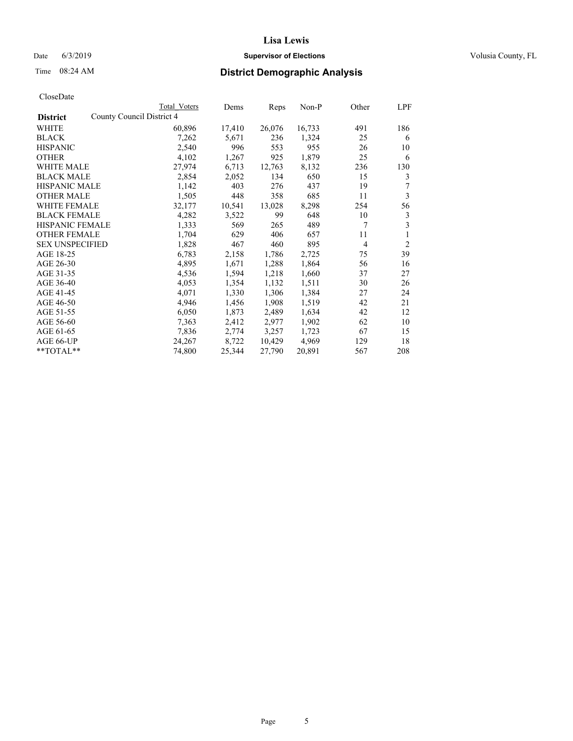#### Date 6/3/2019 **Supervisor of Elections Supervisor of Elections** Volusia County, FL

|                                              | Total Voters | Dems   | Reps   | Non-P  | Other | LPF            |
|----------------------------------------------|--------------|--------|--------|--------|-------|----------------|
| County Council District 4<br><b>District</b> |              |        |        |        |       |                |
| WHITE                                        | 60,896       | 17,410 | 26,076 | 16,733 | 491   | 186            |
| <b>BLACK</b>                                 | 7,262        | 5,671  | 236    | 1,324  | 25    | 6              |
| <b>HISPANIC</b>                              | 2,540        | 996    | 553    | 955    | 26    | 10             |
| <b>OTHER</b>                                 | 4,102        | 1,267  | 925    | 1,879  | 25    | 6              |
| <b>WHITE MALE</b>                            | 27,974       | 6,713  | 12,763 | 8,132  | 236   | 130            |
| <b>BLACK MALE</b>                            | 2,854        | 2,052  | 134    | 650    | 15    | 3              |
| <b>HISPANIC MALE</b>                         | 1,142        | 403    | 276    | 437    | 19    | 7              |
| <b>OTHER MALE</b>                            | 1,505        | 448    | 358    | 685    | 11    | 3              |
| <b>WHITE FEMALE</b>                          | 32,177       | 10,541 | 13,028 | 8,298  | 254   | 56             |
| <b>BLACK FEMALE</b>                          | 4,282        | 3,522  | 99     | 648    | 10    | 3              |
| HISPANIC FEMALE                              | 1,333        | 569    | 265    | 489    | 7     | 3              |
| <b>OTHER FEMALE</b>                          | 1,704        | 629    | 406    | 657    | 11    | 1              |
| <b>SEX UNSPECIFIED</b>                       | 1,828        | 467    | 460    | 895    | 4     | $\overline{2}$ |
| AGE 18-25                                    | 6,783        | 2,158  | 1,786  | 2,725  | 75    | 39             |
| AGE 26-30                                    | 4,895        | 1,671  | 1,288  | 1,864  | 56    | 16             |
| AGE 31-35                                    | 4,536        | 1,594  | 1,218  | 1,660  | 37    | 27             |
| AGE 36-40                                    | 4,053        | 1,354  | 1,132  | 1,511  | 30    | 26             |
| AGE 41-45                                    | 4,071        | 1,330  | 1,306  | 1,384  | 27    | 24             |
| AGE 46-50                                    | 4,946        | 1,456  | 1,908  | 1,519  | 42    | 21             |
| AGE 51-55                                    | 6,050        | 1,873  | 2,489  | 1,634  | 42    | 12             |
| AGE 56-60                                    | 7,363        | 2,412  | 2,977  | 1,902  | 62    | 10             |
| AGE 61-65                                    | 7,836        | 2,774  | 3,257  | 1,723  | 67    | 15             |
| AGE 66-UP                                    | 24,267       | 8,722  | 10,429 | 4,969  | 129   | 18             |
| $*$ TOTAL $*$                                | 74,800       | 25,344 | 27,790 | 20,891 | 567   | 208            |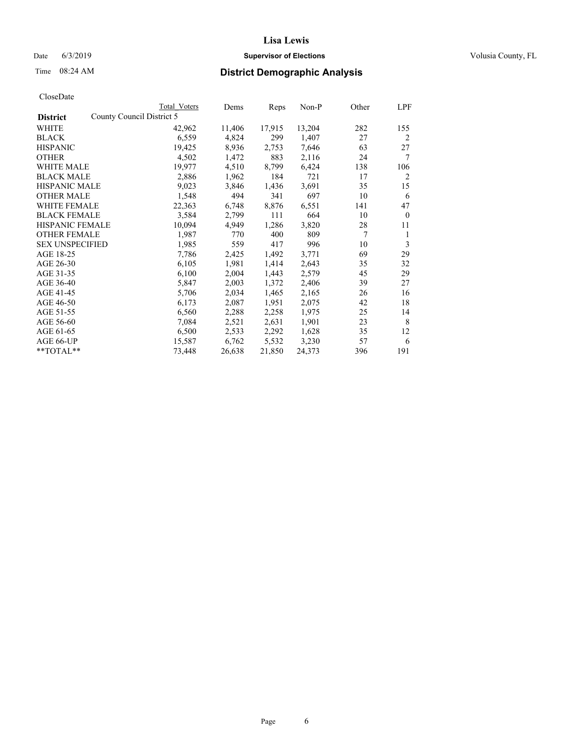## Date 6/3/2019 **Supervisor of Elections Supervisor of Elections** Volusia County, FL

| County Council District 5<br><b>District</b><br>WHITE<br>42,962<br>11,406<br>17,915<br>13,204<br>282<br>4,824<br>299<br><b>BLACK</b><br>6,559<br>1,407<br>27<br><b>HISPANIC</b><br>19,425<br>7,646<br>8,936<br>2,753<br>63<br>2,116<br>7<br><b>OTHER</b><br>4,502<br>1,472<br>883<br>24<br>19,977<br>4,510<br>8,799<br>6,424<br>138<br><b>WHITE MALE</b><br>721<br><b>BLACK MALE</b><br>2,886<br>1,962<br>184<br>17<br><b>HISPANIC MALE</b><br>9,023<br>3,846<br>1,436<br>3,691<br>35<br>1,548<br>494<br>697<br><b>OTHER MALE</b><br>341<br>10<br>WHITE FEMALE<br>22,363<br>6,748<br>8,876<br>6,551<br>141<br><b>BLACK FEMALE</b><br>3,584<br>2,799<br>111<br>664<br>10<br>4,949<br>1,286<br>3,820<br><b>HISPANIC FEMALE</b><br>10,094<br>28<br>11<br>7<br><b>OTHER FEMALE</b><br>1,987<br>770<br>400<br>809<br>1<br>3<br><b>SEX UNSPECIFIED</b><br>1,985<br>559<br>417<br>996<br>10<br>AGE 18-25<br>69<br>7,786<br>2,425<br>1,492<br>3,771<br>1,981<br>AGE 26-30<br>6,105<br>1,414<br>2,643<br>35<br>AGE 31-35<br>6,100<br>2,004<br>1,443<br>2,579<br>45<br>AGE 36-40<br>5,847<br>2,003<br>1,372<br>2,406<br>39<br>27<br>AGE 41-45<br>5,706<br>2,034<br>1,465<br>2,165<br>26<br>AGE 46-50<br>2,087<br>1,951<br>42<br>6,173<br>2,075<br>AGE 51-55<br>6,560<br>2,288<br>2,258<br>1,975<br>25<br>8<br>AGE 56-60<br>7,084<br>2,521<br>2,631<br>1,901<br>23<br>6,500<br>2,292<br>AGE 61-65<br>2,533<br>1,628<br>35<br>12<br>AGE 66-UP<br>5,532<br>3,230<br>15,587<br>6,762<br>57<br>6<br>191<br>**TOTAL**<br>21,850<br>396<br>73,448<br>26,638<br>24,373 | Total Voters | Dems | Reps | Non-P | Other | LPF            |
|------------------------------------------------------------------------------------------------------------------------------------------------------------------------------------------------------------------------------------------------------------------------------------------------------------------------------------------------------------------------------------------------------------------------------------------------------------------------------------------------------------------------------------------------------------------------------------------------------------------------------------------------------------------------------------------------------------------------------------------------------------------------------------------------------------------------------------------------------------------------------------------------------------------------------------------------------------------------------------------------------------------------------------------------------------------------------------------------------------------------------------------------------------------------------------------------------------------------------------------------------------------------------------------------------------------------------------------------------------------------------------------------------------------------------------------------------------------------------------------------------------------------------------------------------|--------------|------|------|-------|-------|----------------|
|                                                                                                                                                                                                                                                                                                                                                                                                                                                                                                                                                                                                                                                                                                                                                                                                                                                                                                                                                                                                                                                                                                                                                                                                                                                                                                                                                                                                                                                                                                                                                      |              |      |      |       |       |                |
|                                                                                                                                                                                                                                                                                                                                                                                                                                                                                                                                                                                                                                                                                                                                                                                                                                                                                                                                                                                                                                                                                                                                                                                                                                                                                                                                                                                                                                                                                                                                                      |              |      |      |       |       | 155            |
|                                                                                                                                                                                                                                                                                                                                                                                                                                                                                                                                                                                                                                                                                                                                                                                                                                                                                                                                                                                                                                                                                                                                                                                                                                                                                                                                                                                                                                                                                                                                                      |              |      |      |       |       | $\overline{2}$ |
|                                                                                                                                                                                                                                                                                                                                                                                                                                                                                                                                                                                                                                                                                                                                                                                                                                                                                                                                                                                                                                                                                                                                                                                                                                                                                                                                                                                                                                                                                                                                                      |              |      |      |       |       | 27             |
|                                                                                                                                                                                                                                                                                                                                                                                                                                                                                                                                                                                                                                                                                                                                                                                                                                                                                                                                                                                                                                                                                                                                                                                                                                                                                                                                                                                                                                                                                                                                                      |              |      |      |       |       |                |
|                                                                                                                                                                                                                                                                                                                                                                                                                                                                                                                                                                                                                                                                                                                                                                                                                                                                                                                                                                                                                                                                                                                                                                                                                                                                                                                                                                                                                                                                                                                                                      |              |      |      |       |       | 106            |
|                                                                                                                                                                                                                                                                                                                                                                                                                                                                                                                                                                                                                                                                                                                                                                                                                                                                                                                                                                                                                                                                                                                                                                                                                                                                                                                                                                                                                                                                                                                                                      |              |      |      |       |       | 2              |
|                                                                                                                                                                                                                                                                                                                                                                                                                                                                                                                                                                                                                                                                                                                                                                                                                                                                                                                                                                                                                                                                                                                                                                                                                                                                                                                                                                                                                                                                                                                                                      |              |      |      |       |       | 15             |
|                                                                                                                                                                                                                                                                                                                                                                                                                                                                                                                                                                                                                                                                                                                                                                                                                                                                                                                                                                                                                                                                                                                                                                                                                                                                                                                                                                                                                                                                                                                                                      |              |      |      |       |       | 6              |
|                                                                                                                                                                                                                                                                                                                                                                                                                                                                                                                                                                                                                                                                                                                                                                                                                                                                                                                                                                                                                                                                                                                                                                                                                                                                                                                                                                                                                                                                                                                                                      |              |      |      |       |       | 47             |
|                                                                                                                                                                                                                                                                                                                                                                                                                                                                                                                                                                                                                                                                                                                                                                                                                                                                                                                                                                                                                                                                                                                                                                                                                                                                                                                                                                                                                                                                                                                                                      |              |      |      |       |       | $\theta$       |
|                                                                                                                                                                                                                                                                                                                                                                                                                                                                                                                                                                                                                                                                                                                                                                                                                                                                                                                                                                                                                                                                                                                                                                                                                                                                                                                                                                                                                                                                                                                                                      |              |      |      |       |       |                |
|                                                                                                                                                                                                                                                                                                                                                                                                                                                                                                                                                                                                                                                                                                                                                                                                                                                                                                                                                                                                                                                                                                                                                                                                                                                                                                                                                                                                                                                                                                                                                      |              |      |      |       |       |                |
|                                                                                                                                                                                                                                                                                                                                                                                                                                                                                                                                                                                                                                                                                                                                                                                                                                                                                                                                                                                                                                                                                                                                                                                                                                                                                                                                                                                                                                                                                                                                                      |              |      |      |       |       |                |
|                                                                                                                                                                                                                                                                                                                                                                                                                                                                                                                                                                                                                                                                                                                                                                                                                                                                                                                                                                                                                                                                                                                                                                                                                                                                                                                                                                                                                                                                                                                                                      |              |      |      |       |       | 29             |
|                                                                                                                                                                                                                                                                                                                                                                                                                                                                                                                                                                                                                                                                                                                                                                                                                                                                                                                                                                                                                                                                                                                                                                                                                                                                                                                                                                                                                                                                                                                                                      |              |      |      |       |       | 32             |
|                                                                                                                                                                                                                                                                                                                                                                                                                                                                                                                                                                                                                                                                                                                                                                                                                                                                                                                                                                                                                                                                                                                                                                                                                                                                                                                                                                                                                                                                                                                                                      |              |      |      |       |       | 29             |
|                                                                                                                                                                                                                                                                                                                                                                                                                                                                                                                                                                                                                                                                                                                                                                                                                                                                                                                                                                                                                                                                                                                                                                                                                                                                                                                                                                                                                                                                                                                                                      |              |      |      |       |       |                |
|                                                                                                                                                                                                                                                                                                                                                                                                                                                                                                                                                                                                                                                                                                                                                                                                                                                                                                                                                                                                                                                                                                                                                                                                                                                                                                                                                                                                                                                                                                                                                      |              |      |      |       |       | 16             |
|                                                                                                                                                                                                                                                                                                                                                                                                                                                                                                                                                                                                                                                                                                                                                                                                                                                                                                                                                                                                                                                                                                                                                                                                                                                                                                                                                                                                                                                                                                                                                      |              |      |      |       |       | 18             |
|                                                                                                                                                                                                                                                                                                                                                                                                                                                                                                                                                                                                                                                                                                                                                                                                                                                                                                                                                                                                                                                                                                                                                                                                                                                                                                                                                                                                                                                                                                                                                      |              |      |      |       |       | 14             |
|                                                                                                                                                                                                                                                                                                                                                                                                                                                                                                                                                                                                                                                                                                                                                                                                                                                                                                                                                                                                                                                                                                                                                                                                                                                                                                                                                                                                                                                                                                                                                      |              |      |      |       |       |                |
|                                                                                                                                                                                                                                                                                                                                                                                                                                                                                                                                                                                                                                                                                                                                                                                                                                                                                                                                                                                                                                                                                                                                                                                                                                                                                                                                                                                                                                                                                                                                                      |              |      |      |       |       |                |
|                                                                                                                                                                                                                                                                                                                                                                                                                                                                                                                                                                                                                                                                                                                                                                                                                                                                                                                                                                                                                                                                                                                                                                                                                                                                                                                                                                                                                                                                                                                                                      |              |      |      |       |       |                |
|                                                                                                                                                                                                                                                                                                                                                                                                                                                                                                                                                                                                                                                                                                                                                                                                                                                                                                                                                                                                                                                                                                                                                                                                                                                                                                                                                                                                                                                                                                                                                      |              |      |      |       |       |                |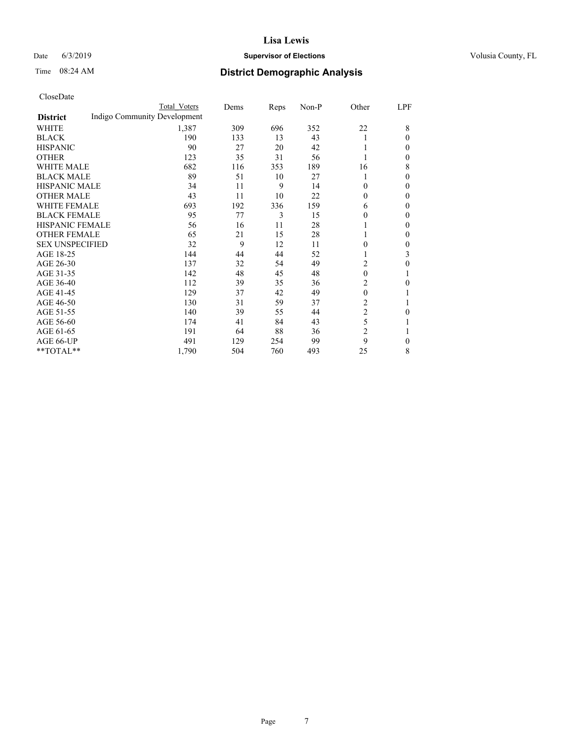## Date 6/3/2019 **Supervisor of Elections Supervisor of Elections** Volusia County, FL

## Time 08:24 AM **District Demographic Analysis**

|                        |                              | Total Voters | Dems | Reps | Non-P | Other          | LPF          |
|------------------------|------------------------------|--------------|------|------|-------|----------------|--------------|
| <b>District</b>        | Indigo Community Development |              |      |      |       |                |              |
| WHITE                  |                              | 1,387        | 309  | 696  | 352   | 22             | 8            |
| <b>BLACK</b>           |                              | 190          | 133  | 13   | 43    |                | 0            |
| <b>HISPANIC</b>        |                              | 90           | 27   | 20   | 42    |                | 0            |
| <b>OTHER</b>           |                              | 123          | 35   | 31   | 56    |                | 0            |
| WHITE MALE             |                              | 682          | 116  | 353  | 189   | 16             | 8            |
| <b>BLACK MALE</b>      |                              | 89           | 51   | 10   | 27    |                | 0            |
| <b>HISPANIC MALE</b>   |                              | 34           | 11   | 9    | 14    | 0              | $\Omega$     |
| <b>OTHER MALE</b>      |                              | 43           | 11   | 10   | 22    | $\theta$       | $\theta$     |
| <b>WHITE FEMALE</b>    |                              | 693          | 192  | 336  | 159   | 6              | 0            |
| <b>BLACK FEMALE</b>    |                              | 95           | 77   | 3    | 15    | 0              | 0            |
| <b>HISPANIC FEMALE</b> |                              | 56           | 16   | 11   | 28    |                | 0            |
| <b>OTHER FEMALE</b>    |                              | 65           | 21   | 15   | 28    | 1              | 0            |
| <b>SEX UNSPECIFIED</b> |                              | 32           | 9    | 12   | 11    | 0              | 0            |
| AGE 18-25              |                              | 144          | 44   | 44   | 52    |                | 3            |
| AGE 26-30              |                              | 137          | 32   | 54   | 49    | 2              | 0            |
| AGE 31-35              |                              | 142          | 48   | 45   | 48    | $\theta$       | 1            |
| AGE 36-40              |                              | 112          | 39   | 35   | 36    | 2              | 0            |
| AGE 41-45              |                              | 129          | 37   | 42   | 49    | $\mathbf{0}$   |              |
| AGE 46-50              |                              | 130          | 31   | 59   | 37    | 2              |              |
| AGE 51-55              |                              | 140          | 39   | 55   | 44    | $\mathfrak{2}$ | 0            |
| AGE 56-60              |                              | 174          | 41   | 84   | 43    | 5              |              |
| AGE 61-65              |                              | 191          | 64   | 88   | 36    | $\overline{c}$ |              |
| AGE 66-UP              |                              | 491          | 129  | 254  | 99    | 9              | $\mathbf{0}$ |
| **TOTAL**              |                              | 1,790        | 504  | 760  | 493   | 25             | 8            |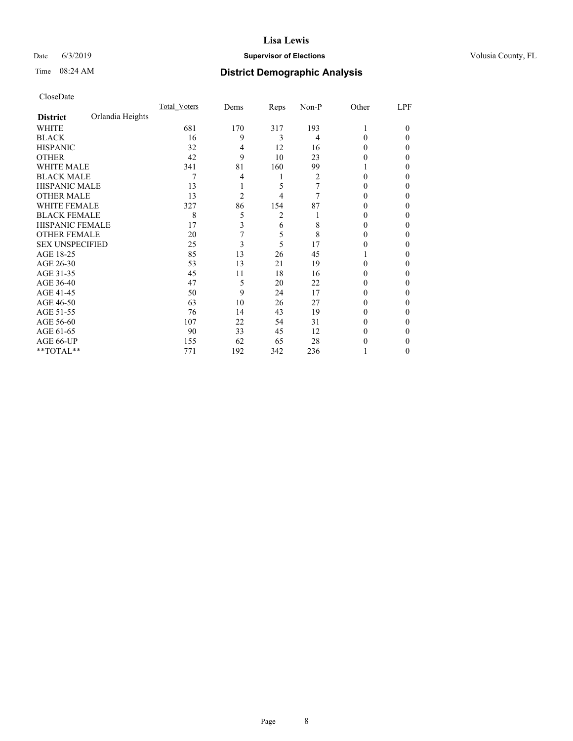#### Date 6/3/2019 **Supervisor of Elections Supervisor of Elections** Volusia County, FL

## Time 08:24 AM **District Demographic Analysis**

|                        |                  | Total Voters | Dems           | Reps | Non-P | Other  | LPF    |
|------------------------|------------------|--------------|----------------|------|-------|--------|--------|
| <b>District</b>        | Orlandia Heights |              |                |      |       |        |        |
| WHITE                  |                  | 681          | 170            | 317  | 193   | 1      | $_{0}$ |
| <b>BLACK</b>           |                  | 16           | 9              | 3    | 4     | 0      | 0      |
| <b>HISPANIC</b>        |                  | 32           | 4              | 12   | 16    | 0      | 0      |
| <b>OTHER</b>           |                  | 42           | 9              | 10   | 23    | 0      | 0      |
| <b>WHITE MALE</b>      |                  | 341          | 81             | 160  | 99    |        | 0      |
| <b>BLACK MALE</b>      |                  | 7            | 4              | 1    | 2     | 0      | 0      |
| <b>HISPANIC MALE</b>   |                  | 13           |                | 5    | 7     | 0      | 0      |
| <b>OTHER MALE</b>      |                  | 13           | $\overline{2}$ | 4    | 7     | $_{0}$ | 0      |
| <b>WHITE FEMALE</b>    |                  | 327          | 86             | 154  | 87    |        | 0      |
| <b>BLACK FEMALE</b>    |                  | 8            | 5              | 2    |       | $_{0}$ | 0      |
| <b>HISPANIC FEMALE</b> |                  | 17           | 3              | 6    | 8     | $_{0}$ | 0      |
| <b>OTHER FEMALE</b>    |                  | 20           | 7              | 5    | 8     | $_{0}$ | 0      |
| <b>SEX UNSPECIFIED</b> |                  | 25           | 3              | 5    | 17    | 0      | 0      |
| AGE 18-25              |                  | 85           | 13             | 26   | 45    |        | 0      |
| AGE 26-30              |                  | 53           | 13             | 21   | 19    | 0      | 0      |
| AGE 31-35              |                  | 45           | 11             | 18   | 16    |        | 0      |
| AGE 36-40              |                  | 47           | 5              | 20   | 22    | 0      | 0      |
| AGE 41-45              |                  | 50           | 9              | 24   | 17    | 0      | 0      |
| AGE 46-50              |                  | 63           | 10             | 26   | 27    | $_{0}$ | 0      |
| AGE 51-55              |                  | 76           | 14             | 43   | 19    | $_{0}$ | 0      |
| AGE 56-60              |                  | 107          | 22             | 54   | 31    | 0      | 0      |
| AGE 61-65              |                  | 90           | 33             | 45   | 12    | $_{0}$ | 0      |
| AGE 66-UP              |                  | 155          | 62             | 65   | 28    |        | 0      |
| **TOTAL**              |                  | 771          | 192            | 342  | 236   |        | 0      |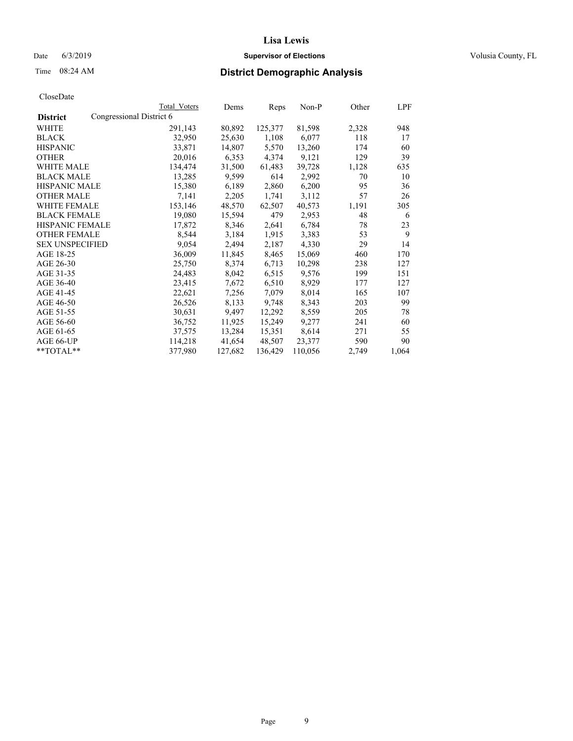#### Date 6/3/2019 **Supervisor of Elections Supervisor of Elections** Volusia County, FL

## Time 08:24 AM **District Demographic Analysis**

|                        | Total Voters             | Dems    | Reps    | Non-P   | Other | LPF   |
|------------------------|--------------------------|---------|---------|---------|-------|-------|
| <b>District</b>        | Congressional District 6 |         |         |         |       |       |
| WHITE                  | 291,143                  | 80,892  | 125,377 | 81,598  | 2,328 | 948   |
| <b>BLACK</b>           | 32,950                   | 25,630  | 1,108   | 6,077   | 118   | 17    |
| <b>HISPANIC</b>        | 33,871                   | 14,807  | 5,570   | 13,260  | 174   | 60    |
| <b>OTHER</b>           | 20,016                   | 6,353   | 4,374   | 9,121   | 129   | 39    |
| <b>WHITE MALE</b>      | 134,474                  | 31,500  | 61,483  | 39,728  | 1,128 | 635   |
| <b>BLACK MALE</b>      | 13,285                   | 9,599   | 614     | 2,992   | 70    | 10    |
| <b>HISPANIC MALE</b>   | 15,380                   | 6,189   | 2,860   | 6,200   | 95    | 36    |
| <b>OTHER MALE</b>      | 7,141                    | 2,205   | 1,741   | 3,112   | 57    | 26    |
| <b>WHITE FEMALE</b>    | 153,146                  | 48,570  | 62,507  | 40,573  | 1,191 | 305   |
| <b>BLACK FEMALE</b>    | 19,080                   | 15,594  | 479     | 2,953   | 48    | 6     |
| HISPANIC FEMALE        | 17,872                   | 8,346   | 2,641   | 6,784   | 78    | 23    |
| <b>OTHER FEMALE</b>    | 8,544                    | 3,184   | 1,915   | 3,383   | 53    | 9     |
| <b>SEX UNSPECIFIED</b> | 9,054                    | 2,494   | 2,187   | 4.330   | 29    | 14    |
| AGE 18-25              | 36,009                   | 11,845  | 8,465   | 15,069  | 460   | 170   |
| AGE 26-30              | 25,750                   | 8,374   | 6,713   | 10,298  | 238   | 127   |
| AGE 31-35              | 24,483                   | 8,042   | 6,515   | 9,576   | 199   | 151   |
| AGE 36-40              | 23,415                   | 7,672   | 6,510   | 8,929   | 177   | 127   |
| AGE 41-45              | 22,621                   | 7,256   | 7,079   | 8,014   | 165   | 107   |
| AGE 46-50              | 26,526                   | 8,133   | 9,748   | 8,343   | 203   | 99    |
| AGE 51-55              | 30,631                   | 9,497   | 12,292  | 8,559   | 205   | 78    |
| AGE 56-60              | 36,752                   | 11,925  | 15,249  | 9,277   | 241   | 60    |
| AGE 61-65              | 37,575                   | 13,284  | 15,351  | 8,614   | 271   | 55    |
| AGE 66-UP              | 114,218                  | 41,654  | 48,507  | 23,377  | 590   | 90    |
| $*$ $TOTAL**$          | 377,980                  | 127,682 | 136,429 | 110,056 | 2,749 | 1,064 |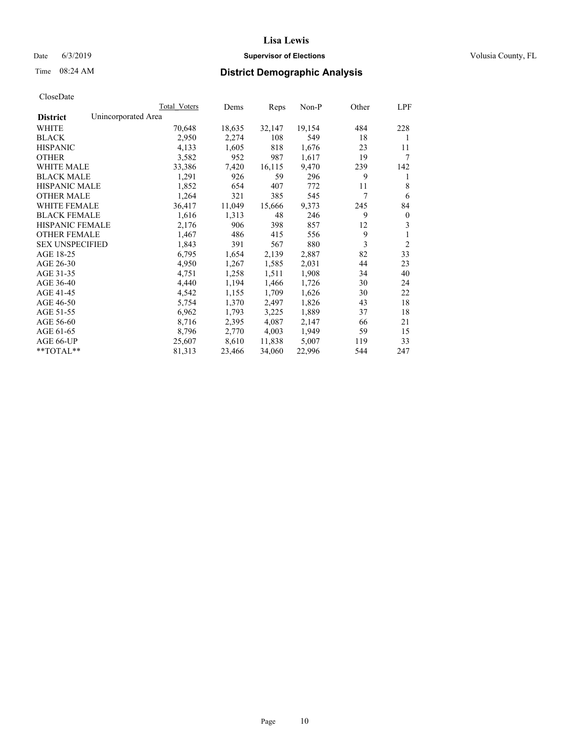## Date 6/3/2019 **Supervisor of Elections Supervisor of Elections** Volusia County, FL

## Time 08:24 AM **District Demographic Analysis**

|                                        | Total Voters | Dems   | Reps   | Non-P  | Other | LPF            |
|----------------------------------------|--------------|--------|--------|--------|-------|----------------|
| Unincorporated Area<br><b>District</b> |              |        |        |        |       |                |
| WHITE                                  | 70,648       | 18,635 | 32,147 | 19,154 | 484   | 228            |
| <b>BLACK</b>                           | 2,950        | 2,274  | 108    | 549    | 18    | 1              |
| <b>HISPANIC</b>                        | 4,133        | 1,605  | 818    | 1,676  | 23    | 11             |
| <b>OTHER</b>                           | 3,582        | 952    | 987    | 1,617  | 19    | 7              |
| WHITE MALE                             | 33,386       | 7,420  | 16,115 | 9,470  | 239   | 142            |
| <b>BLACK MALE</b>                      | 1,291        | 926    | 59     | 296    | 9     | 1              |
| <b>HISPANIC MALE</b>                   | 1,852        | 654    | 407    | 772    | 11    | 8              |
| <b>OTHER MALE</b>                      | 1,264        | 321    | 385    | 545    | 7     | 6              |
| <b>WHITE FEMALE</b>                    | 36,417       | 11,049 | 15,666 | 9,373  | 245   | 84             |
| <b>BLACK FEMALE</b>                    | 1,616        | 1,313  | 48     | 246    | 9     | $\mathbf{0}$   |
| <b>HISPANIC FEMALE</b>                 | 2,176        | 906    | 398    | 857    | 12    | 3              |
| <b>OTHER FEMALE</b>                    | 1,467        | 486    | 415    | 556    | 9     | 1              |
| <b>SEX UNSPECIFIED</b>                 | 1,843        | 391    | 567    | 880    | 3     | $\overline{2}$ |
| AGE 18-25                              | 6,795        | 1,654  | 2,139  | 2,887  | 82    | 33             |
| AGE 26-30                              | 4,950        | 1,267  | 1,585  | 2,031  | 44    | 23             |
| AGE 31-35                              | 4,751        | 1,258  | 1,511  | 1,908  | 34    | 40             |
| AGE 36-40                              | 4,440        | 1,194  | 1,466  | 1,726  | 30    | 24             |
| AGE 41-45                              | 4,542        | 1,155  | 1,709  | 1,626  | 30    | 22             |
| AGE 46-50                              | 5,754        | 1,370  | 2,497  | 1,826  | 43    | 18             |
| AGE 51-55                              | 6,962        | 1,793  | 3,225  | 1,889  | 37    | 18             |
| AGE 56-60                              | 8,716        | 2,395  | 4,087  | 2,147  | 66    | 21             |
| AGE 61-65                              | 8,796        | 2,770  | 4,003  | 1,949  | 59    | 15             |
| AGE 66-UP                              | 25,607       | 8,610  | 11,838 | 5,007  | 119   | 33             |
| $*$ TOTAL $*$                          | 81,313       | 23,466 | 34,060 | 22,996 | 544   | 247            |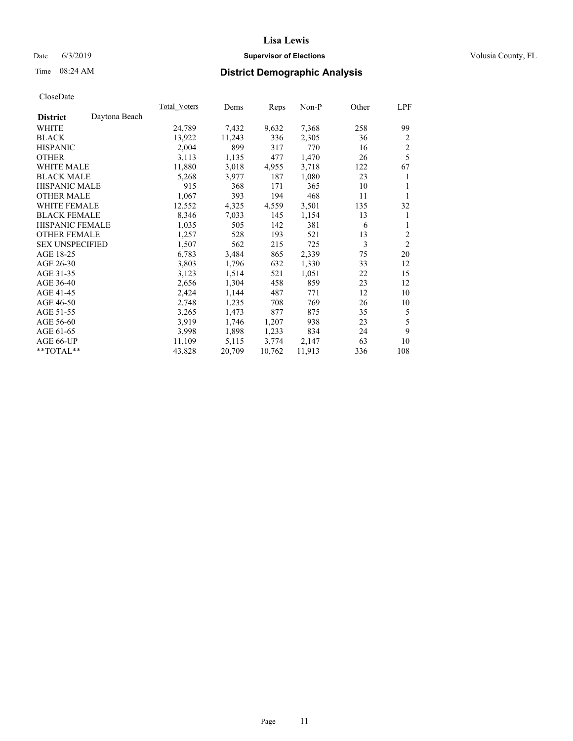## Date 6/3/2019 **Supervisor of Elections Supervisor of Elections** Volusia County, FL

# Time 08:24 AM **District Demographic Analysis**

|                        |               | Total Voters | Dems   | Reps   | Non-P  | Other | LPF            |
|------------------------|---------------|--------------|--------|--------|--------|-------|----------------|
| <b>District</b>        | Daytona Beach |              |        |        |        |       |                |
| WHITE                  |               | 24,789       | 7,432  | 9,632  | 7,368  | 258   | 99             |
| <b>BLACK</b>           |               | 13,922       | 11,243 | 336    | 2,305  | 36    | 2              |
| <b>HISPANIC</b>        |               | 2,004        | 899    | 317    | 770    | 16    | $\mathfrak{2}$ |
| <b>OTHER</b>           |               | 3,113        | 1,135  | 477    | 1,470  | 26    | 5              |
| <b>WHITE MALE</b>      |               | 11,880       | 3,018  | 4,955  | 3,718  | 122   | 67             |
| <b>BLACK MALE</b>      |               | 5,268        | 3,977  | 187    | 1,080  | 23    | 1              |
| <b>HISPANIC MALE</b>   |               | 915          | 368    | 171    | 365    | 10    | 1              |
| <b>OTHER MALE</b>      |               | 1,067        | 393    | 194    | 468    | 11    | 1              |
| WHITE FEMALE           |               | 12,552       | 4,325  | 4,559  | 3,501  | 135   | 32             |
| <b>BLACK FEMALE</b>    |               | 8,346        | 7,033  | 145    | 1,154  | 13    | 1              |
| <b>HISPANIC FEMALE</b> |               | 1,035        | 505    | 142    | 381    | 6     | 1              |
| <b>OTHER FEMALE</b>    |               | 1,257        | 528    | 193    | 521    | 13    | $\overline{c}$ |
| <b>SEX UNSPECIFIED</b> |               | 1,507        | 562    | 215    | 725    | 3     | $\overline{2}$ |
| AGE 18-25              |               | 6,783        | 3,484  | 865    | 2,339  | 75    | 20             |
| AGE 26-30              |               | 3,803        | 1,796  | 632    | 1,330  | 33    | 12             |
| AGE 31-35              |               | 3,123        | 1,514  | 521    | 1,051  | 22    | 15             |
| AGE 36-40              |               | 2,656        | 1,304  | 458    | 859    | 23    | 12             |
| AGE 41-45              |               | 2,424        | 1,144  | 487    | 771    | 12    | 10             |
| AGE 46-50              |               | 2,748        | 1,235  | 708    | 769    | 26    | 10             |
| AGE 51-55              |               | 3,265        | 1,473  | 877    | 875    | 35    | 5              |
| AGE 56-60              |               | 3,919        | 1,746  | 1,207  | 938    | 23    | 5              |
| AGE 61-65              |               | 3,998        | 1,898  | 1,233  | 834    | 24    | 9              |
| AGE 66-UP              |               | 11,109       | 5,115  | 3,774  | 2,147  | 63    | 10             |
| **TOTAL**              |               | 43,828       | 20,709 | 10,762 | 11,913 | 336   | 108            |
|                        |               |              |        |        |        |       |                |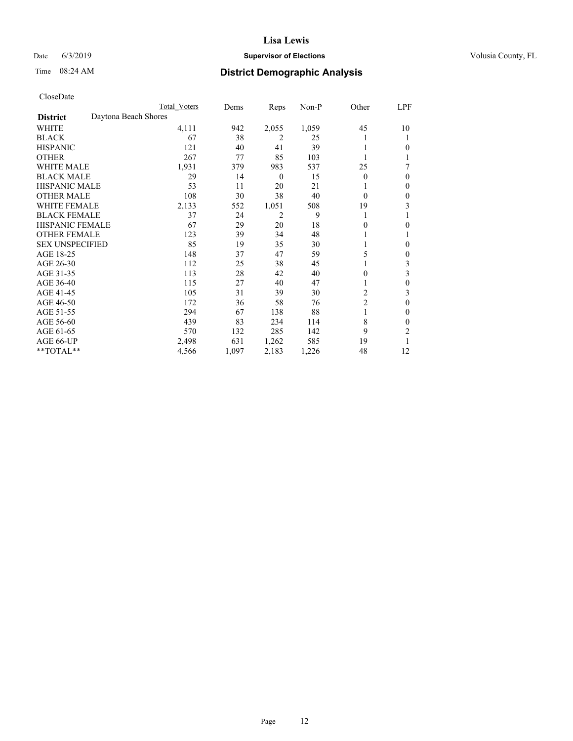## Date 6/3/2019 **Supervisor of Elections Supervisor of Elections** Volusia County, FL

## Time 08:24 AM **District Demographic Analysis**

|                        | Total Voters         | Dems  | Reps             | Non-P | Other          | LPF |
|------------------------|----------------------|-------|------------------|-------|----------------|-----|
| <b>District</b>        | Daytona Beach Shores |       |                  |       |                |     |
| WHITE                  | 4,111                | 942   | 2,055            | 1,059 | 45             | 10  |
| <b>BLACK</b>           | 67                   | 38    | 2                | 25    |                |     |
| <b>HISPANIC</b>        | 121                  | 40    | 41               | 39    |                | 0   |
| <b>OTHER</b>           | 267                  | 77    | 85               | 103   |                |     |
| WHITE MALE             | 1,931                | 379   | 983              | 537   | 25             | 7   |
| <b>BLACK MALE</b>      | 29                   | 14    | $\boldsymbol{0}$ | 15    | $\Omega$       | 0   |
| <b>HISPANIC MALE</b>   | 53                   | 11    | 20               | 21    |                | 0   |
| <b>OTHER MALE</b>      | 108                  | 30    | 38               | 40    | $\Omega$       | 0   |
| <b>WHITE FEMALE</b>    | 2,133                | 552   | 1,051            | 508   | 19             | 3   |
| <b>BLACK FEMALE</b>    | 37                   | 24    | 2                | 9     |                |     |
| <b>HISPANIC FEMALE</b> | 67                   | 29    | 20               | 18    | 0              | 0   |
| <b>OTHER FEMALE</b>    | 123                  | 39    | 34               | 48    |                |     |
| <b>SEX UNSPECIFIED</b> | 85                   | 19    | 35               | 30    |                | 0   |
| AGE 18-25              | 148                  | 37    | 47               | 59    | 5              | 0   |
| AGE 26-30              | 112                  | 25    | 38               | 45    |                | 3   |
| AGE 31-35              | 113                  | 28    | 42               | 40    | 0              | 3   |
| AGE 36-40              | 115                  | 27    | 40               | 47    |                | 0   |
| AGE 41-45              | 105                  | 31    | 39               | 30    | 2              | 3   |
| AGE 46-50              | 172                  | 36    | 58               | 76    | $\overline{2}$ | 0   |
| AGE 51-55              | 294                  | 67    | 138              | 88    | 1              | 0   |
| AGE 56-60              | 439                  | 83    | 234              | 114   | 8              | 0   |
| AGE 61-65              | 570                  | 132   | 285              | 142   | 9              | 2   |
| AGE 66-UP              | 2,498                | 631   | 1,262            | 585   | 19             |     |
| **TOTAL**              | 4,566                | 1,097 | 2,183            | 1,226 | 48             | 12  |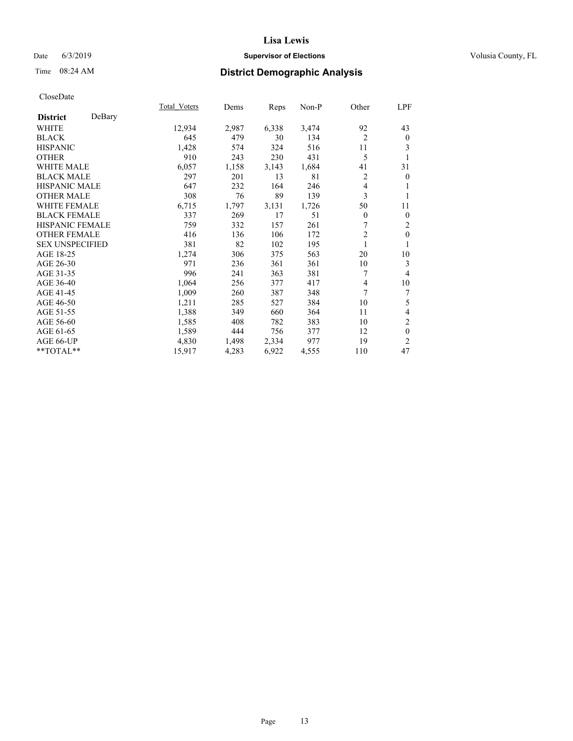## Date 6/3/2019 **Supervisor of Elections Supervisor of Elections** Volusia County, FL

## Time 08:24 AM **District Demographic Analysis**

|                        |        | Total Voters | Dems  | Reps  | Non-P | Other          | LPF            |
|------------------------|--------|--------------|-------|-------|-------|----------------|----------------|
| <b>District</b>        | DeBary |              |       |       |       |                |                |
| WHITE                  |        | 12,934       | 2,987 | 6,338 | 3,474 | 92             | 43             |
| <b>BLACK</b>           |        | 645          | 479   | 30    | 134   | $\overline{c}$ | $\mathbf{0}$   |
| <b>HISPANIC</b>        |        | 1,428        | 574   | 324   | 516   | 11             | 3              |
| <b>OTHER</b>           |        | 910          | 243   | 230   | 431   | 5              |                |
| <b>WHITE MALE</b>      |        | 6,057        | 1,158 | 3,143 | 1,684 | 41             | 31             |
| <b>BLACK MALE</b>      |        | 297          | 201   | 13    | 81    | $\overline{c}$ | $\mathbf{0}$   |
| <b>HISPANIC MALE</b>   |        | 647          | 232   | 164   | 246   | 4              | 1              |
| <b>OTHER MALE</b>      |        | 308          | 76    | 89    | 139   | 3              | 1              |
| <b>WHITE FEMALE</b>    |        | 6,715        | 1,797 | 3,131 | 1,726 | 50             | 11             |
| <b>BLACK FEMALE</b>    |        | 337          | 269   | 17    | 51    | $\overline{0}$ | $\mathbf{0}$   |
| <b>HISPANIC FEMALE</b> |        | 759          | 332   | 157   | 261   |                | 2              |
| <b>OTHER FEMALE</b>    |        | 416          | 136   | 106   | 172   | $\overline{c}$ | $\theta$       |
| <b>SEX UNSPECIFIED</b> |        | 381          | 82    | 102   | 195   | 1              | 1              |
| AGE 18-25              |        | 1,274        | 306   | 375   | 563   | 20             | 10             |
| AGE 26-30              |        | 971          | 236   | 361   | 361   | 10             | 3              |
| AGE 31-35              |        | 996          | 241   | 363   | 381   | 7              | 4              |
| AGE 36-40              |        | 1,064        | 256   | 377   | 417   | 4              | 10             |
| AGE 41-45              |        | 1,009        | 260   | 387   | 348   | 7              | 7              |
| AGE 46-50              |        | 1,211        | 285   | 527   | 384   | 10             | 5              |
| AGE 51-55              |        | 1,388        | 349   | 660   | 364   | 11             | 4              |
| AGE 56-60              |        | 1,585        | 408   | 782   | 383   | 10             | $\mathfrak{2}$ |
| AGE 61-65              |        | 1,589        | 444   | 756   | 377   | 12             | $\mathbf{0}$   |
| AGE 66-UP              |        | 4,830        | 1,498 | 2,334 | 977   | 19             | $\overline{2}$ |
| **TOTAL**              |        | 15,917       | 4,283 | 6,922 | 4,555 | 110            | 47             |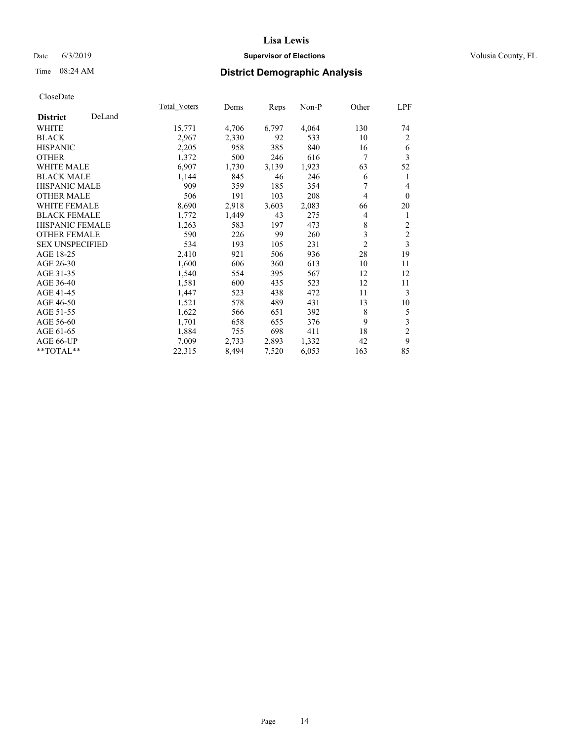## Date 6/3/2019 **Supervisor of Elections Supervisor of Elections** Volusia County, FL

## Time 08:24 AM **District Demographic Analysis**

|                        |        | Total Voters | Dems  | Reps  | Non-P | Other          | LPF            |
|------------------------|--------|--------------|-------|-------|-------|----------------|----------------|
| <b>District</b>        | DeLand |              |       |       |       |                |                |
| WHITE                  |        | 15,771       | 4,706 | 6,797 | 4,064 | 130            | 74             |
| <b>BLACK</b>           |        | 2,967        | 2,330 | 92    | 533   | 10             | $\overline{2}$ |
| <b>HISPANIC</b>        |        | 2,205        | 958   | 385   | 840   | 16             | 6              |
| <b>OTHER</b>           |        | 1,372        | 500   | 246   | 616   | 7              | 3              |
| WHITE MALE             |        | 6,907        | 1,730 | 3,139 | 1,923 | 63             | 52             |
| <b>BLACK MALE</b>      |        | 1,144        | 845   | 46    | 246   | 6              | 1              |
| <b>HISPANIC MALE</b>   |        | 909          | 359   | 185   | 354   | 7              | 4              |
| <b>OTHER MALE</b>      |        | 506          | 191   | 103   | 208   | 4              | $\mathbf{0}$   |
| WHITE FEMALE           |        | 8,690        | 2,918 | 3,603 | 2,083 | 66             | 20             |
| <b>BLACK FEMALE</b>    |        | 1,772        | 1,449 | 43    | 275   | 4              | 1              |
| <b>HISPANIC FEMALE</b> |        | 1,263        | 583   | 197   | 473   | 8              | 2              |
| <b>OTHER FEMALE</b>    |        | 590          | 226   | 99    | 260   | 3              | $\mathfrak{2}$ |
| <b>SEX UNSPECIFIED</b> |        | 534          | 193   | 105   | 231   | $\overline{2}$ | 3              |
| AGE 18-25              |        | 2,410        | 921   | 506   | 936   | 28             | 19             |
| AGE 26-30              |        | 1,600        | 606   | 360   | 613   | 10             | 11             |
| AGE 31-35              |        | 1,540        | 554   | 395   | 567   | 12             | 12             |
| AGE 36-40              |        | 1,581        | 600   | 435   | 523   | 12             | 11             |
| AGE 41-45              |        | 1,447        | 523   | 438   | 472   | 11             | 3              |
| AGE 46-50              |        | 1,521        | 578   | 489   | 431   | 13             | 10             |
| AGE 51-55              |        | 1,622        | 566   | 651   | 392   | 8              | 5              |
| AGE 56-60              |        | 1,701        | 658   | 655   | 376   | 9              | 3              |
| AGE 61-65              |        | 1,884        | 755   | 698   | 411   | 18             | 2              |
| AGE 66-UP              |        | 7,009        | 2,733 | 2,893 | 1,332 | 42             | 9              |
| **TOTAL**              |        | 22,315       | 8,494 | 7,520 | 6,053 | 163            | 85             |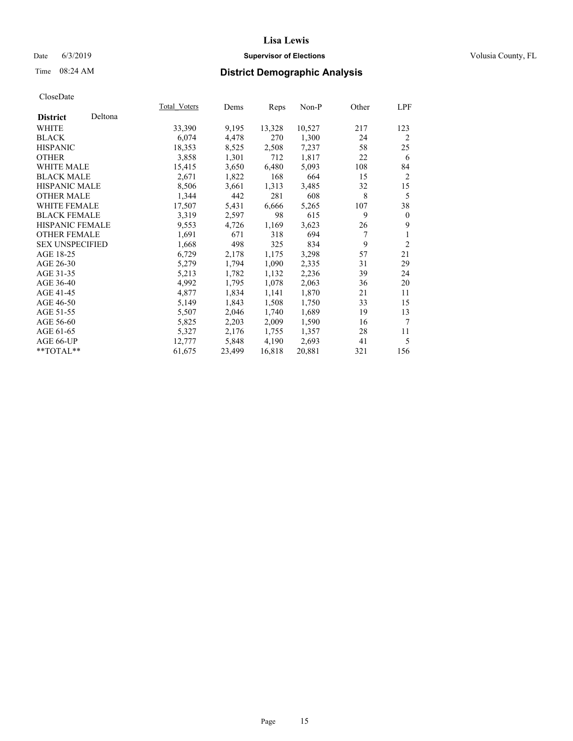## Date 6/3/2019 **Supervisor of Elections Supervisor of Elections** Volusia County, FL

# Time 08:24 AM **District Demographic Analysis**

|                        |         | Total Voters | Dems   | Reps   | Non-P  | Other | LPF            |
|------------------------|---------|--------------|--------|--------|--------|-------|----------------|
| <b>District</b>        | Deltona |              |        |        |        |       |                |
| WHITE                  |         | 33,390       | 9,195  | 13,328 | 10,527 | 217   | 123            |
| <b>BLACK</b>           |         | 6,074        | 4,478  | 270    | 1,300  | 24    | 2              |
| <b>HISPANIC</b>        |         | 18,353       | 8,525  | 2,508  | 7,237  | 58    | 25             |
| <b>OTHER</b>           |         | 3,858        | 1,301  | 712    | 1,817  | 22    | 6              |
| WHITE MALE             |         | 15,415       | 3,650  | 6,480  | 5,093  | 108   | 84             |
| <b>BLACK MALE</b>      |         | 2,671        | 1,822  | 168    | 664    | 15    | 2              |
| <b>HISPANIC MALE</b>   |         | 8,506        | 3,661  | 1,313  | 3,485  | 32    | 15             |
| <b>OTHER MALE</b>      |         | 1,344        | 442    | 281    | 608    | 8     | 5              |
| <b>WHITE FEMALE</b>    |         | 17,507       | 5,431  | 6,666  | 5,265  | 107   | 38             |
| <b>BLACK FEMALE</b>    |         | 3,319        | 2,597  | 98     | 615    | 9     | $\bf{0}$       |
| <b>HISPANIC FEMALE</b> |         | 9,553        | 4,726  | 1,169  | 3,623  | 26    | 9              |
| <b>OTHER FEMALE</b>    |         | 1,691        | 671    | 318    | 694    | 7     | 1              |
| <b>SEX UNSPECIFIED</b> |         | 1,668        | 498    | 325    | 834    | 9     | $\overline{2}$ |
| AGE 18-25              |         | 6,729        | 2,178  | 1,175  | 3,298  | 57    | 21             |
| AGE 26-30              |         | 5,279        | 1,794  | 1,090  | 2,335  | 31    | 29             |
| AGE 31-35              |         | 5,213        | 1,782  | 1,132  | 2,236  | 39    | 24             |
| AGE 36-40              |         | 4,992        | 1,795  | 1,078  | 2,063  | 36    | 20             |
| AGE 41-45              |         | 4,877        | 1,834  | 1,141  | 1,870  | 21    | 11             |
| AGE 46-50              |         | 5,149        | 1,843  | 1,508  | 1,750  | 33    | 15             |
| AGE 51-55              |         | 5,507        | 2,046  | 1,740  | 1,689  | 19    | 13             |
| AGE 56-60              |         | 5,825        | 2,203  | 2,009  | 1,590  | 16    | 7              |
| AGE 61-65              |         | 5,327        | 2,176  | 1,755  | 1,357  | 28    | 11             |
| AGE 66-UP              |         | 12,777       | 5,848  | 4,190  | 2,693  | 41    | 5              |
| $*$ $TOTAL**$          |         | 61,675       | 23,499 | 16,818 | 20,881 | 321   | 156            |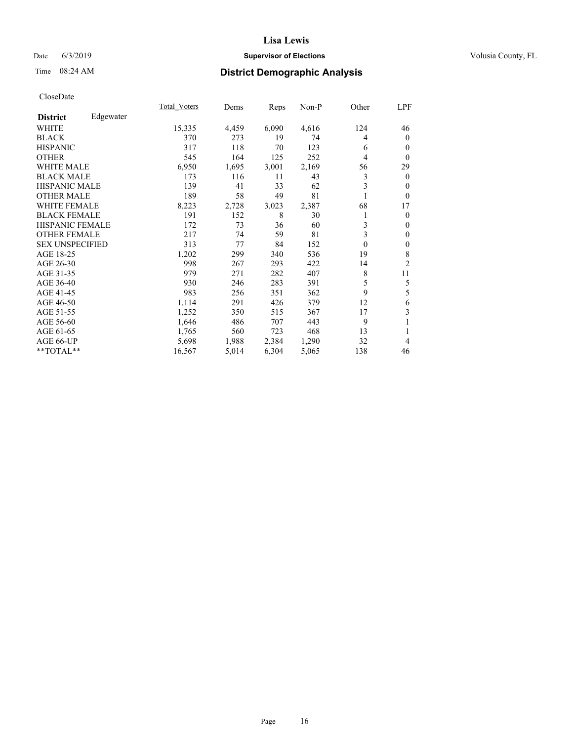## Date 6/3/2019 **Supervisor of Elections Supervisor of Elections** Volusia County, FL

## Time 08:24 AM **District Demographic Analysis**

|                        |           | <b>Total Voters</b> | Dems  | Reps  | Non-P | Other    | LPF            |
|------------------------|-----------|---------------------|-------|-------|-------|----------|----------------|
| <b>District</b>        | Edgewater |                     |       |       |       |          |                |
| WHITE                  |           | 15,335              | 4,459 | 6,090 | 4,616 | 124      | 46             |
| <b>BLACK</b>           |           | 370                 | 273   | 19    | 74    | 4        | $\mathbf{0}$   |
| <b>HISPANIC</b>        |           | 317                 | 118   | 70    | 123   | 6        | $\theta$       |
| <b>OTHER</b>           |           | 545                 | 164   | 125   | 252   | 4        | $\theta$       |
| WHITE MALE             |           | 6,950               | 1,695 | 3,001 | 2,169 | 56       | 29             |
| <b>BLACK MALE</b>      |           | 173                 | 116   | 11    | 43    | 3        | $\overline{0}$ |
| <b>HISPANIC MALE</b>   |           | 139                 | 41    | 33    | 62    | 3        | $\mathbf{0}$   |
| <b>OTHER MALE</b>      |           | 189                 | 58    | 49    | 81    | 1        | $\mathbf{0}$   |
| <b>WHITE FEMALE</b>    |           | 8,223               | 2,728 | 3,023 | 2,387 | 68       | 17             |
| <b>BLACK FEMALE</b>    |           | 191                 | 152   | 8     | 30    |          | $\overline{0}$ |
| <b>HISPANIC FEMALE</b> |           | 172                 | 73    | 36    | 60    | 3        | $\theta$       |
| <b>OTHER FEMALE</b>    |           | 217                 | 74    | 59    | 81    | 3        | $\mathbf{0}$   |
| <b>SEX UNSPECIFIED</b> |           | 313                 | 77    | 84    | 152   | $\theta$ | $\mathbf{0}$   |
| AGE 18-25              |           | 1,202               | 299   | 340   | 536   | 19       | 8              |
| AGE 26-30              |           | 998                 | 267   | 293   | 422   | 14       | $\overline{2}$ |
| AGE 31-35              |           | 979                 | 271   | 282   | 407   | 8        | 11             |
| AGE 36-40              |           | 930                 | 246   | 283   | 391   | 5        | 5              |
| AGE 41-45              |           | 983                 | 256   | 351   | 362   | 9        | 5              |
| AGE 46-50              |           | 1,114               | 291   | 426   | 379   | 12       | 6              |
| AGE 51-55              |           | 1,252               | 350   | 515   | 367   | 17       | 3              |
| AGE 56-60              |           | 1,646               | 486   | 707   | 443   | 9        | 1              |
| AGE 61-65              |           | 1,765               | 560   | 723   | 468   | 13       | 1              |
| AGE 66-UP              |           | 5,698               | 1,988 | 2,384 | 1,290 | 32       | 4              |
| **TOTAL**              |           | 16,567              | 5,014 | 6,304 | 5,065 | 138      | 46             |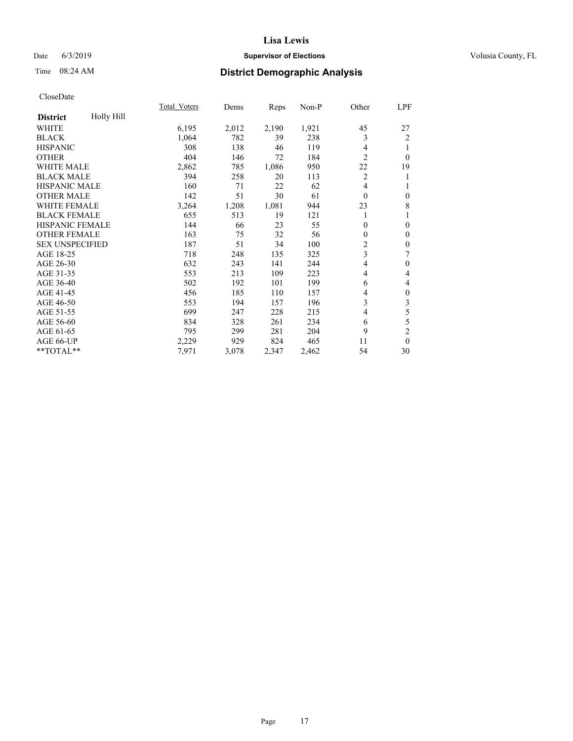## Date 6/3/2019 **Supervisor of Elections Supervisor of Elections** Volusia County, FL

# Time 08:24 AM **District Demographic Analysis**

|                        |            | <b>Total Voters</b> | Dems  | Reps  | Non-P | Other          | LPF              |
|------------------------|------------|---------------------|-------|-------|-------|----------------|------------------|
| <b>District</b>        | Holly Hill |                     |       |       |       |                |                  |
| WHITE                  |            | 6,195               | 2,012 | 2,190 | 1,921 | 45             | 27               |
| <b>BLACK</b>           |            | 1,064               | 782   | 39    | 238   | 3              | $\overline{2}$   |
| <b>HISPANIC</b>        |            | 308                 | 138   | 46    | 119   | 4              | 1                |
| <b>OTHER</b>           |            | 404                 | 146   | 72    | 184   | $\overline{c}$ | $\theta$         |
| <b>WHITE MALE</b>      |            | 2,862               | 785   | 1,086 | 950   | 22             | 19               |
| <b>BLACK MALE</b>      |            | 394                 | 258   | 20    | 113   | $\overline{c}$ | 1                |
| HISPANIC MALE          |            | 160                 | 71    | 22    | 62    | 4              | 1                |
| <b>OTHER MALE</b>      |            | 142                 | 51    | 30    | 61    | $\theta$       | $\boldsymbol{0}$ |
| <b>WHITE FEMALE</b>    |            | 3,264               | 1,208 | 1,081 | 944   | 23             | $\,$ 8 $\,$      |
| <b>BLACK FEMALE</b>    |            | 655                 | 513   | 19    | 121   |                | 1                |
| <b>HISPANIC FEMALE</b> |            | 144                 | 66    | 23    | 55    | $\theta$       | $\mathbf{0}$     |
| <b>OTHER FEMALE</b>    |            | 163                 | 75    | 32    | 56    | $\mathbf{0}$   | $\mathbf{0}$     |
| <b>SEX UNSPECIFIED</b> |            | 187                 | 51    | 34    | 100   | $\overline{c}$ | $\boldsymbol{0}$ |
| AGE 18-25              |            | 718                 | 248   | 135   | 325   | 3              | 7                |
| AGE 26-30              |            | 632                 | 243   | 141   | 244   | 4              | $\boldsymbol{0}$ |
| AGE 31-35              |            | 553                 | 213   | 109   | 223   | 4              | $\overline{4}$   |
| AGE 36-40              |            | 502                 | 192   | 101   | 199   | 6              | $\overline{4}$   |
| AGE 41-45              |            | 456                 | 185   | 110   | 157   | 4              | $\boldsymbol{0}$ |
| AGE 46-50              |            | 553                 | 194   | 157   | 196   | 3              | 3                |
| AGE 51-55              |            | 699                 | 247   | 228   | 215   | 4              | 5                |
| AGE 56-60              |            | 834                 | 328   | 261   | 234   | 6              | 5                |
| AGE 61-65              |            | 795                 | 299   | 281   | 204   | 9              | $\mathfrak{2}$   |
| AGE 66-UP              |            | 2,229               | 929   | 824   | 465   | 11             | $\theta$         |
| **TOTAL**              |            | 7,971               | 3,078 | 2,347 | 2,462 | 54             | 30               |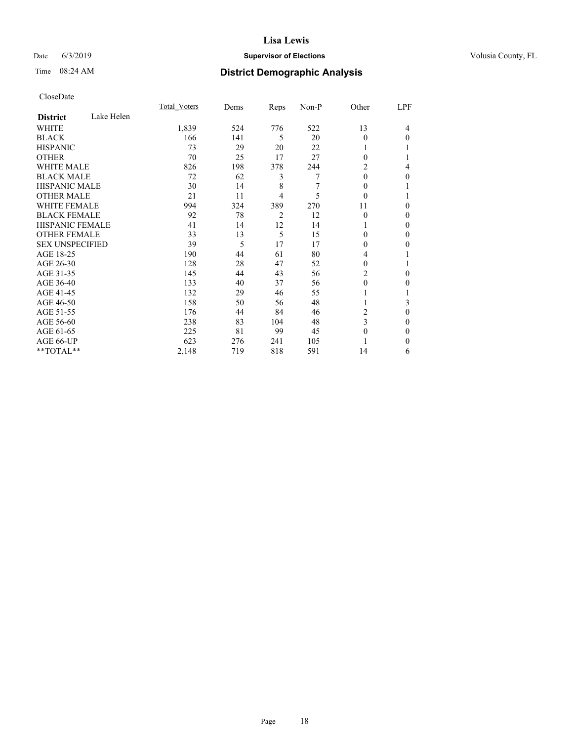## Date 6/3/2019 **Supervisor of Elections Supervisor of Elections** Volusia County, FL

## Time 08:24 AM **District Demographic Analysis**

|                        |            | Total Voters | Dems | Reps           | Non-P | Other    | LPF      |
|------------------------|------------|--------------|------|----------------|-------|----------|----------|
| <b>District</b>        | Lake Helen |              |      |                |       |          |          |
| WHITE                  |            | 1,839        | 524  | 776            | 522   | 13       | 4        |
| <b>BLACK</b>           |            | 166          | 141  | 5              | 20    | $\Omega$ | $\Omega$ |
| <b>HISPANIC</b>        |            | 73           | 29   | 20             | 22    |          |          |
| <b>OTHER</b>           |            | 70           | 25   | 17             | 27    | $\Omega$ |          |
| <b>WHITE MALE</b>      |            | 826          | 198  | 378            | 244   | 2        | 4        |
| <b>BLACK MALE</b>      |            | 72           | 62   | 3              | 7     | $\theta$ | 0        |
| <b>HISPANIC MALE</b>   |            | 30           | 14   | 8              | 7     | $\Omega$ |          |
| <b>OTHER MALE</b>      |            | 21           | 11   | 4              | 5     | $\theta$ |          |
| <b>WHITE FEMALE</b>    |            | 994          | 324  | 389            | 270   | 11       | 0        |
| <b>BLACK FEMALE</b>    |            | 92           | 78   | $\overline{2}$ | 12    | $\theta$ | 0        |
| <b>HISPANIC FEMALE</b> |            | 41           | 14   | 12             | 14    |          | 0        |
| <b>OTHER FEMALE</b>    |            | 33           | 13   | 5              | 15    | $\Omega$ | 0        |
| <b>SEX UNSPECIFIED</b> |            | 39           | 5    | 17             | 17    | 0        | 0        |
| AGE 18-25              |            | 190          | 44   | 61             | 80    | 4        |          |
| AGE 26-30              |            | 128          | 28   | 47             | 52    | $\Omega$ |          |
| AGE 31-35              |            | 145          | 44   | 43             | 56    | 2        | 0        |
| AGE 36-40              |            | 133          | 40   | 37             | 56    | 0        | 0        |
| AGE 41-45              |            | 132          | 29   | 46             | 55    |          |          |
| AGE 46-50              |            | 158          | 50   | 56             | 48    |          | 3        |
| AGE 51-55              |            | 176          | 44   | 84             | 46    | 2        | 0        |
| AGE 56-60              |            | 238          | 83   | 104            | 48    | 3        | 0        |
| AGE 61-65              |            | 225          | 81   | 99             | 45    | $\Omega$ | 0        |
| AGE 66-UP              |            | 623          | 276  | 241            | 105   |          | 0        |
| **TOTAL**              |            | 2,148        | 719  | 818            | 591   | 14       | 6        |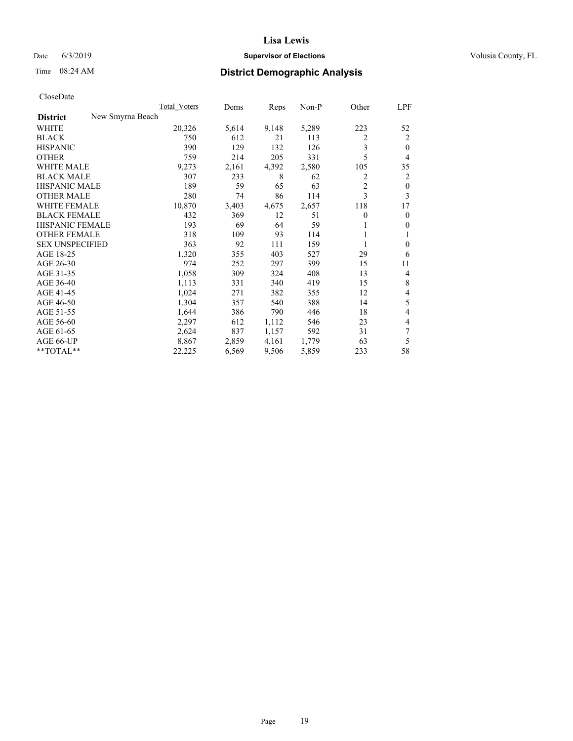## Date 6/3/2019 **Supervisor of Elections Supervisor of Elections** Volusia County, FL

# Time 08:24 AM **District Demographic Analysis**

| New Smyrna Beach<br><b>District</b><br>20,326<br>5,289<br>223<br>WHITE<br>5,614<br>9,148<br>52<br><b>BLACK</b><br>750<br>612<br>21<br>113<br>2<br>2<br>3<br>390<br>129<br><b>HISPANIC</b><br>132<br>126<br>$\theta$<br>5<br><b>OTHER</b><br>759<br>214<br>205<br>331<br>4<br><b>WHITE MALE</b><br>9,273<br>4,392<br>2,580<br>105<br>35<br>2,161<br><b>BLACK MALE</b><br>307<br>233<br>8<br>62<br>2<br>2<br>$\overline{2}$<br><b>HISPANIC MALE</b><br>189<br>59<br>65<br>63<br>$\mathbf{0}$<br>3<br>3<br><b>OTHER MALE</b><br>280<br>74<br>86<br>114<br><b>WHITE FEMALE</b><br>10,870<br>2,657<br>118<br>3,403<br>4,675<br>17<br><b>BLACK FEMALE</b><br>432<br>369<br>12<br>51<br>0<br>$\mathbf{0}$<br>HISPANIC FEMALE<br>193<br>69<br>59<br>64<br>$\mathbf{0}$<br>1<br><b>OTHER FEMALE</b><br>109<br>93<br>318<br>114<br>1<br><b>SEX UNSPECIFIED</b><br>92<br>363<br>111<br>159<br>$\theta$<br>1<br>AGE 18-25<br>1,320<br>403<br>29<br>6<br>355<br>527<br>AGE 26-30<br>974<br>399<br>15<br>252<br>297<br>11<br>AGE 31-35<br>1,058<br>309<br>324<br>408<br>13<br>4<br>8<br>AGE 36-40<br>1,113<br>331<br>340<br>419<br>15<br>1,024<br>AGE 41-45<br>382<br>12<br>4<br>271<br>355<br>5<br>AGE 46-50<br>1,304<br>540<br>388<br>14<br>357<br>4<br>AGE 51-55<br>1,644<br>386<br>790<br>446<br>18<br>2,297<br>612<br>23<br>4<br>AGE 56-60<br>1,112<br>546<br>7<br>AGE 61-65<br>837<br>2,624<br>1,157<br>592<br>31<br>5<br>AGE 66-UP<br>8,867<br>2,859<br>4,161<br>1,779<br>63<br>58<br>**TOTAL**<br>22,225<br>6,569<br>9,506<br>5,859<br>233 |  | Total Voters | Dems | Reps | $Non-P$ | Other | LPF |
|--------------------------------------------------------------------------------------------------------------------------------------------------------------------------------------------------------------------------------------------------------------------------------------------------------------------------------------------------------------------------------------------------------------------------------------------------------------------------------------------------------------------------------------------------------------------------------------------------------------------------------------------------------------------------------------------------------------------------------------------------------------------------------------------------------------------------------------------------------------------------------------------------------------------------------------------------------------------------------------------------------------------------------------------------------------------------------------------------------------------------------------------------------------------------------------------------------------------------------------------------------------------------------------------------------------------------------------------------------------------------------------------------------------------------------------------------------------------------------------------------------------------------------------|--|--------------|------|------|---------|-------|-----|
|                                                                                                                                                                                                                                                                                                                                                                                                                                                                                                                                                                                                                                                                                                                                                                                                                                                                                                                                                                                                                                                                                                                                                                                                                                                                                                                                                                                                                                                                                                                                      |  |              |      |      |         |       |     |
|                                                                                                                                                                                                                                                                                                                                                                                                                                                                                                                                                                                                                                                                                                                                                                                                                                                                                                                                                                                                                                                                                                                                                                                                                                                                                                                                                                                                                                                                                                                                      |  |              |      |      |         |       |     |
|                                                                                                                                                                                                                                                                                                                                                                                                                                                                                                                                                                                                                                                                                                                                                                                                                                                                                                                                                                                                                                                                                                                                                                                                                                                                                                                                                                                                                                                                                                                                      |  |              |      |      |         |       |     |
|                                                                                                                                                                                                                                                                                                                                                                                                                                                                                                                                                                                                                                                                                                                                                                                                                                                                                                                                                                                                                                                                                                                                                                                                                                                                                                                                                                                                                                                                                                                                      |  |              |      |      |         |       |     |
|                                                                                                                                                                                                                                                                                                                                                                                                                                                                                                                                                                                                                                                                                                                                                                                                                                                                                                                                                                                                                                                                                                                                                                                                                                                                                                                                                                                                                                                                                                                                      |  |              |      |      |         |       |     |
|                                                                                                                                                                                                                                                                                                                                                                                                                                                                                                                                                                                                                                                                                                                                                                                                                                                                                                                                                                                                                                                                                                                                                                                                                                                                                                                                                                                                                                                                                                                                      |  |              |      |      |         |       |     |
|                                                                                                                                                                                                                                                                                                                                                                                                                                                                                                                                                                                                                                                                                                                                                                                                                                                                                                                                                                                                                                                                                                                                                                                                                                                                                                                                                                                                                                                                                                                                      |  |              |      |      |         |       |     |
|                                                                                                                                                                                                                                                                                                                                                                                                                                                                                                                                                                                                                                                                                                                                                                                                                                                                                                                                                                                                                                                                                                                                                                                                                                                                                                                                                                                                                                                                                                                                      |  |              |      |      |         |       |     |
|                                                                                                                                                                                                                                                                                                                                                                                                                                                                                                                                                                                                                                                                                                                                                                                                                                                                                                                                                                                                                                                                                                                                                                                                                                                                                                                                                                                                                                                                                                                                      |  |              |      |      |         |       |     |
|                                                                                                                                                                                                                                                                                                                                                                                                                                                                                                                                                                                                                                                                                                                                                                                                                                                                                                                                                                                                                                                                                                                                                                                                                                                                                                                                                                                                                                                                                                                                      |  |              |      |      |         |       |     |
|                                                                                                                                                                                                                                                                                                                                                                                                                                                                                                                                                                                                                                                                                                                                                                                                                                                                                                                                                                                                                                                                                                                                                                                                                                                                                                                                                                                                                                                                                                                                      |  |              |      |      |         |       |     |
|                                                                                                                                                                                                                                                                                                                                                                                                                                                                                                                                                                                                                                                                                                                                                                                                                                                                                                                                                                                                                                                                                                                                                                                                                                                                                                                                                                                                                                                                                                                                      |  |              |      |      |         |       |     |
|                                                                                                                                                                                                                                                                                                                                                                                                                                                                                                                                                                                                                                                                                                                                                                                                                                                                                                                                                                                                                                                                                                                                                                                                                                                                                                                                                                                                                                                                                                                                      |  |              |      |      |         |       |     |
|                                                                                                                                                                                                                                                                                                                                                                                                                                                                                                                                                                                                                                                                                                                                                                                                                                                                                                                                                                                                                                                                                                                                                                                                                                                                                                                                                                                                                                                                                                                                      |  |              |      |      |         |       |     |
|                                                                                                                                                                                                                                                                                                                                                                                                                                                                                                                                                                                                                                                                                                                                                                                                                                                                                                                                                                                                                                                                                                                                                                                                                                                                                                                                                                                                                                                                                                                                      |  |              |      |      |         |       |     |
|                                                                                                                                                                                                                                                                                                                                                                                                                                                                                                                                                                                                                                                                                                                                                                                                                                                                                                                                                                                                                                                                                                                                                                                                                                                                                                                                                                                                                                                                                                                                      |  |              |      |      |         |       |     |
|                                                                                                                                                                                                                                                                                                                                                                                                                                                                                                                                                                                                                                                                                                                                                                                                                                                                                                                                                                                                                                                                                                                                                                                                                                                                                                                                                                                                                                                                                                                                      |  |              |      |      |         |       |     |
|                                                                                                                                                                                                                                                                                                                                                                                                                                                                                                                                                                                                                                                                                                                                                                                                                                                                                                                                                                                                                                                                                                                                                                                                                                                                                                                                                                                                                                                                                                                                      |  |              |      |      |         |       |     |
|                                                                                                                                                                                                                                                                                                                                                                                                                                                                                                                                                                                                                                                                                                                                                                                                                                                                                                                                                                                                                                                                                                                                                                                                                                                                                                                                                                                                                                                                                                                                      |  |              |      |      |         |       |     |
|                                                                                                                                                                                                                                                                                                                                                                                                                                                                                                                                                                                                                                                                                                                                                                                                                                                                                                                                                                                                                                                                                                                                                                                                                                                                                                                                                                                                                                                                                                                                      |  |              |      |      |         |       |     |
|                                                                                                                                                                                                                                                                                                                                                                                                                                                                                                                                                                                                                                                                                                                                                                                                                                                                                                                                                                                                                                                                                                                                                                                                                                                                                                                                                                                                                                                                                                                                      |  |              |      |      |         |       |     |
|                                                                                                                                                                                                                                                                                                                                                                                                                                                                                                                                                                                                                                                                                                                                                                                                                                                                                                                                                                                                                                                                                                                                                                                                                                                                                                                                                                                                                                                                                                                                      |  |              |      |      |         |       |     |
|                                                                                                                                                                                                                                                                                                                                                                                                                                                                                                                                                                                                                                                                                                                                                                                                                                                                                                                                                                                                                                                                                                                                                                                                                                                                                                                                                                                                                                                                                                                                      |  |              |      |      |         |       |     |
|                                                                                                                                                                                                                                                                                                                                                                                                                                                                                                                                                                                                                                                                                                                                                                                                                                                                                                                                                                                                                                                                                                                                                                                                                                                                                                                                                                                                                                                                                                                                      |  |              |      |      |         |       |     |
|                                                                                                                                                                                                                                                                                                                                                                                                                                                                                                                                                                                                                                                                                                                                                                                                                                                                                                                                                                                                                                                                                                                                                                                                                                                                                                                                                                                                                                                                                                                                      |  |              |      |      |         |       |     |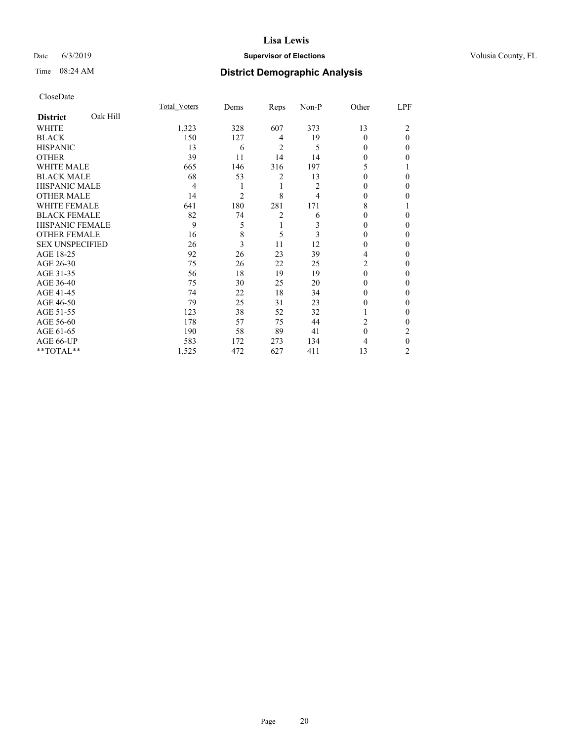## Date 6/3/2019 **Supervisor of Elections Supervisor of Elections** Volusia County, FL

# Time 08:24 AM **District Demographic Analysis**

|                        |          | Total Voters | Dems           | Reps           | Non-P | Other    | LPF          |
|------------------------|----------|--------------|----------------|----------------|-------|----------|--------------|
| <b>District</b>        | Oak Hill |              |                |                |       |          |              |
| WHITE                  |          | 1,323        | 328            | 607            | 373   | 13       | 2            |
| <b>BLACK</b>           |          | 150          | 127            | 4              | 19    | $\theta$ | $\theta$     |
| <b>HISPANIC</b>        |          | 13           | 6              | 2              | 5     | 0        | 0            |
| <b>OTHER</b>           |          | 39           | 11             | 14             | 14    | 0        | 0            |
| WHITE MALE             |          | 665          | 146            | 316            | 197   | 5        |              |
| <b>BLACK MALE</b>      |          | 68           | 53             | 2              | 13    | $\Omega$ | 0            |
| <b>HISPANIC MALE</b>   |          | 4            | 1              | 1              | 2     | 0        | 0            |
| <b>OTHER MALE</b>      |          | 14           | $\overline{c}$ | 8              | 4     | 0        | 0            |
| WHITE FEMALE           |          | 641          | 180            | 281            | 171   | 8        |              |
| <b>BLACK FEMALE</b>    |          | 82           | 74             | $\overline{2}$ | 6     | $\Omega$ | 0            |
| <b>HISPANIC FEMALE</b> |          | 9            | 5              | 1              | 3     | 0        | 0            |
| <b>OTHER FEMALE</b>    |          | 16           | 8              | 5              | 3     | 0        | 0            |
| <b>SEX UNSPECIFIED</b> |          | 26           | 3              | 11             | 12    | $\theta$ | 0            |
| AGE 18-25              |          | 92           | 26             | 23             | 39    | 4        | 0            |
| AGE 26-30              |          | 75           | 26             | 22             | 25    | 2        | 0            |
| AGE 31-35              |          | 56           | 18             | 19             | 19    | $\Omega$ | 0            |
| AGE 36-40              |          | 75           | 30             | 25             | 20    | $\Omega$ | 0            |
| AGE 41-45              |          | 74           | 22             | 18             | 34    | 0        | 0            |
| AGE 46-50              |          | 79           | 25             | 31             | 23    | 0        | 0            |
| AGE 51-55              |          | 123          | 38             | 52             | 32    | 1        | $\mathbf{0}$ |
| AGE 56-60              |          | 178          | 57             | 75             | 44    | 2        | 0            |
| AGE 61-65              |          | 190          | 58             | 89             | 41    | $\theta$ | 2            |
| AGE 66-UP              |          | 583          | 172            | 273            | 134   | 4        | $\theta$     |
| **TOTAL**              |          | 1,525        | 472            | 627            | 411   | 13       | 2            |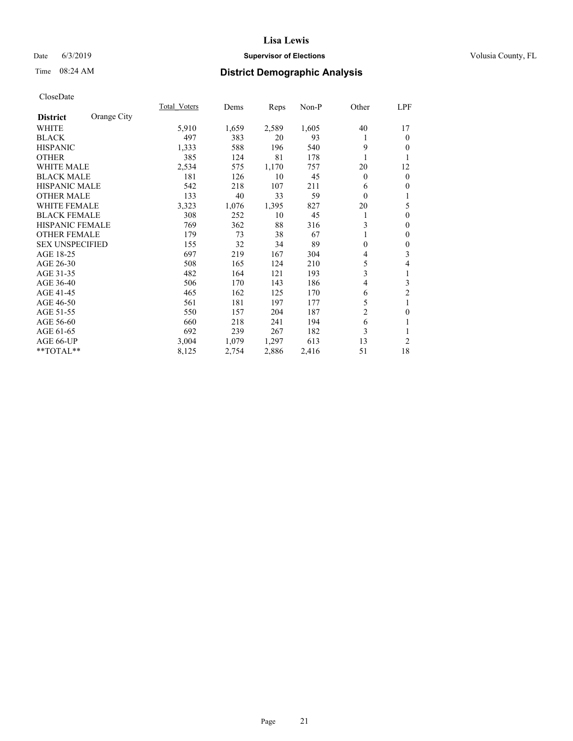## Date 6/3/2019 **Supervisor of Elections Supervisor of Elections** Volusia County, FL

# Time 08:24 AM **District Demographic Analysis**

|                        |             | Total Voters | Dems  | Reps  | Non-P | Other            | LPF              |
|------------------------|-------------|--------------|-------|-------|-------|------------------|------------------|
| <b>District</b>        | Orange City |              |       |       |       |                  |                  |
| WHITE                  |             | 5,910        | 1,659 | 2,589 | 1,605 | 40               | 17               |
| <b>BLACK</b>           |             | 497          | 383   | 20    | 93    |                  | $\mathbf{0}$     |
| <b>HISPANIC</b>        |             | 1,333        | 588   | 196   | 540   | 9                | $\mathbf{0}$     |
| <b>OTHER</b>           |             | 385          | 124   | 81    | 178   |                  | 1                |
| <b>WHITE MALE</b>      |             | 2,534        | 575   | 1,170 | 757   | 20               | 12               |
| <b>BLACK MALE</b>      |             | 181          | 126   | 10    | 45    | $\theta$         | $\mathbf{0}$     |
| <b>HISPANIC MALE</b>   |             | 542          | 218   | 107   | 211   | 6                | $\mathbf{0}$     |
| <b>OTHER MALE</b>      |             | 133          | 40    | 33    | 59    | $\theta$         | 1                |
| <b>WHITE FEMALE</b>    |             | 3,323        | 1,076 | 1,395 | 827   | 20               | 5                |
| <b>BLACK FEMALE</b>    |             | 308          | 252   | 10    | 45    | 1                | $\mathbf{0}$     |
| <b>HISPANIC FEMALE</b> |             | 769          | 362   | 88    | 316   | 3                | $\mathbf{0}$     |
| <b>OTHER FEMALE</b>    |             | 179          | 73    | 38    | 67    |                  | $\mathbf{0}$     |
| <b>SEX UNSPECIFIED</b> |             | 155          | 32    | 34    | 89    | $\boldsymbol{0}$ | $\boldsymbol{0}$ |
| AGE 18-25              |             | 697          | 219   | 167   | 304   | 4                | 3                |
| AGE 26-30              |             | 508          | 165   | 124   | 210   | 5                | $\overline{4}$   |
| AGE 31-35              |             | 482          | 164   | 121   | 193   | 3                | 1                |
| AGE 36-40              |             | 506          | 170   | 143   | 186   | $\overline{4}$   | 3                |
| AGE 41-45              |             | 465          | 162   | 125   | 170   | 6                | $\sqrt{2}$       |
| AGE 46-50              |             | 561          | 181   | 197   | 177   | 5                | 1                |
| AGE 51-55              |             | 550          | 157   | 204   | 187   | $\overline{c}$   | $\mathbf{0}$     |
| AGE 56-60              |             | 660          | 218   | 241   | 194   | 6                |                  |
| AGE 61-65              |             | 692          | 239   | 267   | 182   | 3                |                  |
| AGE 66-UP              |             | 3,004        | 1,079 | 1,297 | 613   | 13               | 2                |
| **TOTAL**              |             | 8,125        | 2,754 | 2,886 | 2,416 | 51               | 18               |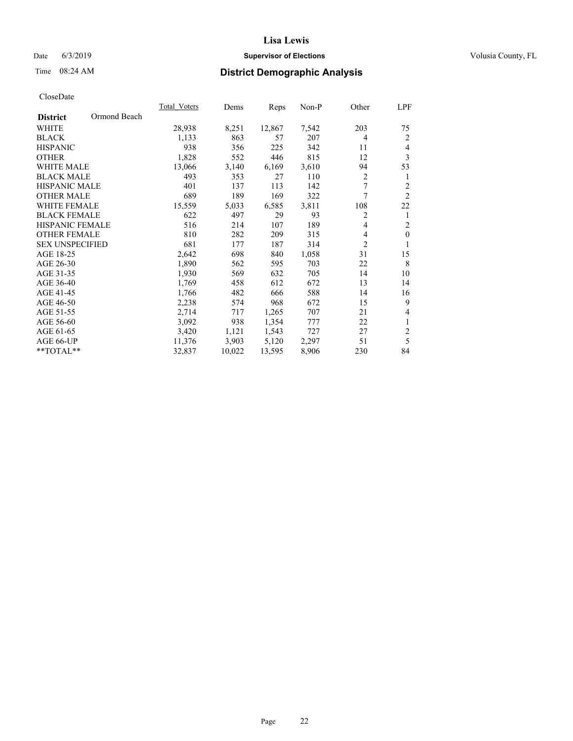## Date 6/3/2019 **Supervisor of Elections Supervisor of Elections** Volusia County, FL

## Time 08:24 AM **District Demographic Analysis**

|                                 | Total Voters | Dems   | Reps   | Non-P | Other          | LPF            |
|---------------------------------|--------------|--------|--------|-------|----------------|----------------|
| Ormond Beach<br><b>District</b> |              |        |        |       |                |                |
| WHITE                           | 28,938       | 8,251  | 12,867 | 7,542 | 203            | 75             |
| <b>BLACK</b>                    | 1,133        | 863    | 57     | 207   | 4              | 2              |
| <b>HISPANIC</b>                 | 938          | 356    | 225    | 342   | 11             | 4              |
| <b>OTHER</b>                    | 1,828        | 552    | 446    | 815   | 12             | 3              |
| <b>WHITE MALE</b>               | 13,066       | 3,140  | 6,169  | 3,610 | 94             | 53             |
| <b>BLACK MALE</b>               | 493          | 353    | 27     | 110   | $\overline{c}$ | 1              |
| <b>HISPANIC MALE</b>            | 401          | 137    | 113    | 142   | 7              | $\overline{2}$ |
| <b>OTHER MALE</b>               | 689          | 189    | 169    | 322   | 7              | $\overline{2}$ |
| WHITE FEMALE                    | 15,559       | 5,033  | 6,585  | 3,811 | 108            | 22             |
| <b>BLACK FEMALE</b>             | 622          | 497    | 29     | 93    | 2              | 1              |
| <b>HISPANIC FEMALE</b>          | 516          | 214    | 107    | 189   | 4              | $\overline{2}$ |
| <b>OTHER FEMALE</b>             | 810          | 282    | 209    | 315   | 4              | $\mathbf{0}$   |
| <b>SEX UNSPECIFIED</b>          | 681          | 177    | 187    | 314   | $\overline{2}$ | 1              |
| AGE 18-25                       | 2,642        | 698    | 840    | 1,058 | 31             | 15             |
| AGE 26-30                       | 1,890        | 562    | 595    | 703   | 22             | 8              |
| AGE 31-35                       | 1,930        | 569    | 632    | 705   | 14             | 10             |
| AGE 36-40                       | 1,769        | 458    | 612    | 672   | 13             | 14             |
| AGE 41-45                       | 1,766        | 482    | 666    | 588   | 14             | 16             |
| AGE 46-50                       | 2,238        | 574    | 968    | 672   | 15             | 9              |
| AGE 51-55                       | 2,714        | 717    | 1,265  | 707   | 21             | 4              |
| AGE 56-60                       | 3,092        | 938    | 1,354  | 777   | 22             | $\mathbf{1}$   |
| AGE 61-65                       | 3,420        | 1,121  | 1,543  | 727   | 27             | $\overline{2}$ |
| AGE 66-UP                       | 11,376       | 3,903  | 5,120  | 2,297 | 51             | 5              |
| **TOTAL**                       | 32,837       | 10,022 | 13,595 | 8,906 | 230            | 84             |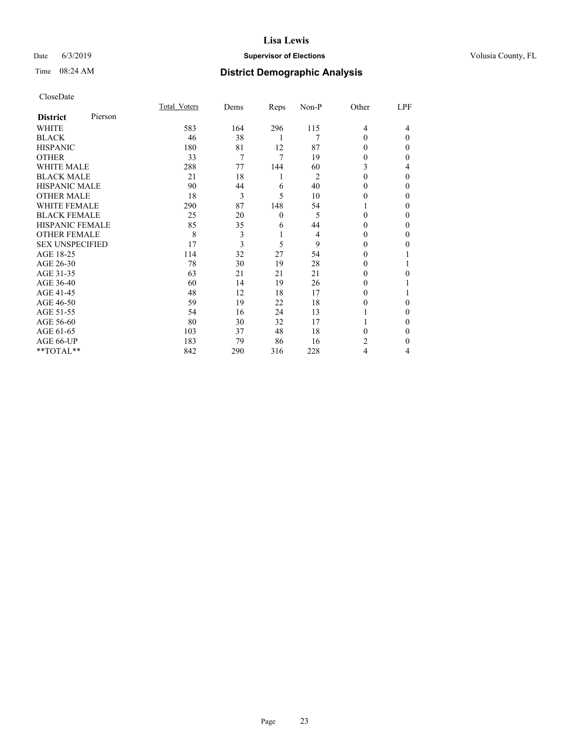## Date 6/3/2019 **Supervisor of Elections Supervisor of Elections** Volusia County, FL

# Time 08:24 AM **District Demographic Analysis**

|                        |         | Total Voters | Dems | Reps     | Non-P          | Other          | LPF      |
|------------------------|---------|--------------|------|----------|----------------|----------------|----------|
| <b>District</b>        | Pierson |              |      |          |                |                |          |
| WHITE                  |         | 583          | 164  | 296      | 115            | $\overline{4}$ | 4        |
| <b>BLACK</b>           |         | 46           | 38   | 1        | 7              | 0              | $\Omega$ |
| <b>HISPANIC</b>        |         | 180          | 81   | 12       | 87             | 0              | 0        |
| <b>OTHER</b>           |         | 33           | 7    | 7        | 19             | 0              | 0        |
| <b>WHITE MALE</b>      |         | 288          | 77   | 144      | 60             | 3              | 4        |
| <b>BLACK MALE</b>      |         | 21           | 18   | 1        | $\overline{2}$ | $\theta$       | 0        |
| <b>HISPANIC MALE</b>   |         | 90           | 44   | 6        | 40             | 0              | 0        |
| <b>OTHER MALE</b>      |         | 18           | 3    | 5        | 10             | 0              | 0        |
| <b>WHITE FEMALE</b>    |         | 290          | 87   | 148      | 54             |                | 0        |
| <b>BLACK FEMALE</b>    |         | 25           | 20   | $\theta$ | 5              | $\Omega$       | 0        |
| <b>HISPANIC FEMALE</b> |         | 85           | 35   | 6        | 44             | 0              | 0        |
| <b>OTHER FEMALE</b>    |         | 8            | 3    | 1        | 4              | 0              | 0        |
| <b>SEX UNSPECIFIED</b> |         | 17           | 3    | 5        | 9              | $\theta$       | 0        |
| AGE 18-25              |         | 114          | 32   | 27       | 54             | $\theta$       |          |
| AGE 26-30              |         | 78           | 30   | 19       | 28             | 0              |          |
| AGE 31-35              |         | 63           | 21   | 21       | 21             | 0              | 0        |
| AGE 36-40              |         | 60           | 14   | 19       | 26             | $\Omega$       |          |
| AGE 41-45              |         | 48           | 12   | 18       | 17             | 0              |          |
| AGE 46-50              |         | 59           | 19   | 22       | 18             | 0              | 0        |
| AGE 51-55              |         | 54           | 16   | 24       | 13             |                | $_{0}$   |
| AGE 56-60              |         | 80           | 30   | 32       | 17             |                | 0        |
| AGE 61-65              |         | 103          | 37   | 48       | 18             | 0              | 0        |
| AGE 66-UP              |         | 183          | 79   | 86       | 16             | 2              | 0        |
| **TOTAL**              |         | 842          | 290  | 316      | 228            | 4              | 4        |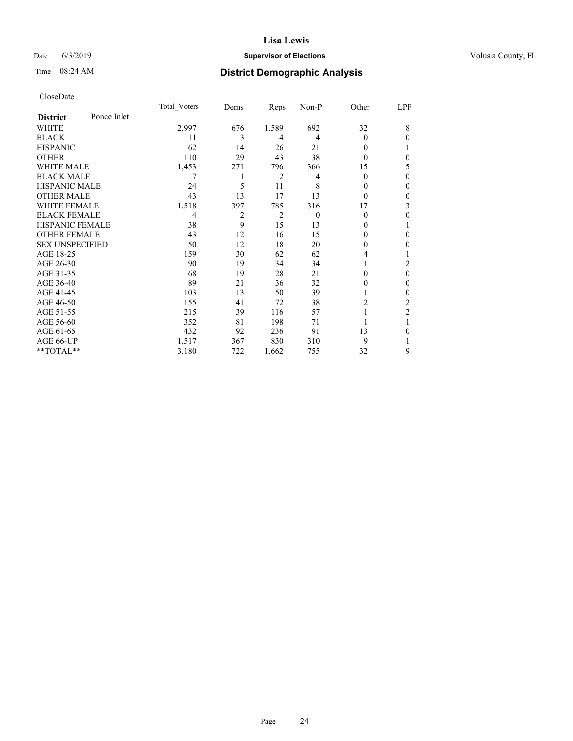## Date 6/3/2019 **Supervisor of Elections Supervisor of Elections** Volusia County, FL

# Time 08:24 AM **District Demographic Analysis**

|                        |             | Total Voters | Dems | Reps           | Non-P    | Other          | LPF          |
|------------------------|-------------|--------------|------|----------------|----------|----------------|--------------|
| <b>District</b>        | Ponce Inlet |              |      |                |          |                |              |
| WHITE                  |             | 2,997        | 676  | 1,589          | 692      | 32             | 8            |
| <b>BLACK</b>           |             | 11           | 3    | 4              | 4        | $\Omega$       | $\theta$     |
| <b>HISPANIC</b>        |             | 62           | 14   | 26             | 21       | 0              | 1            |
| <b>OTHER</b>           |             | 110          | 29   | 43             | 38       | 0              | $\mathbf{0}$ |
| <b>WHITE MALE</b>      |             | 1,453        | 271  | 796            | 366      | 15             | 5            |
| <b>BLACK MALE</b>      |             | 7            | 1    | 2              | 4        | 0              | $\theta$     |
| <b>HISPANIC MALE</b>   |             | 24           | 5    | 11             | 8        | $_{0}$         | $\theta$     |
| <b>OTHER MALE</b>      |             | 43           | 13   | 17             | 13       | 0              | $\mathbf{0}$ |
| <b>WHITE FEMALE</b>    |             | 1,518        | 397  | 785            | 316      | 17             | 3            |
| <b>BLACK FEMALE</b>    |             | 4            | 2    | $\overline{2}$ | $\theta$ | 0              | $\theta$     |
| <b>HISPANIC FEMALE</b> |             | 38           | 9    | 15             | 13       | 0              | 1            |
| <b>OTHER FEMALE</b>    |             | 43           | 12   | 16             | 15       | 0              | $\mathbf{0}$ |
| <b>SEX UNSPECIFIED</b> |             | 50           | 12   | 18             | 20       | 0              | $\mathbf{0}$ |
| AGE 18-25              |             | 159          | 30   | 62             | 62       | 4              |              |
| AGE 26-30              |             | 90           | 19   | 34             | 34       |                | 2            |
| AGE 31-35              |             | 68           | 19   | 28             | 21       | 0              | $\theta$     |
| AGE 36-40              |             | 89           | 21   | 36             | 32       | 0              | $\theta$     |
| AGE 41-45              |             | 103          | 13   | 50             | 39       |                | $\mathbf{0}$ |
| AGE 46-50              |             | 155          | 41   | 72             | 38       | $\overline{c}$ | 2            |
| AGE 51-55              |             | 215          | 39   | 116            | 57       |                | 2            |
| AGE 56-60              |             | 352          | 81   | 198            | 71       |                |              |
| AGE 61-65              |             | 432          | 92   | 236            | 91       | 13             | $\theta$     |
| AGE 66-UP              |             | 1,517        | 367  | 830            | 310      | 9              |              |
| **TOTAL**              |             | 3,180        | 722  | 1,662          | 755      | 32             | 9            |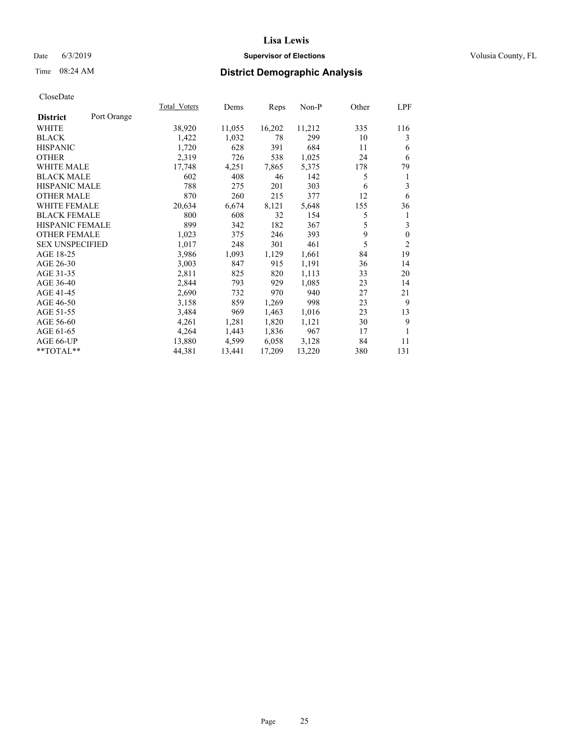## Date 6/3/2019 **Supervisor of Elections Supervisor of Elections** Volusia County, FL

# Time 08:24 AM **District Demographic Analysis**

|                                | Total Voters | Dems   | Reps   | Non-P  | Other | LPF          |
|--------------------------------|--------------|--------|--------|--------|-------|--------------|
| Port Orange<br><b>District</b> |              |        |        |        |       |              |
| <b>WHITE</b>                   | 38,920       | 11,055 | 16,202 | 11,212 | 335   | 116          |
| <b>BLACK</b>                   | 1,422        | 1,032  | 78     | 299    | 10    | 3            |
| <b>HISPANIC</b>                | 1,720        | 628    | 391    | 684    | 11    | 6            |
| <b>OTHER</b>                   | 2,319        | 726    | 538    | 1,025  | 24    | 6            |
| WHITE MALE                     | 17,748       | 4,251  | 7,865  | 5,375  | 178   | 79           |
| <b>BLACK MALE</b>              | 602          | 408    | 46     | 142    | 5     | 1            |
| <b>HISPANIC MALE</b>           | 788          | 275    | 201    | 303    | 6     | 3            |
| <b>OTHER MALE</b>              | 870          | 260    | 215    | 377    | 12    | 6            |
| WHITE FEMALE                   | 20,634       | 6,674  | 8,121  | 5,648  | 155   | 36           |
| <b>BLACK FEMALE</b>            | 800          | 608    | 32     | 154    | 5     | 1            |
| HISPANIC FEMALE                | 899          | 342    | 182    | 367    | 5     | 3            |
| <b>OTHER FEMALE</b>            | 1,023        | 375    | 246    | 393    | 9     | $\mathbf{0}$ |
| <b>SEX UNSPECIFIED</b>         | 1,017        | 248    | 301    | 461    | 5     | 2            |
| AGE 18-25                      | 3,986        | 1,093  | 1,129  | 1,661  | 84    | 19           |
| AGE 26-30                      | 3,003        | 847    | 915    | 1,191  | 36    | 14           |
| AGE 31-35                      | 2,811        | 825    | 820    | 1,113  | 33    | 20           |
| AGE 36-40                      | 2,844        | 793    | 929    | 1,085  | 23    | 14           |
| AGE 41-45                      | 2,690        | 732    | 970    | 940    | 27    | 21           |
| AGE 46-50                      | 3,158        | 859    | 1,269  | 998    | 23    | 9            |
| AGE 51-55                      | 3,484        | 969    | 1,463  | 1,016  | 23    | 13           |
| AGE 56-60                      | 4,261        | 1,281  | 1,820  | 1,121  | 30    | 9            |
| AGE 61-65                      | 4,264        | 1,443  | 1,836  | 967    | 17    | 1            |
| AGE 66-UP                      | 13,880       | 4,599  | 6,058  | 3,128  | 84    | 11           |
| $*$ $TOTAL**$                  | 44,381       | 13,441 | 17,209 | 13,220 | 380   | 131          |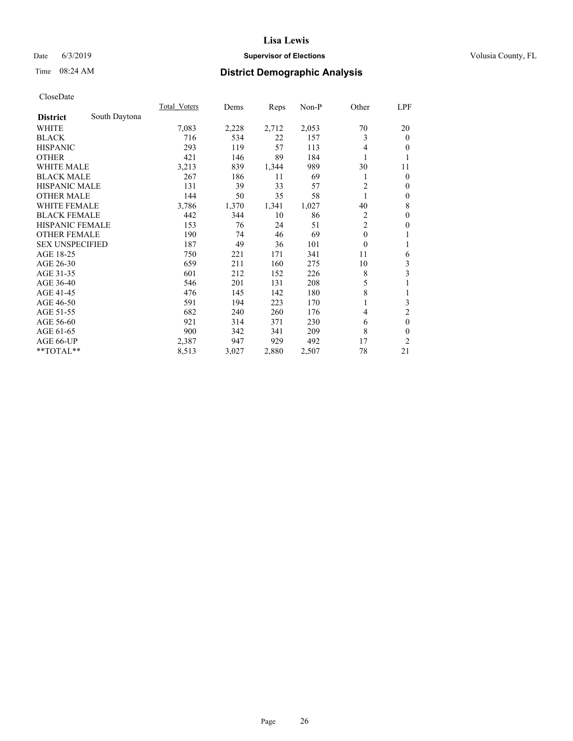## Date 6/3/2019 **Supervisor of Elections Supervisor of Elections** Volusia County, FL

## Time 08:24 AM **District Demographic Analysis**

|                        |               | Total Voters | Dems  | Reps  | Non-P | Other          | LPF            |
|------------------------|---------------|--------------|-------|-------|-------|----------------|----------------|
| <b>District</b>        | South Daytona |              |       |       |       |                |                |
| WHITE                  |               | 7,083        | 2,228 | 2,712 | 2,053 | 70             | 20             |
| <b>BLACK</b>           |               | 716          | 534   | 22    | 157   | 3              | $\mathbf{0}$   |
| <b>HISPANIC</b>        |               | 293          | 119   | 57    | 113   | 4              | $\theta$       |
| <b>OTHER</b>           |               | 421          | 146   | 89    | 184   |                | 1              |
| WHITE MALE             |               | 3,213        | 839   | 1,344 | 989   | 30             | 11             |
| <b>BLACK MALE</b>      |               | 267          | 186   | 11    | 69    |                | $\mathbf{0}$   |
| <b>HISPANIC MALE</b>   |               | 131          | 39    | 33    | 57    | $\overline{c}$ | $\theta$       |
| <b>OTHER MALE</b>      |               | 144          | 50    | 35    | 58    |                | $\mathbf{0}$   |
| <b>WHITE FEMALE</b>    |               | 3,786        | 1,370 | 1,341 | 1,027 | 40             | 8              |
| <b>BLACK FEMALE</b>    |               | 442          | 344   | 10    | 86    | 2              | $\mathbf{0}$   |
| <b>HISPANIC FEMALE</b> |               | 153          | 76    | 24    | 51    | $\overline{2}$ | $\mathbf{0}$   |
| <b>OTHER FEMALE</b>    |               | 190          | 74    | 46    | 69    | $\mathbf{0}$   | 1              |
| <b>SEX UNSPECIFIED</b> |               | 187          | 49    | 36    | 101   | $\theta$       | 1              |
| AGE 18-25              |               | 750          | 221   | 171   | 341   | 11             | 6              |
| AGE 26-30              |               | 659          | 211   | 160   | 275   | 10             | 3              |
| AGE 31-35              |               | 601          | 212   | 152   | 226   | 8              | 3              |
| AGE 36-40              |               | 546          | 201   | 131   | 208   | 5              | 1              |
| AGE 41-45              |               | 476          | 145   | 142   | 180   | 8              | 1              |
| AGE 46-50              |               | 591          | 194   | 223   | 170   |                | 3              |
| AGE 51-55              |               | 682          | 240   | 260   | 176   | 4              | $\overline{c}$ |
| AGE 56-60              |               | 921          | 314   | 371   | 230   | 6              | $\mathbf{0}$   |
| AGE 61-65              |               | 900          | 342   | 341   | 209   | 8              | $\theta$       |
| AGE 66-UP              |               | 2,387        | 947   | 929   | 492   | 17             | 2              |
| **TOTAL**              |               | 8,513        | 3,027 | 2,880 | 2,507 | 78             | 21             |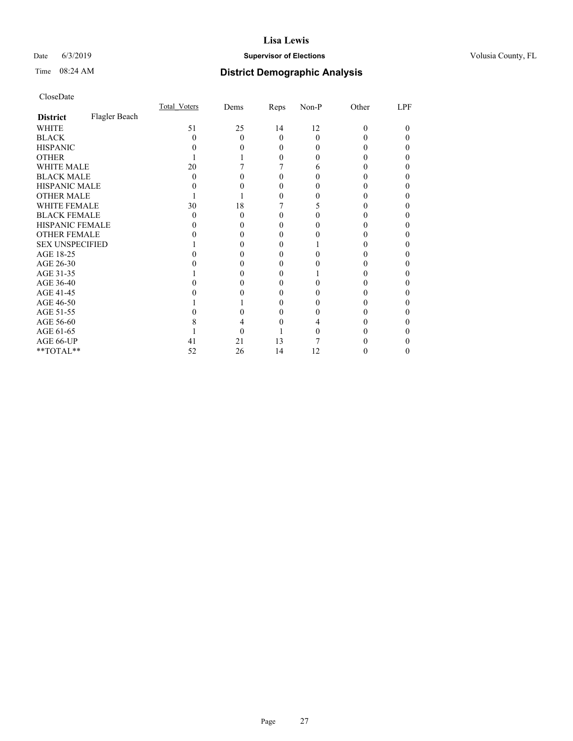## Date 6/3/2019 **Supervisor of Elections Supervisor of Elections** Volusia County, FL

# Time 08:24 AM **District Demographic Analysis**

|                        |               | Total Voters | Dems | Reps     | Non-P | Other | LPF |
|------------------------|---------------|--------------|------|----------|-------|-------|-----|
| <b>District</b>        | Flagler Beach |              |      |          |       |       |     |
| WHITE                  |               | 51           | 25   | 14       | 12    | 0     | 0   |
| <b>BLACK</b>           |               | 0            | 0    | 0        | 0     |       |     |
| <b>HISPANIC</b>        |               |              |      | $\theta$ |       |       |     |
| <b>OTHER</b>           |               |              |      | 0        |       |       |     |
| WHITE MALE             |               | 20           |      |          | h     |       |     |
| <b>BLACK MALE</b>      |               | 0            |      |          |       |       |     |
| <b>HISPANIC MALE</b>   |               |              |      |          |       |       |     |
| <b>OTHER MALE</b>      |               |              |      |          |       |       |     |
| WHITE FEMALE           |               | 30           | 18   |          |       |       |     |
| <b>BLACK FEMALE</b>    |               | 0            | 0    |          |       |       |     |
| <b>HISPANIC FEMALE</b> |               |              |      |          |       |       |     |
| <b>OTHER FEMALE</b>    |               |              |      |          |       |       |     |
| <b>SEX UNSPECIFIED</b> |               |              |      |          |       |       |     |
| AGE 18-25              |               |              |      |          |       |       |     |
| AGE 26-30              |               |              |      |          |       |       |     |
| AGE 31-35              |               |              |      |          |       |       |     |
| AGE 36-40              |               |              |      |          |       |       |     |
| AGE 41-45              |               |              |      |          |       |       |     |
| AGE 46-50              |               |              |      | 0        |       |       |     |
| AGE 51-55              |               |              |      |          |       |       |     |
| AGE 56-60              |               |              |      |          |       |       |     |
| AGE 61-65              |               |              |      |          |       |       |     |
| AGE 66-UP              |               | 41           | 21   | 13       |       |       |     |
| **TOTAL**              |               | 52           | 26   | 14       | 12    |       |     |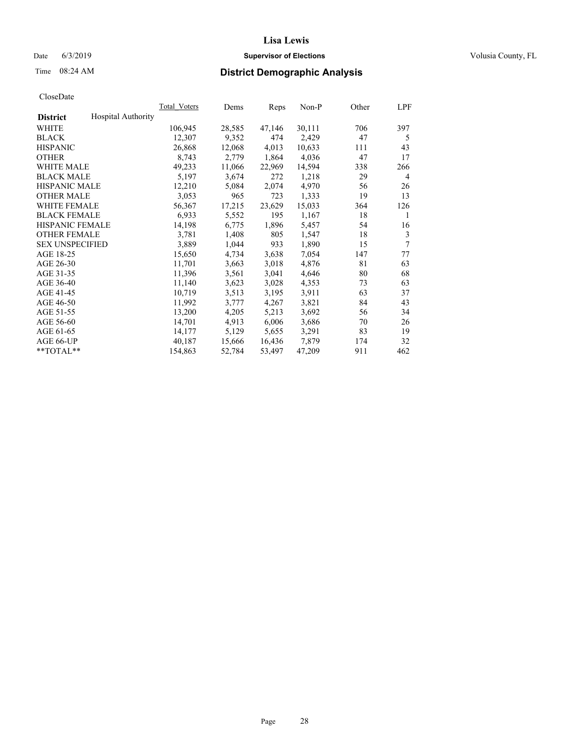## Date 6/3/2019 **Supervisor of Elections Supervisor of Elections** Volusia County, FL

## Time 08:24 AM **District Demographic Analysis**

|                        |                           | Total Voters | Dems   | Reps   | Non-P  | Other | LPF |
|------------------------|---------------------------|--------------|--------|--------|--------|-------|-----|
| <b>District</b>        | <b>Hospital Authority</b> |              |        |        |        |       |     |
| WHITE                  |                           | 106,945      | 28,585 | 47,146 | 30,111 | 706   | 397 |
| <b>BLACK</b>           |                           | 12,307       | 9,352  | 474    | 2,429  | 47    | 5   |
| <b>HISPANIC</b>        |                           | 26,868       | 12,068 | 4,013  | 10,633 | 111   | 43  |
| <b>OTHER</b>           |                           | 8,743        | 2,779  | 1,864  | 4,036  | 47    | 17  |
| WHITE MALE             |                           | 49,233       | 11,066 | 22,969 | 14,594 | 338   | 266 |
| <b>BLACK MALE</b>      |                           | 5,197        | 3,674  | 272    | 1,218  | 29    | 4   |
| <b>HISPANIC MALE</b>   |                           | 12,210       | 5,084  | 2,074  | 4,970  | 56    | 26  |
| <b>OTHER MALE</b>      |                           | 3,053        | 965    | 723    | 1,333  | 19    | 13  |
| <b>WHITE FEMALE</b>    |                           | 56,367       | 17,215 | 23,629 | 15,033 | 364   | 126 |
| <b>BLACK FEMALE</b>    |                           | 6,933        | 5,552  | 195    | 1,167  | 18    | 1   |
| <b>HISPANIC FEMALE</b> |                           | 14,198       | 6,775  | 1,896  | 5,457  | 54    | 16  |
| <b>OTHER FEMALE</b>    |                           | 3,781        | 1,408  | 805    | 1,547  | 18    | 3   |
| <b>SEX UNSPECIFIED</b> |                           | 3,889        | 1,044  | 933    | 1,890  | 15    | 7   |
| AGE 18-25              |                           | 15,650       | 4,734  | 3,638  | 7,054  | 147   | 77  |
| AGE 26-30              |                           | 11,701       | 3,663  | 3,018  | 4,876  | 81    | 63  |
| AGE 31-35              |                           | 11,396       | 3,561  | 3,041  | 4,646  | 80    | 68  |
| AGE 36-40              |                           | 11,140       | 3,623  | 3,028  | 4,353  | 73    | 63  |
| AGE 41-45              |                           | 10,719       | 3,513  | 3,195  | 3,911  | 63    | 37  |
| AGE 46-50              |                           | 11,992       | 3,777  | 4,267  | 3,821  | 84    | 43  |
| AGE 51-55              |                           | 13,200       | 4,205  | 5,213  | 3,692  | 56    | 34  |
| AGE 56-60              |                           | 14,701       | 4,913  | 6,006  | 3,686  | 70    | 26  |
| AGE 61-65              |                           | 14,177       | 5,129  | 5,655  | 3,291  | 83    | 19  |
| AGE 66-UP              |                           | 40,187       | 15,666 | 16,436 | 7,879  | 174   | 32  |
| $*$ TOTAL $*$          |                           | 154,863      | 52,784 | 53,497 | 47,209 | 911   | 462 |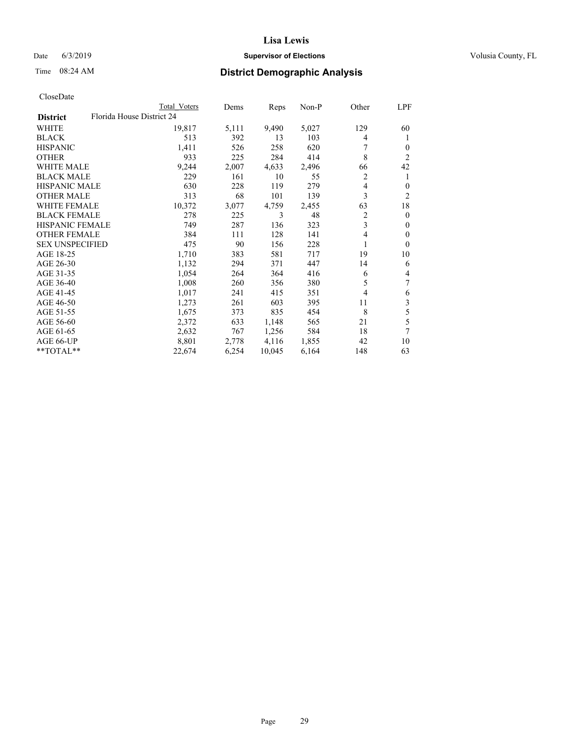## Date 6/3/2019 **Supervisor of Elections Supervisor of Elections** Volusia County, FL

| CloseDate |
|-----------|
|-----------|

|                        | Total Voters              | Dems  | Reps   | Non-P | Other | LPF            |
|------------------------|---------------------------|-------|--------|-------|-------|----------------|
| <b>District</b>        | Florida House District 24 |       |        |       |       |                |
| WHITE                  | 19,817                    | 5,111 | 9,490  | 5,027 | 129   | 60             |
| <b>BLACK</b>           | 513                       | 392   | 13     | 103   | 4     | 1              |
| <b>HISPANIC</b>        | 1,411                     | 526   | 258    | 620   | 7     | $\overline{0}$ |
| <b>OTHER</b>           | 933                       | 225   | 284    | 414   | 8     | $\overline{2}$ |
| <b>WHITE MALE</b>      | 9,244                     | 2,007 | 4,633  | 2,496 | 66    | 42             |
| <b>BLACK MALE</b>      | 229                       | 161   | 10     | 55    | 2     | 1              |
| <b>HISPANIC MALE</b>   | 630                       | 228   | 119    | 279   | 4     | $\theta$       |
| <b>OTHER MALE</b>      | 313                       | 68    | 101    | 139   | 3     | 2              |
| <b>WHITE FEMALE</b>    | 10,372                    | 3,077 | 4,759  | 2,455 | 63    | 18             |
| <b>BLACK FEMALE</b>    | 278                       | 225   | 3      | 48    | 2     | $\overline{0}$ |
| <b>HISPANIC FEMALE</b> | 749                       | 287   | 136    | 323   | 3     | $\Omega$       |
| <b>OTHER FEMALE</b>    | 384                       | 111   | 128    | 141   | 4     | $\Omega$       |
| <b>SEX UNSPECIFIED</b> | 475                       | 90    | 156    | 228   | 1     | $\Omega$       |
| AGE 18-25              | 1,710                     | 383   | 581    | 717   | 19    | 10             |
| AGE 26-30              | 1,132                     | 294   | 371    | 447   | 14    | 6              |
| AGE 31-35              | 1,054                     | 264   | 364    | 416   | 6     | 4              |
| AGE 36-40              | 1,008                     | 260   | 356    | 380   | 5     | 7              |
| AGE 41-45              | 1,017                     | 241   | 415    | 351   | 4     | 6              |
| AGE 46-50              | 1,273                     | 261   | 603    | 395   | 11    | 3              |
| AGE 51-55              | 1,675                     | 373   | 835    | 454   | 8     | 5              |
| AGE 56-60              | 2,372                     | 633   | 1,148  | 565   | 21    | 5              |
| AGE 61-65              | 2,632                     | 767   | 1,256  | 584   | 18    | 7              |
| AGE 66-UP              | 8,801                     | 2,778 | 4,116  | 1,855 | 42    | 10             |
| **TOTAL**              | 22,674                    | 6,254 | 10,045 | 6,164 | 148   | 63             |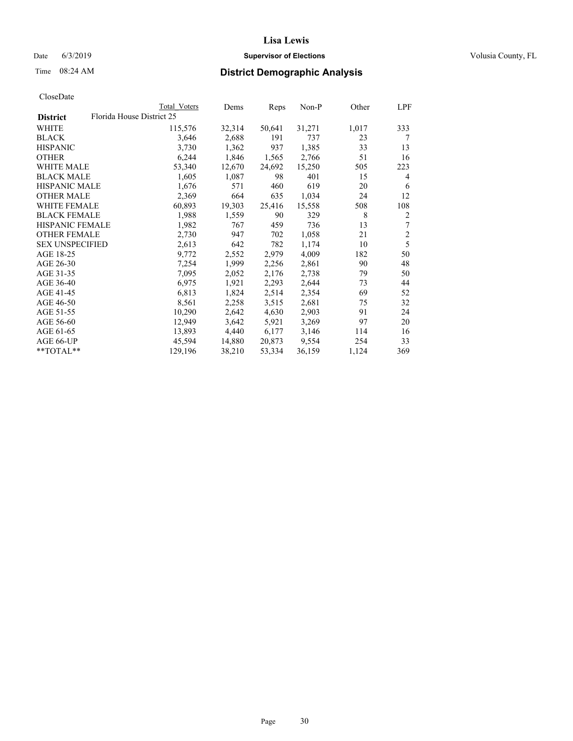## Date 6/3/2019 **Supervisor of Elections Supervisor of Elections** Volusia County, FL

# Time 08:24 AM **District Demographic Analysis**

|                        | Total Voters              | Dems   | Reps   | Non-P  | Other | LPF            |
|------------------------|---------------------------|--------|--------|--------|-------|----------------|
| <b>District</b>        | Florida House District 25 |        |        |        |       |                |
| WHITE                  | 115,576                   | 32,314 | 50,641 | 31,271 | 1,017 | 333            |
| <b>BLACK</b>           | 3,646                     | 2,688  | 191    | 737    | 23    | 7              |
| <b>HISPANIC</b>        | 3,730                     | 1,362  | 937    | 1,385  | 33    | 13             |
| <b>OTHER</b>           | 6,244                     | 1,846  | 1,565  | 2,766  | 51    | 16             |
| WHITE MALE             | 53,340                    | 12,670 | 24,692 | 15,250 | 505   | 223            |
| <b>BLACK MALE</b>      | 1,605                     | 1,087  | 98     | 401    | 15    | 4              |
| <b>HISPANIC MALE</b>   | 1,676                     | 571    | 460    | 619    | 20    | 6              |
| <b>OTHER MALE</b>      | 2,369                     | 664    | 635    | 1,034  | 24    | 12             |
| <b>WHITE FEMALE</b>    | 60,893                    | 19,303 | 25,416 | 15,558 | 508   | 108            |
| <b>BLACK FEMALE</b>    | 1,988                     | 1,559  | 90     | 329    | 8     | 2              |
| <b>HISPANIC FEMALE</b> | 1,982                     | 767    | 459    | 736    | 13    | 7              |
| <b>OTHER FEMALE</b>    | 2,730                     | 947    | 702    | 1,058  | 21    | $\mathfrak{2}$ |
| <b>SEX UNSPECIFIED</b> | 2,613                     | 642    | 782    | 1,174  | 10    | 5              |
| AGE 18-25              | 9,772                     | 2,552  | 2,979  | 4,009  | 182   | 50             |
| AGE 26-30              | 7,254                     | 1,999  | 2,256  | 2,861  | 90    | 48             |
| AGE 31-35              | 7,095                     | 2,052  | 2,176  | 2,738  | 79    | 50             |
| AGE 36-40              | 6,975                     | 1,921  | 2,293  | 2,644  | 73    | 44             |
| AGE 41-45              | 6,813                     | 1,824  | 2,514  | 2,354  | 69    | 52             |
| AGE 46-50              | 8,561                     | 2,258  | 3,515  | 2,681  | 75    | 32             |
| AGE 51-55              | 10,290                    | 2,642  | 4,630  | 2,903  | 91    | 24             |
| AGE 56-60              | 12,949                    | 3,642  | 5,921  | 3,269  | 97    | 20             |
| AGE 61-65              | 13,893                    | 4,440  | 6,177  | 3,146  | 114   | 16             |
| AGE 66-UP              | 45,594                    | 14,880 | 20,873 | 9,554  | 254   | 33             |
| $*$ TOTAL $*$          | 129,196                   | 38,210 | 53,334 | 36,159 | 1,124 | 369            |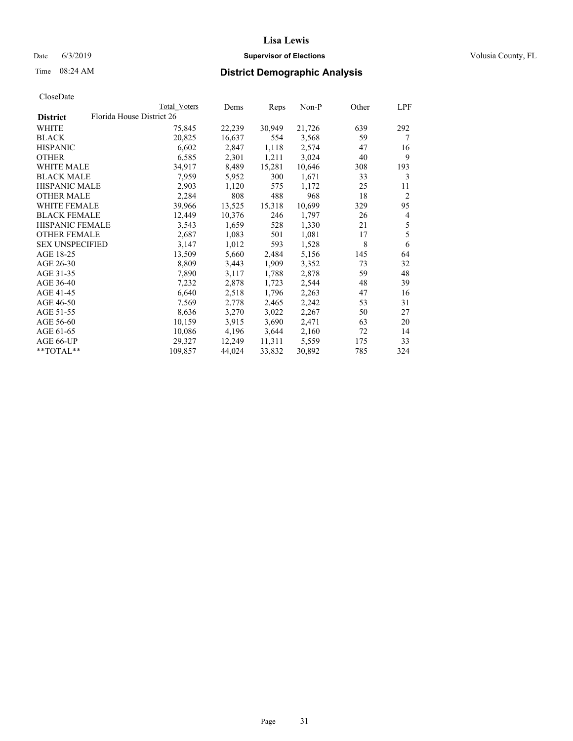## Date 6/3/2019 **Supervisor of Elections Supervisor of Elections** Volusia County, FL

|                        |                           | Total Voters | Dems   | Reps   | Non-P  | Other | LPF            |
|------------------------|---------------------------|--------------|--------|--------|--------|-------|----------------|
| <b>District</b>        | Florida House District 26 |              |        |        |        |       |                |
| WHITE                  |                           | 75,845       | 22,239 | 30,949 | 21,726 | 639   | 292            |
| BLACK                  |                           | 20,825       | 16,637 | 554    | 3,568  | 59    | 7              |
| <b>HISPANIC</b>        |                           | 6,602        | 2,847  | 1,118  | 2,574  | 47    | 16             |
| OTHER                  |                           | 6,585        | 2,301  | 1,211  | 3,024  | 40    | 9              |
| WHITE MALE             |                           | 34,917       | 8,489  | 15,281 | 10,646 | 308   | 193            |
| <b>BLACK MALE</b>      |                           | 7,959        | 5,952  | 300    | 1,671  | 33    | 3              |
| <b>HISPANIC MALE</b>   |                           | 2,903        | 1,120  | 575    | 1,172  | 25    | 11             |
| <b>OTHER MALE</b>      |                           | 2,284        | 808    | 488    | 968    | 18    | $\overline{2}$ |
| <b>WHITE FEMALE</b>    |                           | 39,966       | 13,525 | 15,318 | 10,699 | 329   | 95             |
| <b>BLACK FEMALE</b>    |                           | 12,449       | 10,376 | 246    | 1,797  | 26    | 4              |
| HISPANIC FEMALE        |                           | 3,543        | 1,659  | 528    | 1,330  | 21    | 5              |
| <b>OTHER FEMALE</b>    |                           | 2,687        | 1,083  | 501    | 1,081  | 17    | 5              |
| <b>SEX UNSPECIFIED</b> |                           | 3,147        | 1,012  | 593    | 1,528  | 8     | 6              |
| AGE 18-25              |                           | 13,509       | 5,660  | 2,484  | 5,156  | 145   | 64             |
| AGE 26-30              |                           | 8,809        | 3,443  | 1,909  | 3,352  | 73    | 32             |
| AGE 31-35              |                           | 7,890        | 3,117  | 1,788  | 2,878  | 59    | 48             |
| AGE 36-40              |                           | 7,232        | 2,878  | 1,723  | 2,544  | 48    | 39             |
| AGE 41-45              |                           | 6,640        | 2,518  | 1,796  | 2,263  | 47    | 16             |
| AGE 46-50              |                           | 7,569        | 2,778  | 2,465  | 2,242  | 53    | 31             |
| AGE 51-55              |                           | 8,636        | 3,270  | 3,022  | 2,267  | 50    | 27             |
| AGE 56-60              |                           | 10,159       | 3,915  | 3,690  | 2,471  | 63    | 20             |
| AGE 61-65              |                           | 10,086       | 4,196  | 3,644  | 2,160  | 72    | 14             |
| AGE 66-UP              |                           | 29,327       | 12,249 | 11,311 | 5,559  | 175   | 33             |
| **TOTAL**              |                           | 109,857      | 44,024 | 33,832 | 30,892 | 785   | 324            |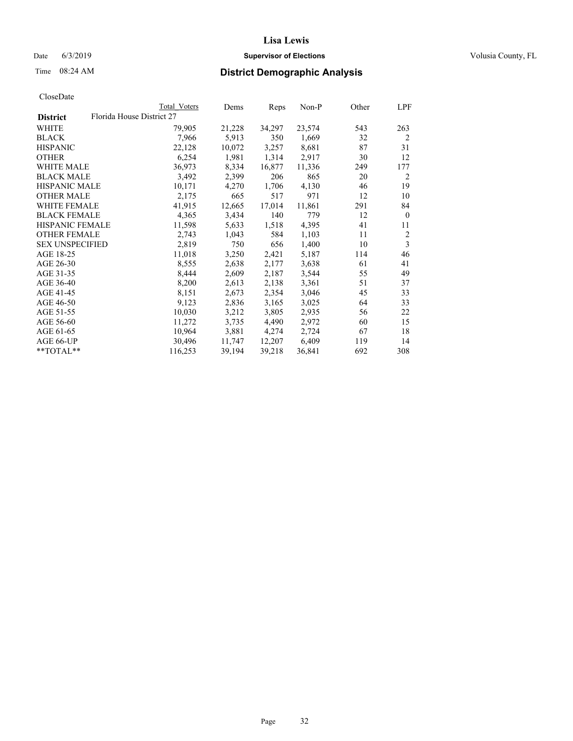## Date 6/3/2019 **Supervisor of Elections Supervisor of Elections** Volusia County, FL

|                        |                           | Total Voters | Dems   | Reps   | Non-P  | Other | LPF            |
|------------------------|---------------------------|--------------|--------|--------|--------|-------|----------------|
| <b>District</b>        | Florida House District 27 |              |        |        |        |       |                |
| WHITE                  |                           | 79,905       | 21,228 | 34,297 | 23,574 | 543   | 263            |
| BLACK                  |                           | 7,966        | 5,913  | 350    | 1,669  | 32    | $\overline{2}$ |
| <b>HISPANIC</b>        |                           | 22,128       | 10,072 | 3,257  | 8,681  | 87    | 31             |
| <b>OTHER</b>           |                           | 6,254        | 1,981  | 1,314  | 2,917  | 30    | 12             |
| WHITE MALE             |                           | 36,973       | 8,334  | 16,877 | 11,336 | 249   | 177            |
| <b>BLACK MALE</b>      |                           | 3,492        | 2,399  | 206    | 865    | 20    | 2              |
| <b>HISPANIC MALE</b>   |                           | 10,171       | 4,270  | 1,706  | 4,130  | 46    | 19             |
| OTHER MALE             |                           | 2,175        | 665    | 517    | 971    | 12    | 10             |
| <b>WHITE FEMALE</b>    |                           | 41,915       | 12,665 | 17,014 | 11,861 | 291   | 84             |
| <b>BLACK FEMALE</b>    |                           | 4,365        | 3,434  | 140    | 779    | 12    | $\mathbf{0}$   |
| HISPANIC FEMALE        |                           | 11,598       | 5,633  | 1,518  | 4,395  | 41    | 11             |
| <b>OTHER FEMALE</b>    |                           | 2,743        | 1,043  | 584    | 1,103  | 11    | 2              |
| <b>SEX UNSPECIFIED</b> |                           | 2,819        | 750    | 656    | 1,400  | 10    | $\mathfrak{Z}$ |
| AGE 18-25              |                           | 11,018       | 3,250  | 2,421  | 5,187  | 114   | 46             |
| AGE 26-30              |                           | 8,555        | 2,638  | 2,177  | 3,638  | 61    | 41             |
| AGE 31-35              |                           | 8,444        | 2,609  | 2,187  | 3,544  | 55    | 49             |
| AGE 36-40              |                           | 8,200        | 2,613  | 2,138  | 3,361  | 51    | 37             |
| AGE 41-45              |                           | 8,151        | 2,673  | 2,354  | 3,046  | 45    | 33             |
| AGE 46-50              |                           | 9,123        | 2,836  | 3,165  | 3,025  | 64    | 33             |
| AGE 51-55              |                           | 10,030       | 3,212  | 3,805  | 2,935  | 56    | 22             |
| AGE 56-60              |                           | 11,272       | 3,735  | 4,490  | 2,972  | 60    | 15             |
| AGE 61-65              |                           | 10,964       | 3,881  | 4,274  | 2,724  | 67    | 18             |
| AGE 66-UP              |                           | 30,496       | 11,747 | 12,207 | 6,409  | 119   | 14             |
| **TOTAL**              |                           | 116,253      | 39,194 | 39,218 | 36,841 | 692   | 308            |
|                        |                           |              |        |        |        |       |                |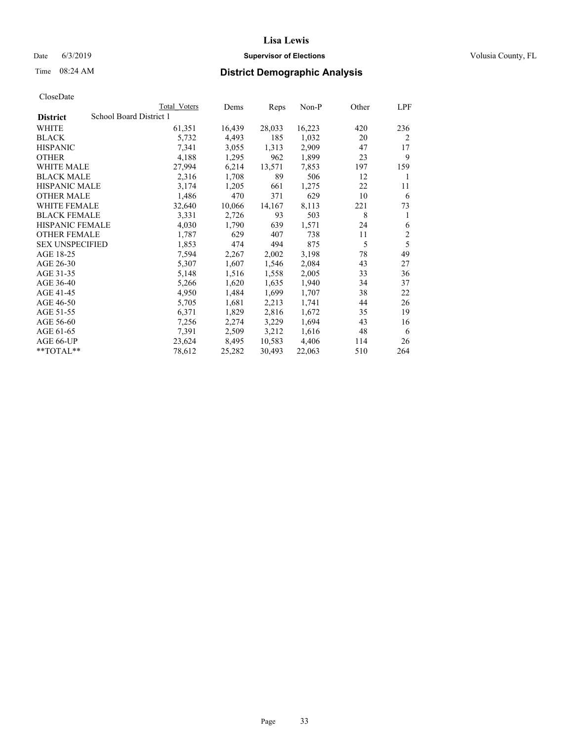#### Date 6/3/2019 **Supervisor of Elections Supervisor of Elections** Volusia County, FL

## Time 08:24 AM **District Demographic Analysis**

|                        | Total Voters            | Dems   | Reps   | Non-P  | Other | LPF            |
|------------------------|-------------------------|--------|--------|--------|-------|----------------|
| <b>District</b>        | School Board District 1 |        |        |        |       |                |
| WHITE                  | 61,351                  | 16,439 | 28,033 | 16,223 | 420   | 236            |
| <b>BLACK</b>           | 5,732                   | 4,493  | 185    | 1,032  | 20    | 2              |
| <b>HISPANIC</b>        | 7,341                   | 3,055  | 1,313  | 2,909  | 47    | 17             |
| <b>OTHER</b>           | 4,188                   | 1,295  | 962    | 1,899  | 23    | 9              |
| WHITE MALE             | 27,994                  | 6,214  | 13,571 | 7,853  | 197   | 159            |
| <b>BLACK MALE</b>      | 2,316                   | 1,708  | 89     | 506    | 12    | 1              |
| <b>HISPANIC MALE</b>   | 3,174                   | 1,205  | 661    | 1,275  | 22    | 11             |
| <b>OTHER MALE</b>      | 1,486                   | 470    | 371    | 629    | 10    | 6              |
| WHITE FEMALE           | 32,640                  | 10,066 | 14,167 | 8,113  | 221   | 73             |
| <b>BLACK FEMALE</b>    | 3,331                   | 2,726  | 93     | 503    | 8     | 1              |
| <b>HISPANIC FEMALE</b> | 4,030                   | 1,790  | 639    | 1,571  | 24    | 6              |
| <b>OTHER FEMALE</b>    | 1,787                   | 629    | 407    | 738    | 11    | $\mathfrak{2}$ |
| <b>SEX UNSPECIFIED</b> | 1,853                   | 474    | 494    | 875    | 5     | 5              |
| AGE 18-25              | 7,594                   | 2,267  | 2,002  | 3,198  | 78    | 49             |
| AGE 26-30              | 5,307                   | 1,607  | 1,546  | 2,084  | 43    | 27             |
| AGE 31-35              | 5,148                   | 1,516  | 1,558  | 2,005  | 33    | 36             |
| AGE 36-40              | 5,266                   | 1,620  | 1,635  | 1,940  | 34    | 37             |
| AGE 41-45              | 4,950                   | 1,484  | 1,699  | 1,707  | 38    | 22             |
| AGE 46-50              | 5,705                   | 1,681  | 2,213  | 1,741  | 44    | 26             |
| AGE 51-55              | 6,371                   | 1,829  | 2,816  | 1,672  | 35    | 19             |
| AGE 56-60              | 7,256                   | 2,274  | 3,229  | 1,694  | 43    | 16             |
| AGE 61-65              | 7,391                   | 2,509  | 3,212  | 1,616  | 48    | 6              |
| AGE 66-UP              | 23,624                  | 8,495  | 10,583 | 4,406  | 114   | 26             |
| $*$ $TOTAL**$          | 78,612                  | 25,282 | 30,493 | 22,063 | 510   | 264            |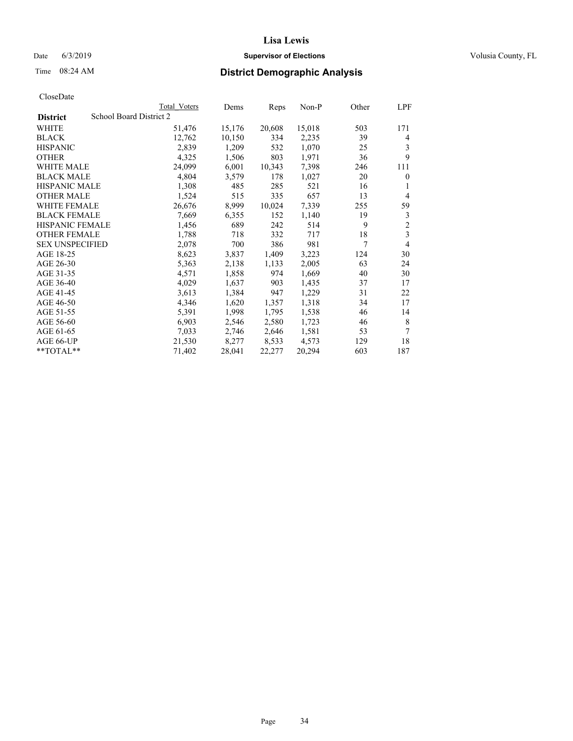## Date 6/3/2019 **Supervisor of Elections Supervisor of Elections** Volusia County, FL

| Total Voters            | Dems   | Reps   | Non-P  | Other | LPF            |
|-------------------------|--------|--------|--------|-------|----------------|
| School Board District 2 |        |        |        |       |                |
| 51,476                  | 15,176 | 20,608 | 15,018 | 503   | 171            |
| 12,762                  | 10,150 | 334    | 2,235  | 39    | 4              |
| 2,839                   | 1,209  | 532    | 1,070  | 25    | 3              |
| 4,325                   | 1,506  | 803    | 1,971  | 36    | 9              |
| 24,099                  | 6,001  | 10,343 | 7,398  | 246   | 111            |
| 4,804                   | 3,579  | 178    | 1,027  | 20    | $\mathbf{0}$   |
| 1,308                   | 485    | 285    | 521    | 16    | 1              |
| 1,524                   | 515    | 335    | 657    | 13    | $\overline{4}$ |
| 26,676                  | 8,999  | 10,024 | 7,339  | 255   | 59             |
| 7,669                   | 6,355  | 152    | 1,140  | 19    | 3              |
| 1,456                   | 689    | 242    | 514    | 9     | $\sqrt{2}$     |
| 1,788                   | 718    | 332    | 717    | 18    | 3              |
| 2,078                   | 700    | 386    | 981    | 7     | $\overline{4}$ |
| 8,623                   | 3,837  | 1,409  | 3,223  | 124   | 30             |
| 5,363                   | 2,138  | 1,133  | 2,005  | 63    | 24             |
| 4,571                   | 1,858  | 974    | 1,669  | 40    | 30             |
| 4,029                   | 1,637  | 903    | 1,435  | 37    | 17             |
| 3,613                   | 1,384  | 947    | 1,229  | 31    | 22             |
| 4,346                   | 1,620  | 1,357  | 1,318  | 34    | 17             |
| 5,391                   | 1,998  | 1,795  | 1,538  | 46    | 14             |
| 6,903                   | 2,546  | 2,580  | 1,723  | 46    | 8              |
| 7,033                   | 2,746  | 2,646  | 1,581  | 53    | 7              |
| 21,530                  | 8,277  | 8,533  | 4,573  | 129   | 18             |
| 71,402                  | 28,041 | 22,277 | 20,294 | 603   | 187            |
|                         |        |        |        |       |                |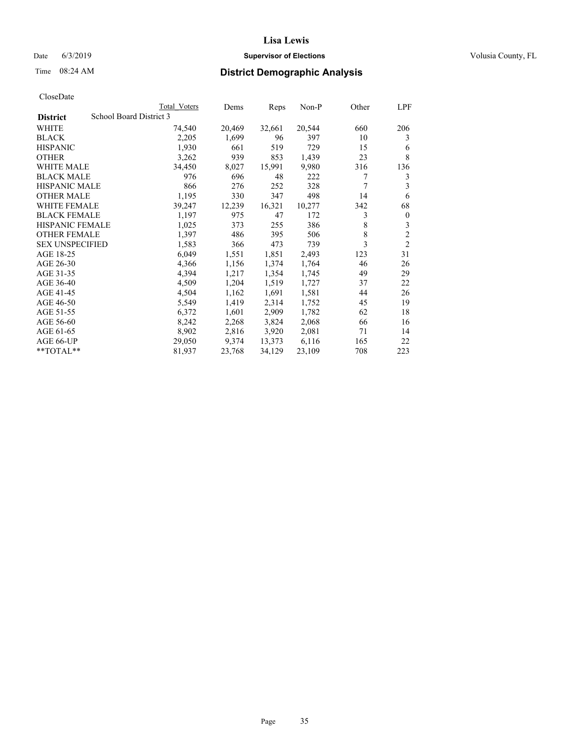## Date 6/3/2019 **Supervisor of Elections Supervisor of Elections** Volusia County, FL

## Time 08:24 AM **District Demographic Analysis**

|                        | Total Voters            | Dems   | Reps   | Non-P  | Other | LPF            |
|------------------------|-------------------------|--------|--------|--------|-------|----------------|
| <b>District</b>        | School Board District 3 |        |        |        |       |                |
| WHITE                  | 74,540                  | 20,469 | 32,661 | 20,544 | 660   | 206            |
| <b>BLACK</b>           | 2,205                   | 1,699  | 96     | 397    | 10    | 3              |
| <b>HISPANIC</b>        | 1,930                   | 661    | 519    | 729    | 15    | 6              |
| <b>OTHER</b>           | 3,262                   | 939    | 853    | 1,439  | 23    | 8              |
| WHITE MALE             | 34,450                  | 8,027  | 15,991 | 9,980  | 316   | 136            |
| <b>BLACK MALE</b>      | 976                     | 696    | 48     | 222    | 7     | 3              |
| <b>HISPANIC MALE</b>   | 866                     | 276    | 252    | 328    | 7     | 3              |
| <b>OTHER MALE</b>      | 1,195                   | 330    | 347    | 498    | 14    | 6              |
| WHITE FEMALE           | 39,247                  | 12,239 | 16,321 | 10,277 | 342   | 68             |
| <b>BLACK FEMALE</b>    | 1,197                   | 975    | 47     | 172    | 3     | $\mathbf{0}$   |
| <b>HISPANIC FEMALE</b> | 1,025                   | 373    | 255    | 386    | 8     | 3              |
| <b>OTHER FEMALE</b>    | 1,397                   | 486    | 395    | 506    | 8     | $\overline{c}$ |
| <b>SEX UNSPECIFIED</b> | 1,583                   | 366    | 473    | 739    | 3     | $\overline{c}$ |
| AGE 18-25              | 6,049                   | 1,551  | 1,851  | 2,493  | 123   | 31             |
| AGE 26-30              | 4,366                   | 1,156  | 1,374  | 1,764  | 46    | 26             |
| AGE 31-35              | 4,394                   | 1,217  | 1,354  | 1,745  | 49    | 29             |
| AGE 36-40              | 4,509                   | 1,204  | 1,519  | 1,727  | 37    | 22             |
| AGE 41-45              | 4,504                   | 1,162  | 1,691  | 1,581  | 44    | 26             |
| AGE 46-50              | 5,549                   | 1,419  | 2,314  | 1,752  | 45    | 19             |
| AGE 51-55              | 6,372                   | 1,601  | 2,909  | 1,782  | 62    | 18             |
| AGE 56-60              | 8,242                   | 2,268  | 3,824  | 2,068  | 66    | 16             |
| AGE 61-65              | 8,902                   | 2,816  | 3,920  | 2,081  | 71    | 14             |
| AGE 66-UP              | 29,050                  | 9,374  | 13,373 | 6,116  | 165   | 22             |
| $*$ $TOTAL**$          | 81,937                  | 23,768 | 34,129 | 23,109 | 708   | 223            |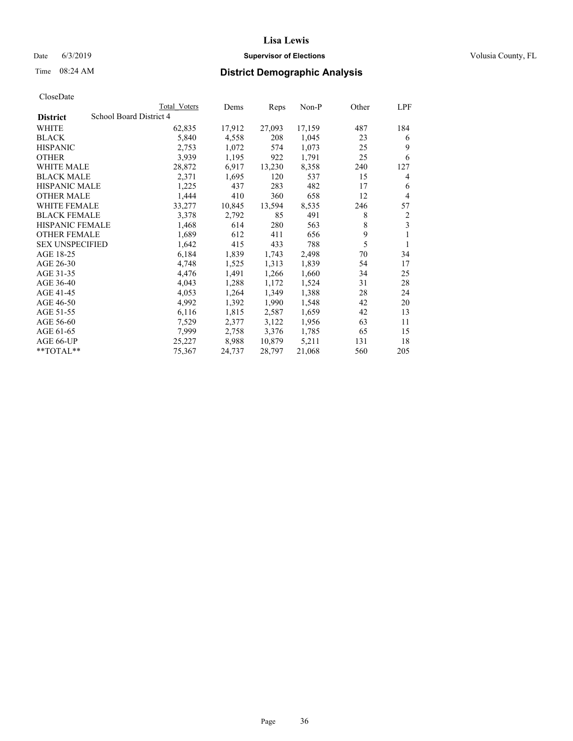## Date 6/3/2019 **Supervisor of Elections Supervisor of Elections** Volusia County, FL

## Time 08:24 AM **District Demographic Analysis**

|                        | Total Voters            | Dems   | Reps   | Non-P  | Other | LPF |
|------------------------|-------------------------|--------|--------|--------|-------|-----|
| <b>District</b>        | School Board District 4 |        |        |        |       |     |
| WHITE                  | 62,835                  | 17,912 | 27,093 | 17,159 | 487   | 184 |
| <b>BLACK</b>           | 5,840                   | 4,558  | 208    | 1,045  | 23    | 6   |
| <b>HISPANIC</b>        | 2,753                   | 1,072  | 574    | 1,073  | 25    | 9   |
| <b>OTHER</b>           | 3,939                   | 1,195  | 922    | 1,791  | 25    | 6   |
| <b>WHITE MALE</b>      | 28,872                  | 6,917  | 13,230 | 8,358  | 240   | 127 |
| <b>BLACK MALE</b>      | 2,371                   | 1,695  | 120    | 537    | 15    | 4   |
| <b>HISPANIC MALE</b>   | 1,225                   | 437    | 283    | 482    | 17    | 6   |
| <b>OTHER MALE</b>      | 1,444                   | 410    | 360    | 658    | 12    | 4   |
| WHITE FEMALE           | 33,277                  | 10,845 | 13,594 | 8,535  | 246   | 57  |
| <b>BLACK FEMALE</b>    | 3,378                   | 2,792  | 85     | 491    | 8     | 2   |
| <b>HISPANIC FEMALE</b> | 1,468                   | 614    | 280    | 563    | 8     | 3   |
| <b>OTHER FEMALE</b>    | 1,689                   | 612    | 411    | 656    | 9     | 1   |
| <b>SEX UNSPECIFIED</b> | 1,642                   | 415    | 433    | 788    | 5     | 1   |
| AGE 18-25              | 6,184                   | 1,839  | 1,743  | 2,498  | 70    | 34  |
| AGE 26-30              | 4,748                   | 1,525  | 1,313  | 1,839  | 54    | 17  |
| AGE 31-35              | 4,476                   | 1,491  | 1,266  | 1,660  | 34    | 25  |
| AGE 36-40              | 4,043                   | 1,288  | 1,172  | 1,524  | 31    | 28  |
| AGE 41-45              | 4,053                   | 1,264  | 1,349  | 1,388  | 28    | 24  |
| AGE 46-50              | 4,992                   | 1,392  | 1,990  | 1,548  | 42    | 20  |
| AGE 51-55              | 6,116                   | 1,815  | 2,587  | 1,659  | 42    | 13  |
| AGE 56-60              | 7,529                   | 2,377  | 3,122  | 1,956  | 63    | 11  |
| AGE 61-65              | 7,999                   | 2,758  | 3,376  | 1,785  | 65    | 15  |
| AGE 66-UP              | 25,227                  | 8,988  | 10,879 | 5,211  | 131   | 18  |
| $*$ TOTAL $*$          | 75,367                  | 24,737 | 28,797 | 21,068 | 560   | 205 |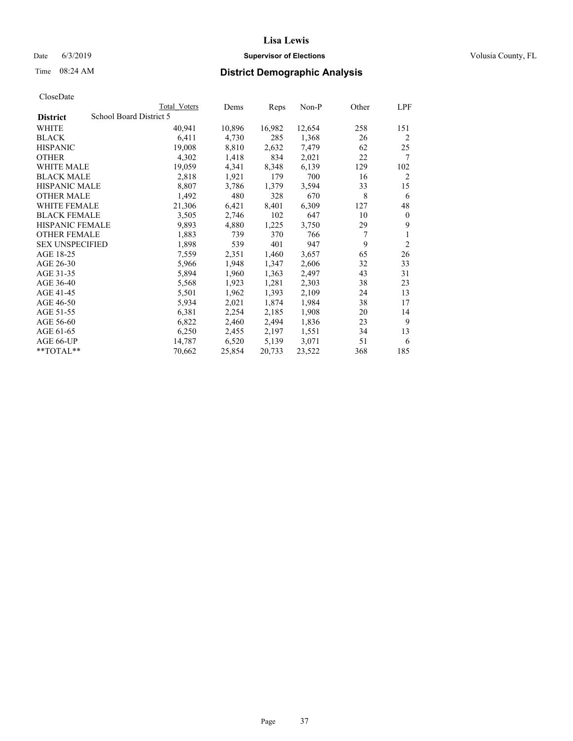## Date 6/3/2019 **Supervisor of Elections Supervisor of Elections** Volusia County, FL

# Time 08:24 AM **District Demographic Analysis**

|                        |                         | Total Voters | Dems   | Reps   | $Non-P$ | Other | LPF            |
|------------------------|-------------------------|--------------|--------|--------|---------|-------|----------------|
| <b>District</b>        | School Board District 5 |              |        |        |         |       |                |
| WHITE                  |                         | 40,941       | 10,896 | 16,982 | 12,654  | 258   | 151            |
| <b>BLACK</b>           |                         | 6,411        | 4,730  | 285    | 1,368   | 26    | $\overline{2}$ |
| <b>HISPANIC</b>        |                         | 19,008       | 8,810  | 2,632  | 7,479   | 62    | 25             |
| <b>OTHER</b>           |                         | 4,302        | 1,418  | 834    | 2,021   | 22    | 7              |
| WHITE MALE             |                         | 19,059       | 4,341  | 8,348  | 6,139   | 129   | 102            |
| <b>BLACK MALE</b>      |                         | 2,818        | 1,921  | 179    | 700     | 16    | $\overline{2}$ |
| <b>HISPANIC MALE</b>   |                         | 8,807        | 3,786  | 1,379  | 3,594   | 33    | 15             |
| <b>OTHER MALE</b>      |                         | 1,492        | 480    | 328    | 670     | 8     | 6              |
| WHITE FEMALE           |                         | 21,306       | 6,421  | 8,401  | 6,309   | 127   | 48             |
| <b>BLACK FEMALE</b>    |                         | 3,505        | 2,746  | 102    | 647     | 10    | $\mathbf{0}$   |
| <b>HISPANIC FEMALE</b> |                         | 9,893        | 4,880  | 1,225  | 3,750   | 29    | 9              |
| <b>OTHER FEMALE</b>    |                         | 1,883        | 739    | 370    | 766     | 7     | 1              |
| <b>SEX UNSPECIFIED</b> |                         | 1,898        | 539    | 401    | 947     | 9     | $\overline{2}$ |
| AGE 18-25              |                         | 7,559        | 2,351  | 1,460  | 3,657   | 65    | 26             |
| AGE 26-30              |                         | 5,966        | 1,948  | 1,347  | 2,606   | 32    | 33             |
| AGE 31-35              |                         | 5,894        | 1,960  | 1,363  | 2,497   | 43    | 31             |
| AGE 36-40              |                         | 5,568        | 1,923  | 1,281  | 2,303   | 38    | 23             |
| AGE 41-45              |                         | 5,501        | 1,962  | 1,393  | 2,109   | 24    | 13             |
| AGE 46-50              |                         | 5,934        | 2,021  | 1,874  | 1,984   | 38    | 17             |
| AGE 51-55              |                         | 6,381        | 2,254  | 2,185  | 1,908   | 20    | 14             |
| AGE 56-60              |                         | 6,822        | 2,460  | 2,494  | 1,836   | 23    | 9              |
| AGE 61-65              |                         | 6,250        | 2,455  | 2,197  | 1,551   | 34    | 13             |
| AGE 66-UP              |                         | 14,787       | 6,520  | 5,139  | 3,071   | 51    | 6              |
| $*$ TOTAL $*$          |                         | 70,662       | 25,854 | 20,733 | 23,522  | 368   | 185            |
|                        |                         |              |        |        |         |       |                |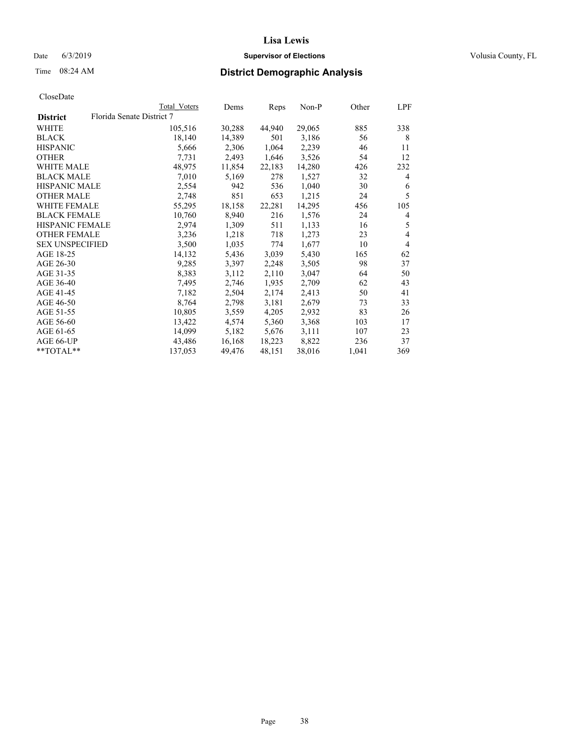## Date 6/3/2019 **Supervisor of Elections Supervisor of Elections** Volusia County, FL

# Time 08:24 AM **District Demographic Analysis**

|                        |                           | Total Voters | Dems   | Reps   | <u>Non-P</u> | Other | LPF            |
|------------------------|---------------------------|--------------|--------|--------|--------------|-------|----------------|
| <b>District</b>        | Florida Senate District 7 |              |        |        |              |       |                |
| WHITE                  |                           | 105,516      | 30,288 | 44,940 | 29,065       | 885   | 338            |
| <b>BLACK</b>           |                           | 18,140       | 14,389 | 501    | 3,186        | 56    | 8              |
| <b>HISPANIC</b>        |                           | 5,666        | 2,306  | 1,064  | 2,239        | 46    | 11             |
| <b>OTHER</b>           |                           | 7,731        | 2,493  | 1,646  | 3,526        | 54    | 12             |
| <b>WHITE MALE</b>      |                           | 48,975       | 11,854 | 22,183 | 14,280       | 426   | 232            |
| <b>BLACK MALE</b>      |                           | 7,010        | 5,169  | 278    | 1,527        | 32    | $\overline{4}$ |
| <b>HISPANIC MALE</b>   |                           | 2,554        | 942    | 536    | 1,040        | 30    | 6              |
| <b>OTHER MALE</b>      |                           | 2,748        | 851    | 653    | 1,215        | 24    | 5              |
| <b>WHITE FEMALE</b>    |                           | 55,295       | 18,158 | 22,281 | 14,295       | 456   | 105            |
| <b>BLACK FEMALE</b>    |                           | 10,760       | 8,940  | 216    | 1,576        | 24    | 4              |
| HISPANIC FEMALE        |                           | 2,974        | 1,309  | 511    | 1,133        | 16    | 5              |
| <b>OTHER FEMALE</b>    |                           | 3,236        | 1,218  | 718    | 1,273        | 23    | $\overline{4}$ |
| <b>SEX UNSPECIFIED</b> |                           | 3,500        | 1,035  | 774    | 1,677        | 10    | $\overline{4}$ |
| AGE 18-25              |                           | 14,132       | 5,436  | 3,039  | 5,430        | 165   | 62             |
| AGE 26-30              |                           | 9,285        | 3,397  | 2,248  | 3,505        | 98    | 37             |
| AGE 31-35              |                           | 8,383        | 3,112  | 2,110  | 3,047        | 64    | 50             |
| AGE 36-40              |                           | 7,495        | 2,746  | 1,935  | 2,709        | 62    | 43             |
| AGE 41-45              |                           | 7,182        | 2,504  | 2,174  | 2,413        | 50    | 41             |
| AGE 46-50              |                           | 8,764        | 2,798  | 3,181  | 2,679        | 73    | 33             |
| AGE 51-55              |                           | 10,805       | 3,559  | 4,205  | 2,932        | 83    | 26             |
| AGE 56-60              |                           | 13,422       | 4,574  | 5,360  | 3,368        | 103   | 17             |
| AGE 61-65              |                           | 14,099       | 5,182  | 5,676  | 3,111        | 107   | 23             |
| AGE 66-UP              |                           | 43,486       | 16,168 | 18,223 | 8,822        | 236   | 37             |
| $*$ TOTAL $*$          |                           | 137,053      | 49,476 | 48,151 | 38,016       | 1,041 | 369            |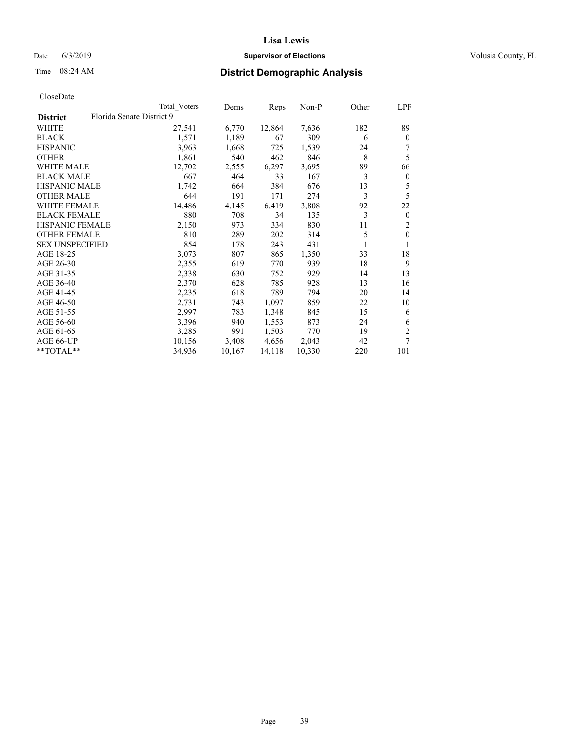## Date 6/3/2019 **Supervisor of Elections Supervisor of Elections** Volusia County, FL

| CloseDate |
|-----------|
|-----------|

|                 | Total Voters              | Dems   | Reps   | Non-P  | Other | LPF          |
|-----------------|---------------------------|--------|--------|--------|-------|--------------|
| <b>District</b> | Florida Senate District 9 |        |        |        |       |              |
| WHITE           | 27,541                    | 6,770  | 12,864 | 7,636  | 182   | 89           |
| BLACK           | 1,571                     | 1,189  | 67     | 309    | 6     | $\mathbf{0}$ |
| HISPANIC        | 3,963                     | 1,668  | 725    | 1,539  | 24    |              |
| OTHER           | 1,861                     | 540    | 462    | 846    | 8     | 5            |
| WHITE MALE      | 12,702                    | 2,555  | 6,297  | 3,695  | 89    | 66           |
| BLACK MALE      | 667                       | 464    | 33     | 167    | 3     | $\mathbf{0}$ |
| HISPANIC MALE   | 1,742                     | 664    | 384    | 676    | 13    | 5            |
| OTHER MALE      | 644                       | 191    | 171    | 274    | 3     | 5            |
| WHITE FEMALE    | 14,486                    | 4,145  | 6,419  | 3,808  | 92    | 22           |
| BLACK FEMALE    | 880                       | 708    | 34     | 135    | 3     | $\mathbf{0}$ |
| HISPANIC FEMALE | 2,150                     | 973    | 334    | 830    | 11    | 2            |
| OTHER FEMALE    | 810                       | 289    | 202    | 314    | 5     | $\mathbf{0}$ |
| SEX UNSPECIFIED | 854                       | 178    | 243    | 431    |       | 1            |
| AGE 18-25       | 3,073                     | 807    | 865    | 1,350  | 33    | 18           |
| AGE 26-30       | 2,355                     | 619    | 770    | 939    | 18    | 9            |
| AGE 31-35       | 2,338                     | 630    | 752    | 929    | 14    | 13           |
| AGE 36-40       | 2,370                     | 628    | 785    | 928    | 13    | 16           |
| AGE 41-45       | 2,235                     | 618    | 789    | 794    | 20    | 14           |
| AGE 46-50       | 2,731                     | 743    | 1,097  | 859    | 22    | 10           |
| AGE 51-55       | 2,997                     | 783    | 1,348  | 845    | 15    | 6            |
| AGE 56-60       | 3,396                     | 940    | 1,553  | 873    | 24    | 6            |
| AGE 61-65       | 3,285                     | 991    | 1,503  | 770    | 19    | 2            |
| AGE 66-UP       | 10,156                    | 3,408  | 4,656  | 2,043  | 42    | 7            |
| $*$ TOTAL $**$  | 34,936                    | 10,167 | 14,118 | 10,330 | 220   | 101          |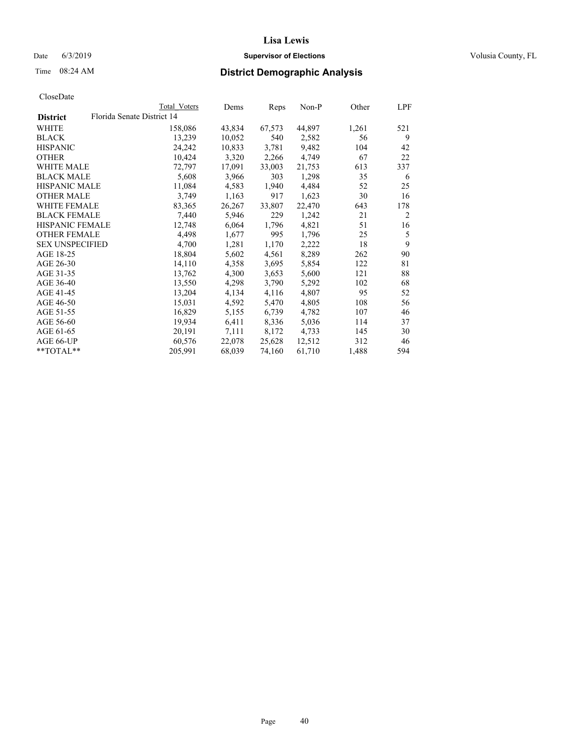## Date 6/3/2019 **Supervisor of Elections Supervisor of Elections** Volusia County, FL

|                        |                            | Total Voters | Dems   | Reps   | Non-P  | Other | LPF |
|------------------------|----------------------------|--------------|--------|--------|--------|-------|-----|
| <b>District</b>        | Florida Senate District 14 |              |        |        |        |       |     |
| WHITE                  |                            | 158,086      | 43,834 | 67,573 | 44,897 | 1,261 | 521 |
| <b>BLACK</b>           |                            | 13,239       | 10,052 | 540    | 2,582  | 56    | 9   |
| <b>HISPANIC</b>        |                            | 24,242       | 10,833 | 3,781  | 9,482  | 104   | 42  |
| <b>OTHER</b>           |                            | 10,424       | 3,320  | 2,266  | 4,749  | 67    | 22  |
| <b>WHITE MALE</b>      |                            | 72,797       | 17,091 | 33,003 | 21,753 | 613   | 337 |
| <b>BLACK MALE</b>      |                            | 5,608        | 3,966  | 303    | 1,298  | 35    | 6   |
| <b>HISPANIC MALE</b>   |                            | 11,084       | 4,583  | 1,940  | 4,484  | 52    | 25  |
| <b>OTHER MALE</b>      |                            | 3,749        | 1,163  | 917    | 1,623  | 30    | 16  |
| WHITE FEMALE           |                            | 83,365       | 26,267 | 33,807 | 22,470 | 643   | 178 |
| <b>BLACK FEMALE</b>    |                            | 7,440        | 5,946  | 229    | 1,242  | 21    | 2   |
| HISPANIC FEMALE        |                            | 12,748       | 6,064  | 1,796  | 4,821  | 51    | 16  |
| <b>OTHER FEMALE</b>    |                            | 4,498        | 1,677  | 995    | 1,796  | 25    | 5   |
| <b>SEX UNSPECIFIED</b> |                            | 4,700        | 1,281  | 1,170  | 2,222  | 18    | 9   |
| AGE 18-25              |                            | 18,804       | 5,602  | 4,561  | 8,289  | 262   | 90  |
| AGE 26-30              |                            | 14,110       | 4,358  | 3,695  | 5,854  | 122   | 81  |
| AGE 31-35              |                            | 13,762       | 4,300  | 3,653  | 5,600  | 121   | 88  |
| AGE 36-40              |                            | 13,550       | 4,298  | 3,790  | 5,292  | 102   | 68  |
| AGE 41-45              |                            | 13,204       | 4,134  | 4,116  | 4,807  | 95    | 52  |
| AGE 46-50              |                            | 15,031       | 4,592  | 5,470  | 4,805  | 108   | 56  |
| AGE 51-55              |                            | 16,829       | 5,155  | 6,739  | 4,782  | 107   | 46  |
| AGE 56-60              |                            | 19,934       | 6,411  | 8,336  | 5,036  | 114   | 37  |
| AGE 61-65              |                            | 20,191       | 7,111  | 8,172  | 4,733  | 145   | 30  |
| AGE 66-UP              |                            | 60,576       | 22,078 | 25,628 | 12,512 | 312   | 46  |
| **TOTAL**              |                            | 205,991      | 68,039 | 74,160 | 61,710 | 1,488 | 594 |
|                        |                            |              |        |        |        |       |     |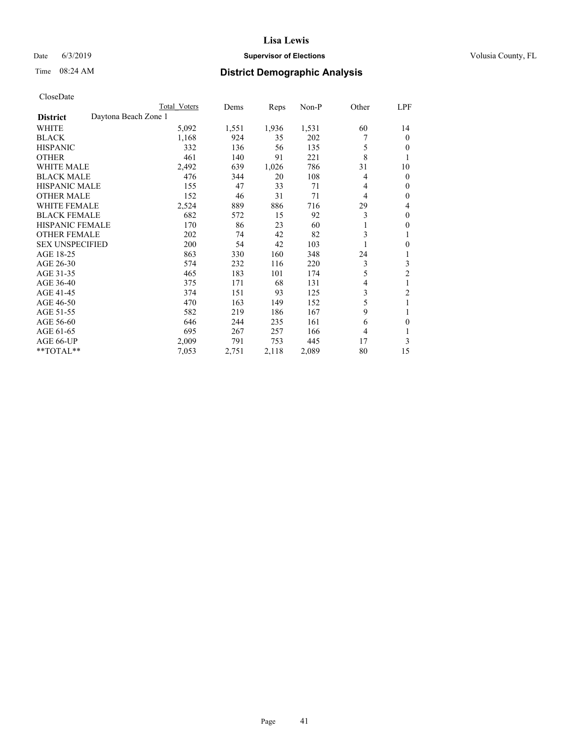## Date 6/3/2019 **Supervisor of Elections Supervisor of Elections** Volusia County, FL

# Time 08:24 AM **District Demographic Analysis**

|                        | Total Voters         | Dems  | Reps  | Non-P | Other          | LPF            |
|------------------------|----------------------|-------|-------|-------|----------------|----------------|
| <b>District</b>        | Daytona Beach Zone 1 |       |       |       |                |                |
| WHITE                  | 5,092                | 1,551 | 1,936 | 1,531 | 60             | 14             |
| <b>BLACK</b>           | 1,168                | 924   | 35    | 202   |                | $\mathbf{0}$   |
| <b>HISPANIC</b>        | 332                  | 136   | 56    | 135   | 5              | $\Omega$       |
| <b>OTHER</b>           | 461                  | 140   | 91    | 221   | 8              |                |
| <b>WHITE MALE</b>      | 2,492                | 639   | 1,026 | 786   | 31             | 10             |
| <b>BLACK MALE</b>      | 476                  | 344   | 20    | 108   | 4              | $\mathbf{0}$   |
| <b>HISPANIC MALE</b>   | 155                  | 47    | 33    | 71    | 4              | $\mathbf{0}$   |
| <b>OTHER MALE</b>      | 152                  | 46    | 31    | 71    | 4              | $\mathbf{0}$   |
| <b>WHITE FEMALE</b>    | 2,524                | 889   | 886   | 716   | 29             | 4              |
| <b>BLACK FEMALE</b>    | 682                  | 572   | 15    | 92    | 3              | $\mathbf{0}$   |
| <b>HISPANIC FEMALE</b> | 170                  | 86    | 23    | 60    |                | $\theta$       |
| <b>OTHER FEMALE</b>    | 202                  | 74    | 42    | 82    | 3              |                |
| <b>SEX UNSPECIFIED</b> | 200                  | 54    | 42    | 103   |                | $\theta$       |
| AGE 18-25              | 863                  | 330   | 160   | 348   | 24             |                |
| AGE 26-30              | 574                  | 232   | 116   | 220   | 3              | 3              |
| AGE 31-35              | 465                  | 183   | 101   | 174   | 5              | $\overline{2}$ |
| AGE 36-40              | 375                  | 171   | 68    | 131   | $\overline{4}$ |                |
| AGE 41-45              | 374                  | 151   | 93    | 125   | 3              | $\overline{c}$ |
| AGE 46-50              | 470                  | 163   | 149   | 152   | 5              |                |
| AGE 51-55              | 582                  | 219   | 186   | 167   | 9              |                |
| AGE 56-60              | 646                  | 244   | 235   | 161   | 6              | 0              |
| AGE 61-65              | 695                  | 267   | 257   | 166   | 4              | 1              |
| AGE 66-UP              | 2,009                | 791   | 753   | 445   | 17             | 3              |
| **TOTAL**              | 7,053                | 2,751 | 2,118 | 2,089 | 80             | 15             |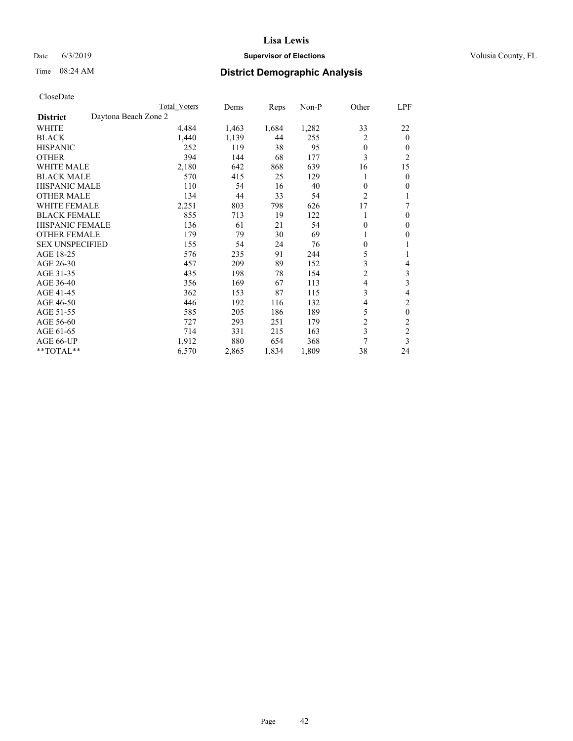## Date 6/3/2019 **Supervisor of Elections Supervisor of Elections** Volusia County, FL

# Time 08:24 AM **District Demographic Analysis**

|                                         | Total Voters | Dems  | Reps  | $Non-P$ | Other          | LPF            |
|-----------------------------------------|--------------|-------|-------|---------|----------------|----------------|
| Daytona Beach Zone 2<br><b>District</b> |              |       |       |         |                |                |
| WHITE                                   | 4,484        | 1,463 | 1,684 | 1,282   | 33             | 22             |
| <b>BLACK</b>                            | 1,440        | 1,139 | 44    | 255     | $\overline{2}$ | $\theta$       |
| <b>HISPANIC</b>                         | 252          | 119   | 38    | 95      | $\theta$       | $\theta$       |
| <b>OTHER</b>                            | 394          | 144   | 68    | 177     | 3              | $\overline{2}$ |
| <b>WHITE MALE</b>                       | 2,180        | 642   | 868   | 639     | 16             | 15             |
| <b>BLACK MALE</b>                       | 570          | 415   | 25    | 129     |                | $\mathbf{0}$   |
| <b>HISPANIC MALE</b>                    | 110          | 54    | 16    | 40      | $\theta$       | $\theta$       |
| <b>OTHER MALE</b>                       | 134          | 44    | 33    | 54      | $\overline{c}$ | 1              |
| <b>WHITE FEMALE</b>                     | 2,251        | 803   | 798   | 626     | 17             | 7              |
| <b>BLACK FEMALE</b>                     | 855          | 713   | 19    | 122     |                | $\theta$       |
| <b>HISPANIC FEMALE</b>                  | 136          | 61    | 21    | 54      | $\Omega$       | $\mathbf{0}$   |
| <b>OTHER FEMALE</b>                     | 179          | 79    | 30    | 69      | 1              | $\theta$       |
| <b>SEX UNSPECIFIED</b>                  | 155          | 54    | 24    | 76      | $\theta$       |                |
| AGE 18-25                               | 576          | 235   | 91    | 244     | 5              | 1              |
| AGE 26-30                               | 457          | 209   | 89    | 152     | 3              | 4              |
| AGE 31-35                               | 435          | 198   | 78    | 154     | $\overline{c}$ | 3              |
| AGE 36-40                               | 356          | 169   | 67    | 113     | 4              | 3              |
| AGE 41-45                               | 362          | 153   | 87    | 115     | 3              | 4              |
| AGE 46-50                               | 446          | 192   | 116   | 132     | 4              | $\overline{c}$ |
| AGE 51-55                               | 585          | 205   | 186   | 189     | 5              | $\theta$       |
| AGE 56-60                               | 727          | 293   | 251   | 179     | $\overline{c}$ | $\overline{c}$ |
| AGE 61-65                               | 714          | 331   | 215   | 163     | 3              | $\overline{c}$ |
| AGE 66-UP                               | 1,912        | 880   | 654   | 368     | 7              | 3              |
| **TOTAL**                               | 6,570        | 2,865 | 1,834 | 1,809   | 38             | 24             |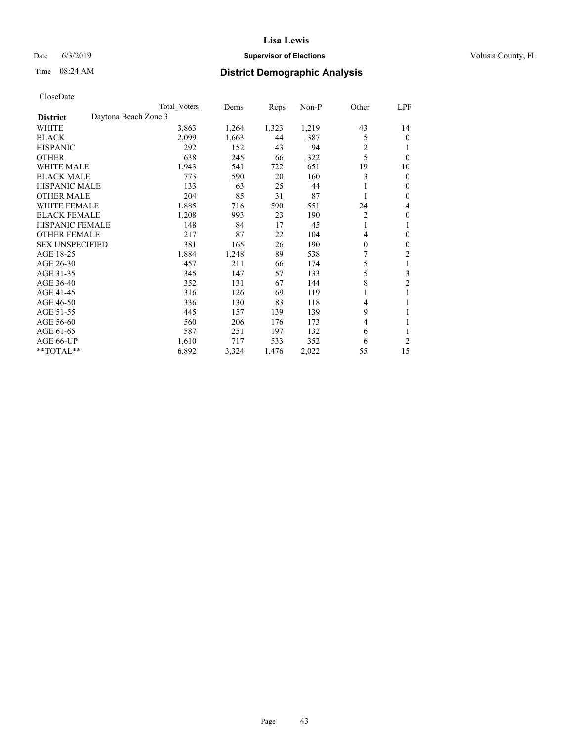## Date 6/3/2019 **Supervisor of Elections Supervisor of Elections** Volusia County, FL

# Time 08:24 AM **District Demographic Analysis**

|                        |                      | Total Voters | Dems  | Reps  | Non-P | Other    | LPF            |
|------------------------|----------------------|--------------|-------|-------|-------|----------|----------------|
| <b>District</b>        | Daytona Beach Zone 3 |              |       |       |       |          |                |
| WHITE                  |                      | 3,863        | 1,264 | 1,323 | 1,219 | 43       | 14             |
| <b>BLACK</b>           |                      | 2,099        | 1,663 | 44    | 387   | 5        | $\mathbf{0}$   |
| <b>HISPANIC</b>        |                      | 292          | 152   | 43    | 94    | 2        | 1              |
| <b>OTHER</b>           |                      | 638          | 245   | 66    | 322   | 5        | $\theta$       |
| <b>WHITE MALE</b>      |                      | 1,943        | 541   | 722   | 651   | 19       | 10             |
| <b>BLACK MALE</b>      |                      | 773          | 590   | 20    | 160   | 3        | $\mathbf{0}$   |
| <b>HISPANIC MALE</b>   |                      | 133          | 63    | 25    | 44    |          | $\mathbf{0}$   |
| <b>OTHER MALE</b>      |                      | 204          | 85    | 31    | 87    | 1        | $\mathbf{0}$   |
| WHITE FEMALE           |                      | 1,885        | 716   | 590   | 551   | 24       | 4              |
| <b>BLACK FEMALE</b>    |                      | 1,208        | 993   | 23    | 190   | 2        | $\theta$       |
| <b>HISPANIC FEMALE</b> |                      | 148          | 84    | 17    | 45    | 1        | 1              |
| <b>OTHER FEMALE</b>    |                      | 217          | 87    | 22    | 104   | 4        | 0              |
| <b>SEX UNSPECIFIED</b> |                      | 381          | 165   | 26    | 190   | $\theta$ | $\theta$       |
| AGE 18-25              |                      | 1,884        | 1,248 | 89    | 538   | 7        | 2              |
| AGE 26-30              |                      | 457          | 211   | 66    | 174   | 5        | $\mathbf{1}$   |
| AGE 31-35              |                      | 345          | 147   | 57    | 133   | 5        | 3              |
| AGE 36-40              |                      | 352          | 131   | 67    | 144   | 8        | $\overline{c}$ |
| AGE 41-45              |                      | 316          | 126   | 69    | 119   |          |                |
| AGE 46-50              |                      | 336          | 130   | 83    | 118   | 4        | 1              |
| AGE 51-55              |                      | 445          | 157   | 139   | 139   | 9        | 1              |
| AGE 56-60              |                      | 560          | 206   | 176   | 173   | 4        |                |
| AGE 61-65              |                      | 587          | 251   | 197   | 132   | 6        | 1              |
| AGE 66-UP              |                      | 1,610        | 717   | 533   | 352   | 6        | $\overline{2}$ |
| **TOTAL**              |                      | 6,892        | 3,324 | 1,476 | 2,022 | 55       | 15             |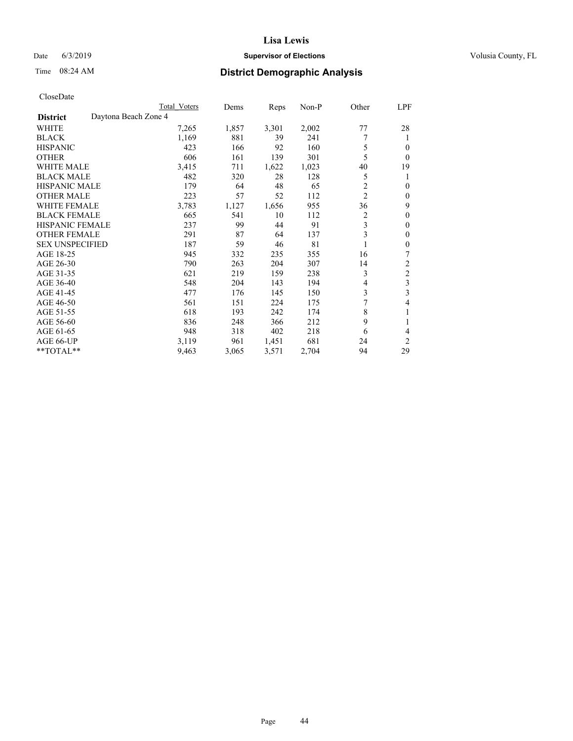## Date 6/3/2019 **Supervisor of Elections Supervisor of Elections** Volusia County, FL

# Time 08:24 AM **District Demographic Analysis**

|                        |                      | Total Voters | Dems  | Reps  | Non-P | Other          | LPF            |
|------------------------|----------------------|--------------|-------|-------|-------|----------------|----------------|
| <b>District</b>        | Daytona Beach Zone 4 |              |       |       |       |                |                |
| WHITE                  |                      | 7,265        | 1,857 | 3,301 | 2,002 | 77             | 28             |
| <b>BLACK</b>           |                      | 1,169        | 881   | 39    | 241   | 7              | 1              |
| <b>HISPANIC</b>        |                      | 423          | 166   | 92    | 160   | 5              | 0              |
| <b>OTHER</b>           |                      | 606          | 161   | 139   | 301   | 5              | $\Omega$       |
| WHITE MALE             |                      | 3,415        | 711   | 1,622 | 1,023 | 40             | 19             |
| <b>BLACK MALE</b>      |                      | 482          | 320   | 28    | 128   | 5              | 1              |
| <b>HISPANIC MALE</b>   |                      | 179          | 64    | 48    | 65    | $\overline{2}$ | 0              |
| <b>OTHER MALE</b>      |                      | 223          | 57    | 52    | 112   | $\overline{2}$ | 0              |
| WHITE FEMALE           |                      | 3,783        | 1,127 | 1,656 | 955   | 36             | 9              |
| <b>BLACK FEMALE</b>    |                      | 665          | 541   | 10    | 112   | 2              | 0              |
| <b>HISPANIC FEMALE</b> |                      | 237          | 99    | 44    | 91    | 3              | 0              |
| <b>OTHER FEMALE</b>    |                      | 291          | 87    | 64    | 137   | 3              | 0              |
| <b>SEX UNSPECIFIED</b> |                      | 187          | 59    | 46    | 81    |                | 0              |
| AGE 18-25              |                      | 945          | 332   | 235   | 355   | 16             | 7              |
| AGE 26-30              |                      | 790          | 263   | 204   | 307   | 14             | 2              |
| AGE 31-35              |                      | 621          | 219   | 159   | 238   | 3              | $\overline{c}$ |
| AGE 36-40              |                      | 548          | 204   | 143   | 194   | 4              | 3              |
| AGE 41-45              |                      | 477          | 176   | 145   | 150   | 3              | 3              |
| AGE 46-50              |                      | 561          | 151   | 224   | 175   | 7              | 4              |
| AGE 51-55              |                      | 618          | 193   | 242   | 174   | 8              | 1              |
| AGE 56-60              |                      | 836          | 248   | 366   | 212   | 9              |                |
| AGE 61-65              |                      | 948          | 318   | 402   | 218   | 6              | 4              |
| AGE 66-UP              |                      | 3,119        | 961   | 1,451 | 681   | 24             | 2              |
| **TOTAL**              |                      | 9,463        | 3,065 | 3,571 | 2,704 | 94             | 29             |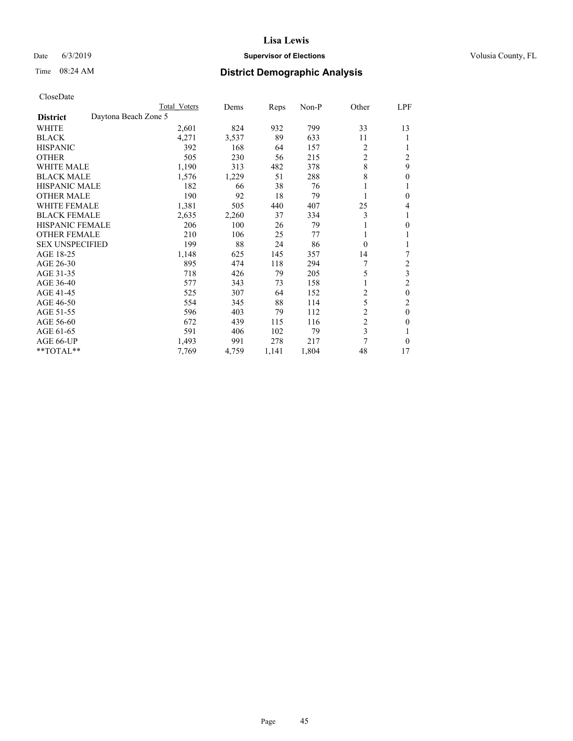## Date 6/3/2019 **Supervisor of Elections Supervisor of Elections** Volusia County, FL

|                                         | Total Voters | Dems  | Reps  | Non-P | Other          | LPF            |
|-----------------------------------------|--------------|-------|-------|-------|----------------|----------------|
| Daytona Beach Zone 5<br><b>District</b> |              |       |       |       |                |                |
| WHITE                                   | 2,601        | 824   | 932   | 799   | 33             | 13             |
| <b>BLACK</b>                            | 4,271        | 3,537 | 89    | 633   | 11             |                |
| <b>HISPANIC</b>                         | 392          | 168   | 64    | 157   | 2              |                |
| <b>OTHER</b>                            | 505          | 230   | 56    | 215   | $\overline{c}$ | $\overline{c}$ |
| <b>WHITE MALE</b>                       | 1,190        | 313   | 482   | 378   | 8              | 9              |
| <b>BLACK MALE</b>                       | 1,576        | 1,229 | 51    | 288   | $\,$ 8 $\,$    | 0              |
| <b>HISPANIC MALE</b>                    | 182          | 66    | 38    | 76    |                |                |
| <b>OTHER MALE</b>                       | 190          | 92    | 18    | 79    |                | 0              |
| <b>WHITE FEMALE</b>                     | 1,381        | 505   | 440   | 407   | 25             | 4              |
| <b>BLACK FEMALE</b>                     | 2,635        | 2,260 | 37    | 334   | 3              |                |
| <b>HISPANIC FEMALE</b>                  | 206          | 100   | 26    | 79    |                | 0              |
| <b>OTHER FEMALE</b>                     | 210          | 106   | 25    | 77    |                |                |
| <b>SEX UNSPECIFIED</b>                  | 199          | 88    | 24    | 86    | $\theta$       |                |
| AGE 18-25                               | 1,148        | 625   | 145   | 357   | 14             | 7              |
| AGE 26-30                               | 895          | 474   | 118   | 294   | 7              | $\overline{c}$ |
| AGE 31-35                               | 718          | 426   | 79    | 205   | 5              | 3              |
| AGE 36-40                               | 577          | 343   | 73    | 158   | 1              | 2              |
| AGE 41-45                               | 525          | 307   | 64    | 152   | $\overline{c}$ | $\mathbf{0}$   |
| AGE 46-50                               | 554          | 345   | 88    | 114   | 5              | $\overline{2}$ |
| AGE 51-55                               | 596          | 403   | 79    | 112   | $\overline{c}$ | $\mathbf{0}$   |
| AGE 56-60                               | 672          | 439   | 115   | 116   | 2              | 0              |
| AGE 61-65                               | 591          | 406   | 102   | 79    | 3              |                |
| AGE 66-UP                               | 1,493        | 991   | 278   | 217   | 7              | $\Omega$       |
| **TOTAL**                               | 7,769        | 4,759 | 1,141 | 1,804 | 48             | 17             |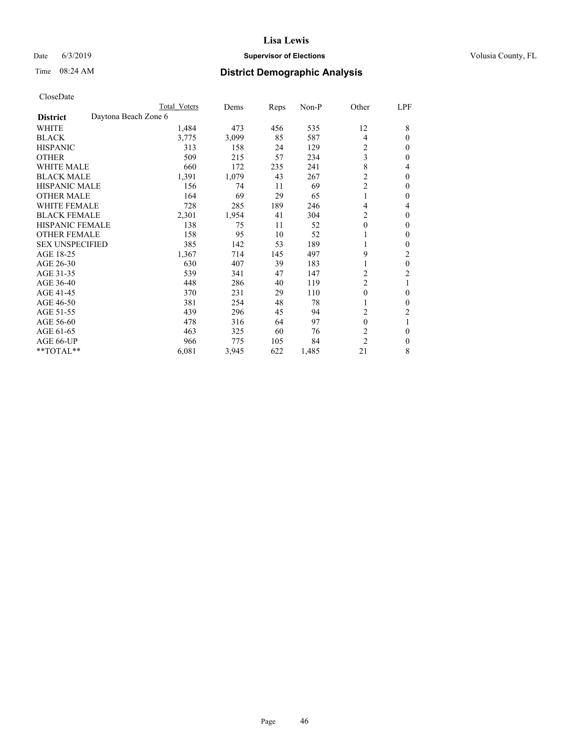## Date 6/3/2019 **Supervisor of Elections Supervisor of Elections** Volusia County, FL

|                                         | Total Voters | Dems  | Reps | Non-P | Other                   | LPF              |
|-----------------------------------------|--------------|-------|------|-------|-------------------------|------------------|
| Daytona Beach Zone 6<br><b>District</b> |              |       |      |       |                         |                  |
| <b>WHITE</b>                            | 1,484        | 473   | 456  | 535   | 12                      | 8                |
| <b>BLACK</b>                            | 3,775        | 3,099 | 85   | 587   | 4                       | $\mathbf{0}$     |
| <b>HISPANIC</b>                         | 313          | 158   | 24   | 129   | $\overline{c}$          | $\mathbf{0}$     |
| <b>OTHER</b>                            | 509          | 215   | 57   | 234   | 3                       | $\mathbf{0}$     |
| <b>WHITE MALE</b>                       | 660          | 172   | 235  | 241   | 8                       | $\overline{4}$   |
| <b>BLACK MALE</b>                       | 1,391        | 1,079 | 43   | 267   | $\overline{2}$          | $\theta$         |
| <b>HISPANIC MALE</b>                    | 156          | 74    | 11   | 69    | $\overline{c}$          | $\mathbf{0}$     |
| <b>OTHER MALE</b>                       | 164          | 69    | 29   | 65    | 1                       | $\mathbf{0}$     |
| <b>WHITE FEMALE</b>                     | 728          | 285   | 189  | 246   | 4                       | 4                |
| <b>BLACK FEMALE</b>                     | 2,301        | 1,954 | 41   | 304   | $\overline{c}$          | $\mathbf{0}$     |
| <b>HISPANIC FEMALE</b>                  | 138          | 75    | 11   | 52    | $\mathbf{0}$            | 0                |
| <b>OTHER FEMALE</b>                     | 158          | 95    | 10   | 52    | 1                       | $\theta$         |
| <b>SEX UNSPECIFIED</b>                  | 385          | 142   | 53   | 189   | 1                       | $\theta$         |
| AGE 18-25                               | 1,367        | 714   | 145  | 497   | 9                       | 2                |
| AGE 26-30                               | 630          | 407   | 39   | 183   | 1                       | $\boldsymbol{0}$ |
| AGE 31-35                               | 539          | 341   | 47   | 147   | $\overline{c}$          | $\overline{c}$   |
| AGE 36-40                               | 448          | 286   | 40   | 119   | $\overline{c}$          |                  |
| AGE 41-45                               | 370          | 231   | 29   | 110   | $\mathbf{0}$            | $\mathbf{0}$     |
| AGE 46-50                               | 381          | 254   | 48   | 78    | 1                       | $\theta$         |
| AGE 51-55                               | 439          | 296   | 45   | 94    | $\overline{\mathbf{c}}$ | 2                |
| AGE 56-60                               | 478          | 316   | 64   | 97    | $\mathbf{0}$            |                  |
| AGE 61-65                               | 463          | 325   | 60   | 76    | $\overline{2}$          | $\mathbf{0}$     |
| AGE 66-UP                               | 966          | 775   | 105  | 84    | $\overline{c}$          | 0                |
| **TOTAL**                               | 6,081        | 3,945 | 622  | 1,485 | 21                      | 8                |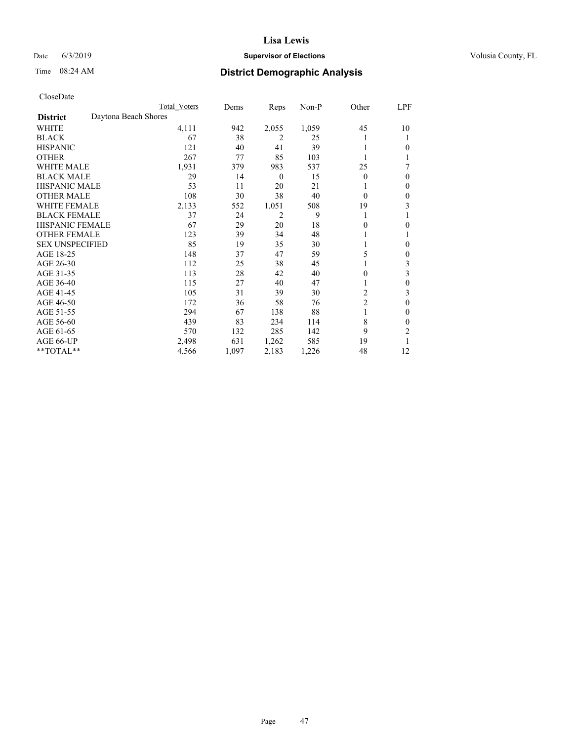## Date 6/3/2019 **Supervisor of Elections Supervisor of Elections** Volusia County, FL

## Time 08:24 AM **District Demographic Analysis**

|                        | Total Voters         | Dems  | Reps             | Non-P | Other          | LPF          |
|------------------------|----------------------|-------|------------------|-------|----------------|--------------|
| <b>District</b>        | Daytona Beach Shores |       |                  |       |                |              |
| WHITE                  | 4,111                | 942   | 2,055            | 1,059 | 45             | 10           |
| <b>BLACK</b>           | 67                   | 38    | 2                | 25    |                |              |
| <b>HISPANIC</b>        | 121                  | 40    | 41               | 39    |                | 0            |
| <b>OTHER</b>           | 267                  | 77    | 85               | 103   |                |              |
| <b>WHITE MALE</b>      | 1,931                | 379   | 983              | 537   | 25             |              |
| <b>BLACK MALE</b>      | 29                   | 14    | $\boldsymbol{0}$ | 15    | $\Omega$       | $\Omega$     |
| <b>HISPANIC MALE</b>   | 53                   | 11    | 20               | 21    |                | $\mathbf{0}$ |
| <b>OTHER MALE</b>      | 108                  | 30    | 38               | 40    | $\Omega$       | $\mathbf{0}$ |
| <b>WHITE FEMALE</b>    | 2,133                | 552   | 1,051            | 508   | 19             | 3            |
| <b>BLACK FEMALE</b>    | 37                   | 24    | 2                | 9     |                |              |
| <b>HISPANIC FEMALE</b> | 67                   | 29    | 20               | 18    | 0              | 0            |
| <b>OTHER FEMALE</b>    | 123                  | 39    | 34               | 48    |                |              |
| <b>SEX UNSPECIFIED</b> | 85                   | 19    | 35               | 30    |                | 0            |
| AGE 18-25              | 148                  | 37    | 47               | 59    | 5              | $\mathbf{0}$ |
| AGE 26-30              | 112                  | 25    | 38               | 45    |                | 3            |
| AGE 31-35              | 113                  | 28    | 42               | 40    | 0              | 3            |
| AGE 36-40              | 115                  | 27    | 40               | 47    |                | $\theta$     |
| AGE 41-45              | 105                  | 31    | 39               | 30    | 2              | 3            |
| AGE 46-50              | 172                  | 36    | 58               | 76    | $\overline{2}$ | $\theta$     |
| AGE 51-55              | 294                  | 67    | 138              | 88    | 1              | 0            |
| AGE 56-60              | 439                  | 83    | 234              | 114   | 8              | $\theta$     |
| AGE 61-65              | 570                  | 132   | 285              | 142   | 9              | 2            |
| AGE 66-UP              | 2,498                | 631   | 1,262            | 585   | 19             |              |
| **TOTAL**              | 4,566                | 1,097 | 2,183            | 1,226 | 48             | 12           |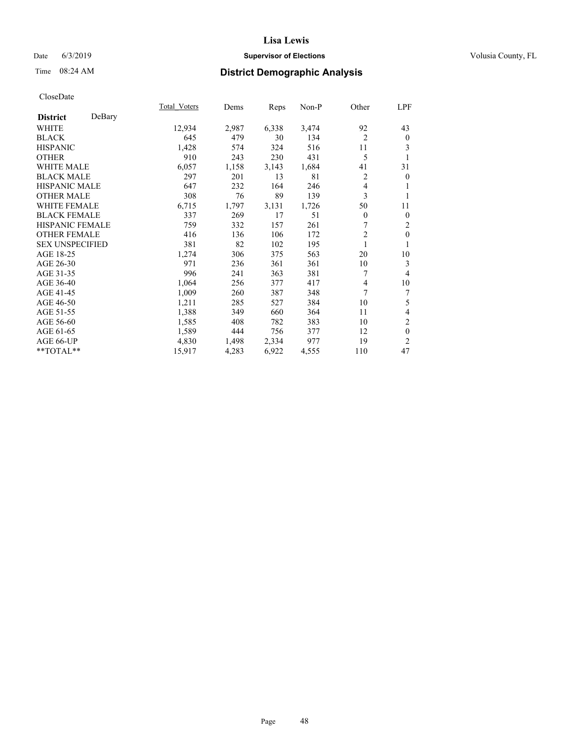## Date 6/3/2019 **Supervisor of Elections Supervisor of Elections** Volusia County, FL

## Time 08:24 AM **District Demographic Analysis**

|                        |        | Total Voters | Dems  | Reps  | Non-P | Other          | LPF            |
|------------------------|--------|--------------|-------|-------|-------|----------------|----------------|
| <b>District</b>        | DeBary |              |       |       |       |                |                |
| WHITE                  |        | 12,934       | 2,987 | 6,338 | 3,474 | 92             | 43             |
| <b>BLACK</b>           |        | 645          | 479   | 30    | 134   | $\overline{2}$ | $\mathbf{0}$   |
| <b>HISPANIC</b>        |        | 1,428        | 574   | 324   | 516   | 11             | 3              |
| <b>OTHER</b>           |        | 910          | 243   | 230   | 431   | 5              |                |
| <b>WHITE MALE</b>      |        | 6,057        | 1,158 | 3,143 | 1,684 | 41             | 31             |
| <b>BLACK MALE</b>      |        | 297          | 201   | 13    | 81    | $\overline{c}$ | $\mathbf{0}$   |
| <b>HISPANIC MALE</b>   |        | 647          | 232   | 164   | 246   | 4              | 1              |
| <b>OTHER MALE</b>      |        | 308          | 76    | 89    | 139   | 3              | 1              |
| <b>WHITE FEMALE</b>    |        | 6,715        | 1,797 | 3,131 | 1,726 | 50             | 11             |
| <b>BLACK FEMALE</b>    |        | 337          | 269   | 17    | 51    | $\overline{0}$ | $\mathbf{0}$   |
| <b>HISPANIC FEMALE</b> |        | 759          | 332   | 157   | 261   |                | 2              |
| <b>OTHER FEMALE</b>    |        | 416          | 136   | 106   | 172   | $\overline{c}$ | $\theta$       |
| <b>SEX UNSPECIFIED</b> |        | 381          | 82    | 102   | 195   | 1              | 1              |
| AGE 18-25              |        | 1,274        | 306   | 375   | 563   | 20             | 10             |
| AGE 26-30              |        | 971          | 236   | 361   | 361   | 10             | 3              |
| AGE 31-35              |        | 996          | 241   | 363   | 381   | 7              | 4              |
| AGE 36-40              |        | 1,064        | 256   | 377   | 417   | 4              | 10             |
| AGE 41-45              |        | 1,009        | 260   | 387   | 348   | 7              | 7              |
| AGE 46-50              |        | 1,211        | 285   | 527   | 384   | 10             | 5              |
| AGE 51-55              |        | 1,388        | 349   | 660   | 364   | 11             | 4              |
| AGE 56-60              |        | 1,585        | 408   | 782   | 383   | 10             | $\mathfrak{2}$ |
| AGE 61-65              |        | 1,589        | 444   | 756   | 377   | 12             | $\mathbf{0}$   |
| AGE 66-UP              |        | 4,830        | 1,498 | 2,334 | 977   | 19             | $\overline{2}$ |
| **TOTAL**              |        | 15,917       | 4,283 | 6,922 | 4,555 | 110            | 47             |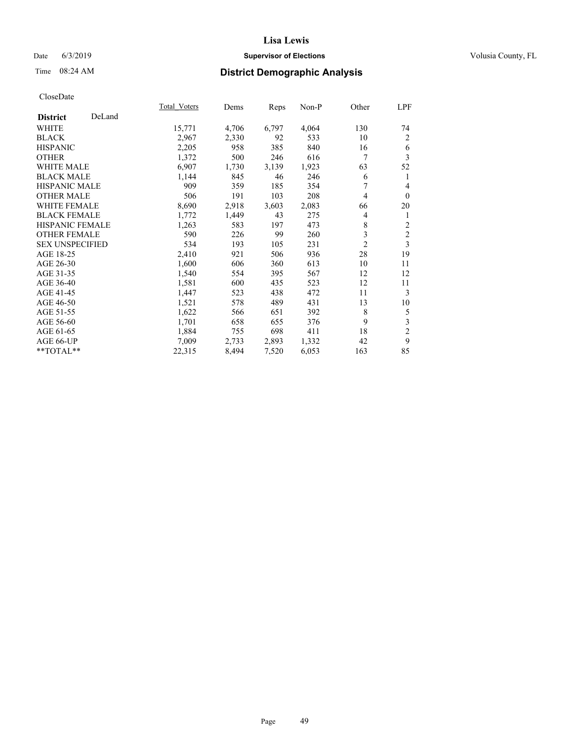## Date 6/3/2019 **Supervisor of Elections Supervisor of Elections** Volusia County, FL

## Time 08:24 AM **District Demographic Analysis**

|                        |        | Total Voters | Dems  | Reps  | $Non-P$ | Other          | LPF            |
|------------------------|--------|--------------|-------|-------|---------|----------------|----------------|
| <b>District</b>        | DeLand |              |       |       |         |                |                |
| WHITE                  |        | 15,771       | 4,706 | 6,797 | 4,064   | 130            | 74             |
| <b>BLACK</b>           |        | 2,967        | 2,330 | 92    | 533     | 10             | 2              |
| <b>HISPANIC</b>        |        | 2,205        | 958   | 385   | 840     | 16             | 6              |
| <b>OTHER</b>           |        | 1,372        | 500   | 246   | 616     | 7              | 3              |
| WHITE MALE             |        | 6,907        | 1,730 | 3,139 | 1,923   | 63             | 52             |
| <b>BLACK MALE</b>      |        | 1,144        | 845   | 46    | 246     | 6              | 1              |
| <b>HISPANIC MALE</b>   |        | 909          | 359   | 185   | 354     | 7              | $\overline{4}$ |
| <b>OTHER MALE</b>      |        | 506          | 191   | 103   | 208     | 4              | $\mathbf{0}$   |
| WHITE FEMALE           |        | 8,690        | 2,918 | 3,603 | 2,083   | 66             | 20             |
| <b>BLACK FEMALE</b>    |        | 1,772        | 1,449 | 43    | 275     | 4              | 1              |
| <b>HISPANIC FEMALE</b> |        | 1,263        | 583   | 197   | 473     | 8              | $\overline{c}$ |
| <b>OTHER FEMALE</b>    |        | 590          | 226   | 99    | 260     | 3              | $\sqrt{2}$     |
| <b>SEX UNSPECIFIED</b> |        | 534          | 193   | 105   | 231     | $\overline{2}$ | 3              |
| AGE 18-25              |        | 2,410        | 921   | 506   | 936     | 28             | 19             |
| AGE 26-30              |        | 1,600        | 606   | 360   | 613     | 10             | 11             |
| AGE 31-35              |        | 1,540        | 554   | 395   | 567     | 12             | 12             |
| AGE 36-40              |        | 1,581        | 600   | 435   | 523     | 12             | 11             |
| AGE 41-45              |        | 1,447        | 523   | 438   | 472     | 11             | 3              |
| AGE 46-50              |        | 1,521        | 578   | 489   | 431     | 13             | 10             |
| AGE 51-55              |        | 1,622        | 566   | 651   | 392     | 8              | 5              |
| AGE 56-60              |        | 1,701        | 658   | 655   | 376     | 9              | 3              |
| AGE 61-65              |        | 1,884        | 755   | 698   | 411     | 18             | $\overline{2}$ |
| AGE 66-UP              |        | 7,009        | 2,733 | 2,893 | 1,332   | 42             | 9              |
| **TOTAL**              |        | 22,315       | 8,494 | 7,520 | 6,053   | 163            | 85             |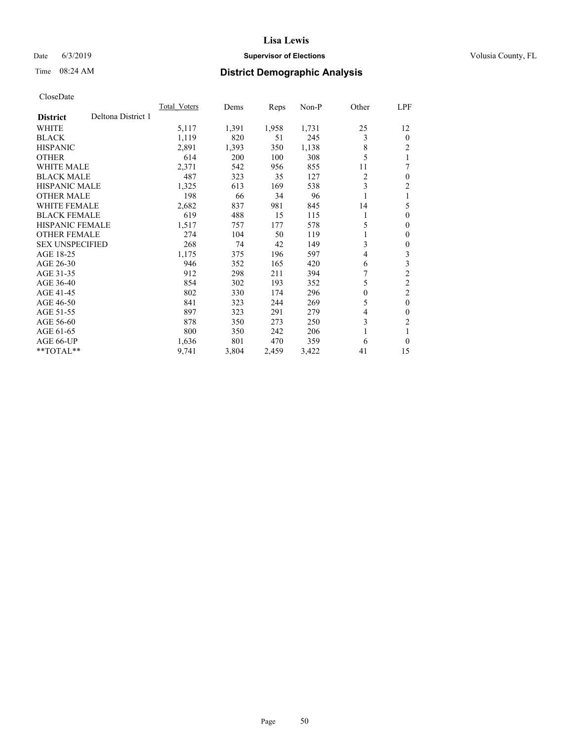## Date 6/3/2019 **Supervisor of Elections Supervisor of Elections** Volusia County, FL

# Time 08:24 AM **District Demographic Analysis**

|                                       | <b>Total Voters</b> | Dems  | Reps  | $Non-P$ | Other    | <u>LPF</u>     |
|---------------------------------------|---------------------|-------|-------|---------|----------|----------------|
| Deltona District 1<br><b>District</b> |                     |       |       |         |          |                |
| <b>WHITE</b>                          | 5,117               | 1,391 | 1,958 | 1,731   | 25       | 12             |
| <b>BLACK</b>                          | 1,119               | 820   | 51    | 245     | 3        | $\theta$       |
| <b>HISPANIC</b>                       | 2,891               | 1,393 | 350   | 1,138   | 8        | $\overline{c}$ |
| <b>OTHER</b>                          | 614                 | 200   | 100   | 308     | 5        |                |
| <b>WHITE MALE</b>                     | 2,371               | 542   | 956   | 855     | 11       | 7              |
| <b>BLACK MALE</b>                     | 487                 | 323   | 35    | 127     | 2        | $\theta$       |
| HISPANIC MALE                         | 1,325               | 613   | 169   | 538     | 3        | 2              |
| <b>OTHER MALE</b>                     | 198                 | 66    | 34    | 96      | 1        |                |
| <b>WHITE FEMALE</b>                   | 2,682               | 837   | 981   | 845     | 14       | 5              |
| <b>BLACK FEMALE</b>                   | 619                 | 488   | 15    | 115     | 1        | $\theta$       |
| <b>HISPANIC FEMALE</b>                | 1,517               | 757   | 177   | 578     | 5        | $\mathbf{0}$   |
| <b>OTHER FEMALE</b>                   | 274                 | 104   | 50    | 119     | 1        | $\Omega$       |
| <b>SEX UNSPECIFIED</b>                | 268                 | 74    | 42    | 149     | 3        | 0              |
| AGE 18-25                             | 1,175               | 375   | 196   | 597     | 4        | 3              |
| AGE 26-30                             | 946                 | 352   | 165   | 420     | 6        | 3              |
| AGE 31-35                             | 912                 | 298   | 211   | 394     |          | $\overline{2}$ |
| AGE 36-40                             | 854                 | 302   | 193   | 352     | 5        | $\overline{2}$ |
| AGE 41-45                             | 802                 | 330   | 174   | 296     | $\theta$ | 2              |
| AGE 46-50                             | 841                 | 323   | 244   | 269     | 5        | $\theta$       |
| AGE 51-55                             | 897                 | 323   | 291   | 279     | 4        | 0              |
| AGE 56-60                             | 878                 | 350   | 273   | 250     | 3        | $\overline{c}$ |
| AGE 61-65                             | 800                 | 350   | 242   | 206     | 1        |                |
| AGE 66-UP                             | 1,636               | 801   | 470   | 359     | 6        | 0              |
| $*$ TOTAL $*$                         | 9,741               | 3,804 | 2,459 | 3,422   | 41       | 15             |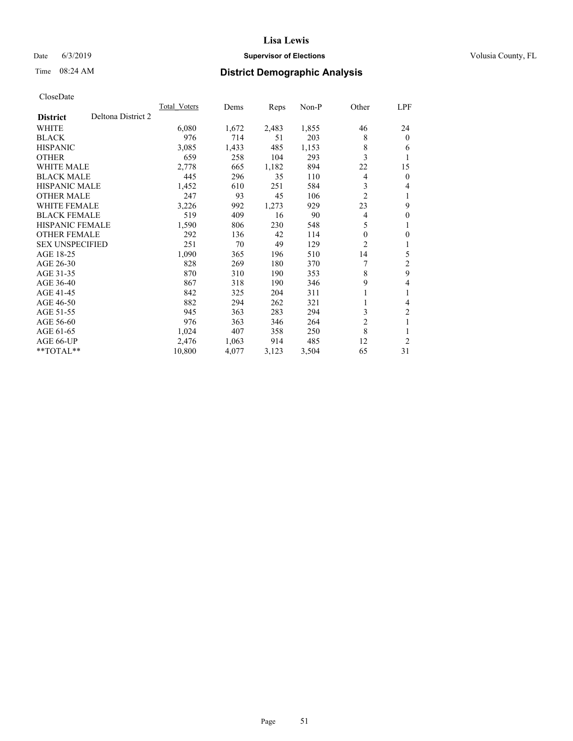## Date 6/3/2019 **Supervisor of Elections Supervisor of Elections** Volusia County, FL

# Time 08:24 AM **District Demographic Analysis**

|                                       | <b>Total Voters</b> | Dems  | Reps  | $Non-P$ | Other          | LPF            |
|---------------------------------------|---------------------|-------|-------|---------|----------------|----------------|
| Deltona District 2<br><b>District</b> |                     |       |       |         |                |                |
| <b>WHITE</b>                          | 6,080               | 1,672 | 2,483 | 1,855   | 46             | 24             |
| <b>BLACK</b>                          | 976                 | 714   | 51    | 203     | 8              | $\theta$       |
| <b>HISPANIC</b>                       | 3,085               | 1,433 | 485   | 1,153   | 8              | 6              |
| <b>OTHER</b>                          | 659                 | 258   | 104   | 293     | 3              | 1              |
| <b>WHITE MALE</b>                     | 2,778               | 665   | 1,182 | 894     | 22             | 15             |
| <b>BLACK MALE</b>                     | 445                 | 296   | 35    | 110     | 4              | $\mathbf{0}$   |
| HISPANIC MALE                         | 1,452               | 610   | 251   | 584     | 3              | 4              |
| <b>OTHER MALE</b>                     | 247                 | 93    | 45    | 106     | 2              | 1              |
| <b>WHITE FEMALE</b>                   | 3,226               | 992   | 1,273 | 929     | 23             | 9              |
| <b>BLACK FEMALE</b>                   | 519                 | 409   | 16    | 90      | 4              | $\theta$       |
| <b>HISPANIC FEMALE</b>                | 1,590               | 806   | 230   | 548     | 5              | 1              |
| <b>OTHER FEMALE</b>                   | 292                 | 136   | 42    | 114     | 0              | 0              |
| <b>SEX UNSPECIFIED</b>                | 251                 | 70    | 49    | 129     | 2              | 1              |
| AGE 18-25                             | 1,090               | 365   | 196   | 510     | 14             | 5              |
| AGE 26-30                             | 828                 | 269   | 180   | 370     |                | 2              |
| AGE 31-35                             | 870                 | 310   | 190   | 353     | 8              | 9              |
| AGE 36-40                             | 867                 | 318   | 190   | 346     | 9              | 4              |
| AGE 41-45                             | 842                 | 325   | 204   | 311     | 1              | 1              |
| AGE 46-50                             | 882                 | 294   | 262   | 321     |                | 4              |
| AGE 51-55                             | 945                 | 363   | 283   | 294     | 3              | $\overline{c}$ |
| AGE 56-60                             | 976                 | 363   | 346   | 264     | $\overline{2}$ | 1              |
| AGE 61-65                             | 1,024               | 407   | 358   | 250     | 8              |                |
| AGE 66-UP                             | 2,476               | 1,063 | 914   | 485     | 12             | $\overline{2}$ |
| $*$ TOTAL $*$                         | 10,800              | 4,077 | 3,123 | 3,504   | 65             | 31             |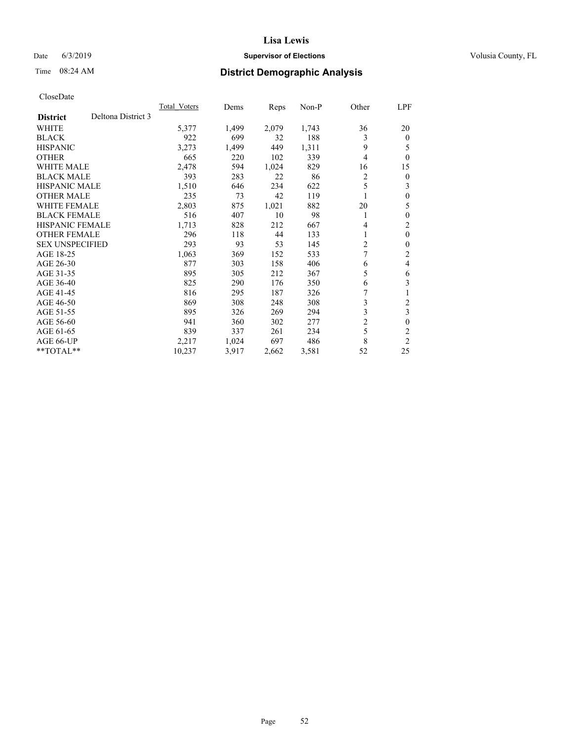## Date 6/3/2019 **Supervisor of Elections Supervisor of Elections** Volusia County, FL

## Time 08:24 AM **District Demographic Analysis**

|                                       | Total Voters | Dems  | Reps  | Non-P | Other          | LPF            |
|---------------------------------------|--------------|-------|-------|-------|----------------|----------------|
| Deltona District 3<br><b>District</b> |              |       |       |       |                |                |
| <b>WHITE</b>                          | 5,377        | 1,499 | 2,079 | 1,743 | 36             | 20             |
| <b>BLACK</b>                          | 922          | 699   | 32    | 188   | 3              | $\theta$       |
| <b>HISPANIC</b>                       | 3,273        | 1,499 | 449   | 1,311 | 9              | 5              |
| <b>OTHER</b>                          | 665          | 220   | 102   | 339   | $\overline{4}$ | $\theta$       |
| <b>WHITE MALE</b>                     | 2,478        | 594   | 1,024 | 829   | 16             | 15             |
| <b>BLACK MALE</b>                     | 393          | 283   | 22    | 86    | 2              | $\theta$       |
| HISPANIC MALE                         | 1,510        | 646   | 234   | 622   | 5              | 3              |
| <b>OTHER MALE</b>                     | 235          | 73    | 42    | 119   |                | $\theta$       |
| <b>WHITE FEMALE</b>                   | 2,803        | 875   | 1,021 | 882   | 20             | 5              |
| <b>BLACK FEMALE</b>                   | 516          | 407   | 10    | 98    | 1              | $\theta$       |
| <b>HISPANIC FEMALE</b>                | 1,713        | 828   | 212   | 667   | 4              | $\overline{c}$ |
| <b>OTHER FEMALE</b>                   | 296          | 118   | 44    | 133   | 1              | $\theta$       |
| <b>SEX UNSPECIFIED</b>                | 293          | 93    | 53    | 145   | 2              | $\theta$       |
| AGE 18-25                             | 1,063        | 369   | 152   | 533   | $\overline{7}$ | 2              |
| AGE 26-30                             | 877          | 303   | 158   | 406   | 6              | 4              |
| AGE 31-35                             | 895          | 305   | 212   | 367   | 5              | 6              |
| AGE 36-40                             | 825          | 290   | 176   | 350   | 6              | 3              |
| AGE 41-45                             | 816          | 295   | 187   | 326   | 7              | 1              |
| AGE 46-50                             | 869          | 308   | 248   | 308   | 3              | $\overline{c}$ |
| AGE 51-55                             | 895          | 326   | 269   | 294   | 3              | 3              |
| AGE 56-60                             | 941          | 360   | 302   | 277   | $\overline{c}$ | $\theta$       |
| AGE 61-65                             | 839          | 337   | 261   | 234   | 5              | $\overline{c}$ |
| AGE 66-UP                             | 2,217        | 1,024 | 697   | 486   | 8              | $\overline{c}$ |
| $*$ TOTAL $*$                         | 10,237       | 3,917 | 2,662 | 3,581 | 52             | 25             |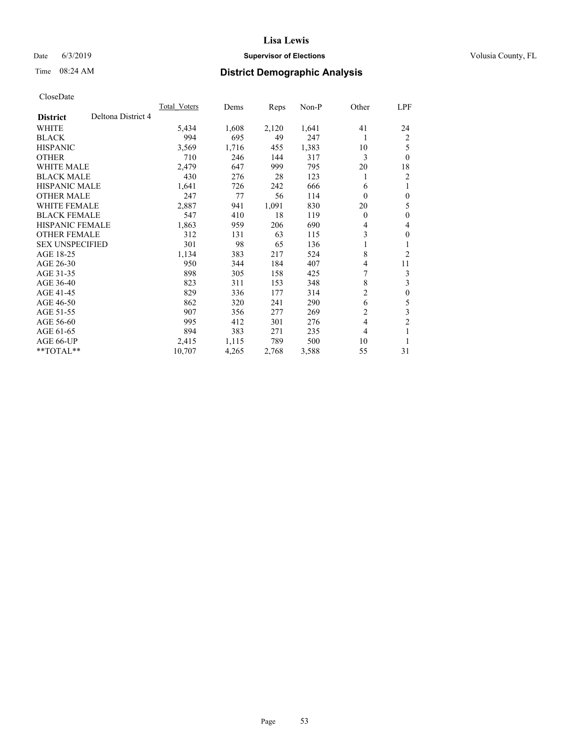## Date 6/3/2019 **Supervisor of Elections Supervisor of Elections** Volusia County, FL

# Time 08:24 AM **District Demographic Analysis**

| Total Voters | Dems  | Reps  | $Non-P$ | Other          | LPF              |
|--------------|-------|-------|---------|----------------|------------------|
|              |       |       |         |                |                  |
| 5,434        | 1,608 | 2,120 | 1,641   | 41             | 24               |
| 994          | 695   | 49    | 247     | 1              | 2                |
| 3,569        | 1,716 | 455   | 1,383   | 10             | 5                |
| 710          | 246   | 144   | 317     | 3              | $\theta$         |
| 2,479        | 647   | 999   | 795     | 20             | 18               |
| 430          | 276   | 28    | 123     | 1              | 2                |
| 1,641        | 726   | 242   | 666     | 6              | 1                |
| 247          | 77    | 56    | 114     | $\theta$       | $\mathbf{0}$     |
| 2,887        | 941   | 1,091 | 830     | 20             | 5                |
| 547          | 410   | 18    | 119     | $\theta$       | $\mathbf{0}$     |
| 1,863        | 959   | 206   | 690     | 4              | 4                |
| 312          | 131   | 63    | 115     | 3              | $\mathbf{0}$     |
| 301          | 98    | 65    | 136     | 1              | 1                |
| 1,134        | 383   | 217   | 524     | 8              | $\overline{2}$   |
| 950          | 344   | 184   | 407     | 4              | 11               |
| 898          | 305   | 158   | 425     | 7              | 3                |
| 823          | 311   | 153   | 348     | 8              | 3                |
| 829          | 336   | 177   | 314     | 2              | $\boldsymbol{0}$ |
| 862          | 320   | 241   | 290     | 6              | 5                |
| 907          | 356   | 277   | 269     | $\overline{2}$ | $\mathfrak{Z}$   |
| 995          | 412   | 301   | 276     | $\overline{4}$ | $\overline{2}$   |
| 894          | 383   | 271   | 235     | 4              | 1                |
| 2,415        | 1,115 | 789   | 500     | 10             | 1                |
| 10,707       | 4,265 | 2,768 | 3,588   | 55             | 31               |
|              |       |       |         |                |                  |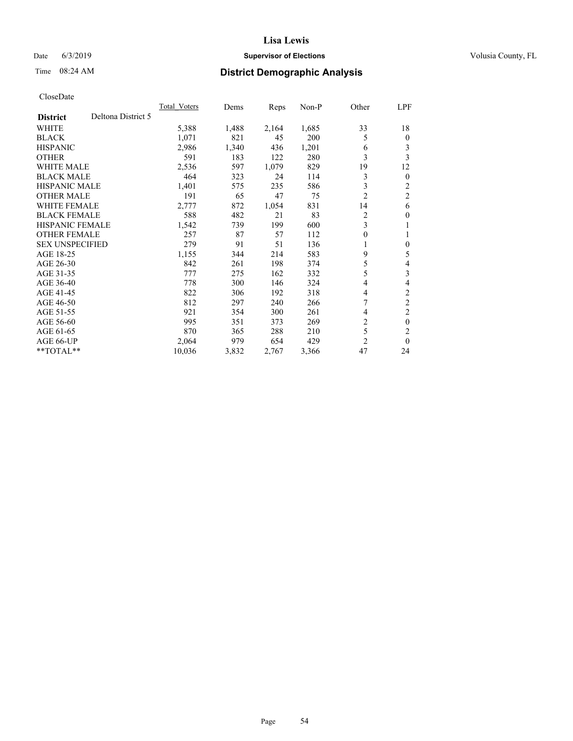## Date 6/3/2019 **Supervisor of Elections Supervisor of Elections** Volusia County, FL

# Time 08:24 AM **District Demographic Analysis**

|                        |                    | <b>Total Voters</b> | Dems  | Reps  | $Non-P$ | Other          | LPF            |
|------------------------|--------------------|---------------------|-------|-------|---------|----------------|----------------|
| <b>District</b>        | Deltona District 5 |                     |       |       |         |                |                |
| <b>WHITE</b>           |                    | 5,388               | 1,488 | 2,164 | 1,685   | 33             | 18             |
| <b>BLACK</b>           |                    | 1,071               | 821   | 45    | 200     | 5              | $\mathbf{0}$   |
| <b>HISPANIC</b>        |                    | 2,986               | 1,340 | 436   | 1,201   | 6              | 3              |
| <b>OTHER</b>           |                    | 591                 | 183   | 122   | 280     | 3              | 3              |
| <b>WHITE MALE</b>      |                    | 2,536               | 597   | 1,079 | 829     | 19             | 12             |
| <b>BLACK MALE</b>      |                    | 464                 | 323   | 24    | 114     | 3              | $\mathbf{0}$   |
| <b>HISPANIC MALE</b>   |                    | 1,401               | 575   | 235   | 586     | 3              | 2              |
| <b>OTHER MALE</b>      |                    | 191                 | 65    | 47    | 75      | $\overline{2}$ | $\overline{2}$ |
| <b>WHITE FEMALE</b>    |                    | 2,777               | 872   | 1,054 | 831     | 14             | 6              |
| <b>BLACK FEMALE</b>    |                    | 588                 | 482   | 21    | 83      | 2              | $\theta$       |
| <b>HISPANIC FEMALE</b> |                    | 1,542               | 739   | 199   | 600     | 3              | 1              |
| <b>OTHER FEMALE</b>    |                    | 257                 | 87    | 57    | 112     | 0              | 1              |
| <b>SEX UNSPECIFIED</b> |                    | 279                 | 91    | 51    | 136     | 1              | $\theta$       |
| AGE 18-25              |                    | 1,155               | 344   | 214   | 583     | 9              | 5              |
| AGE 26-30              |                    | 842                 | 261   | 198   | 374     | 5              | 4              |
| AGE 31-35              |                    | 777                 | 275   | 162   | 332     | 5              | 3              |
| AGE 36-40              |                    | 778                 | 300   | 146   | 324     | 4              | 4              |
| AGE 41-45              |                    | 822                 | 306   | 192   | 318     | 4              | $\mathfrak{2}$ |
| AGE 46-50              |                    | 812                 | 297   | 240   | 266     | 7              | $\overline{c}$ |
| AGE 51-55              |                    | 921                 | 354   | 300   | 261     | 4              | $\overline{c}$ |
| AGE 56-60              |                    | 995                 | 351   | 373   | 269     | $\overline{2}$ | $\theta$       |
| AGE 61-65              |                    | 870                 | 365   | 288   | 210     | 5              | $\overline{c}$ |
| AGE 66-UP              |                    | 2,064               | 979   | 654   | 429     | 2              | $\theta$       |
| $*$ TOTAL $*$          |                    | 10,036              | 3,832 | 2,767 | 3,366   | 47             | 24             |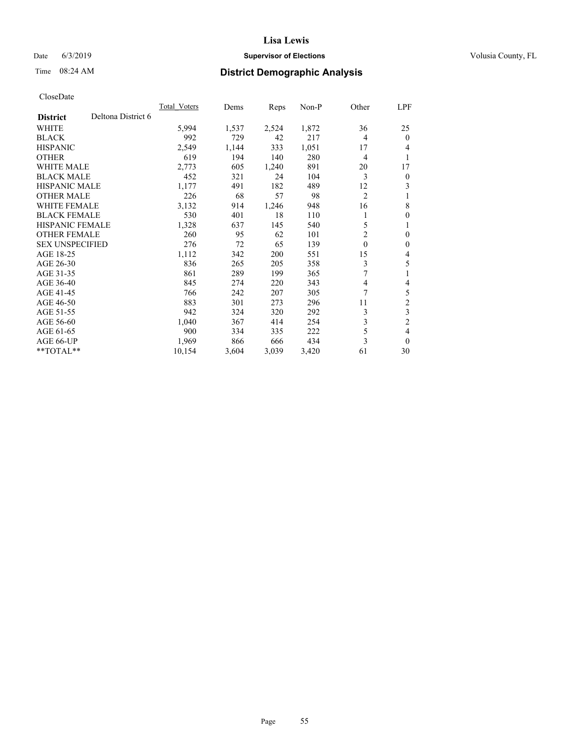## Date 6/3/2019 **Supervisor of Elections Supervisor of Elections** Volusia County, FL

# Time 08:24 AM **District Demographic Analysis**

|                        |                    | <b>Total Voters</b> | Dems  | Reps  | $Non-P$ | Other          | LPF            |
|------------------------|--------------------|---------------------|-------|-------|---------|----------------|----------------|
| <b>District</b>        | Deltona District 6 |                     |       |       |         |                |                |
| <b>WHITE</b>           |                    | 5,994               | 1,537 | 2,524 | 1,872   | 36             | 25             |
| <b>BLACK</b>           |                    | 992                 | 729   | 42    | 217     | 4              | $\theta$       |
| <b>HISPANIC</b>        |                    | 2,549               | 1,144 | 333   | 1,051   | 17             | 4              |
| <b>OTHER</b>           |                    | 619                 | 194   | 140   | 280     | 4              | 1              |
| <b>WHITE MALE</b>      |                    | 2,773               | 605   | 1,240 | 891     | 20             | 17             |
| <b>BLACK MALE</b>      |                    | 452                 | 321   | 24    | 104     | 3              | $\overline{0}$ |
| <b>HISPANIC MALE</b>   |                    | 1,177               | 491   | 182   | 489     | 12             | 3              |
| <b>OTHER MALE</b>      |                    | 226                 | 68    | 57    | 98      | $\overline{2}$ | 1              |
| <b>WHITE FEMALE</b>    |                    | 3,132               | 914   | 1,246 | 948     | 16             | 8              |
| <b>BLACK FEMALE</b>    |                    | 530                 | 401   | 18    | 110     |                | $\theta$       |
| <b>HISPANIC FEMALE</b> |                    | 1,328               | 637   | 145   | 540     | 5              | 1              |
| <b>OTHER FEMALE</b>    |                    | 260                 | 95    | 62    | 101     | 2              | $\theta$       |
| <b>SEX UNSPECIFIED</b> |                    | 276                 | 72    | 65    | 139     | $\mathbf{0}$   | $\theta$       |
| AGE 18-25              |                    | 1,112               | 342   | 200   | 551     | 15             | 4              |
| AGE 26-30              |                    | 836                 | 265   | 205   | 358     | 3              | 5              |
| AGE 31-35              |                    | 861                 | 289   | 199   | 365     | 7              | 1              |
| AGE 36-40              |                    | 845                 | 274   | 220   | 343     | 4              | 4              |
| AGE 41-45              |                    | 766                 | 242   | 207   | 305     | 7              | 5              |
| AGE 46-50              |                    | 883                 | 301   | 273   | 296     | 11             | $\overline{c}$ |
| AGE 51-55              |                    | 942                 | 324   | 320   | 292     | 3              | 3              |
| AGE 56-60              |                    | 1,040               | 367   | 414   | 254     | 3              | $\overline{c}$ |
| AGE 61-65              |                    | 900                 | 334   | 335   | 222     | 5              | 4              |
| AGE 66-UP              |                    | 1,969               | 866   | 666   | 434     | 3              | $\theta$       |
| $*$ TOTAL $*$          |                    | 10,154              | 3,604 | 3,039 | 3,420   | 61             | 30             |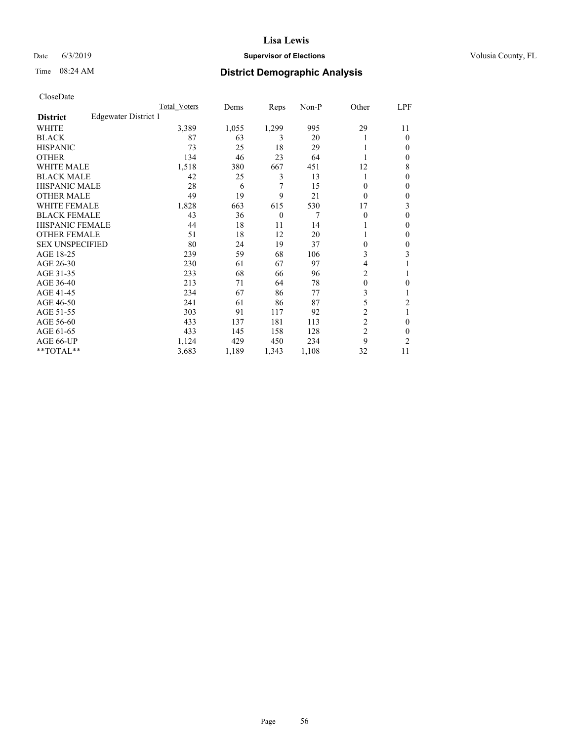## Date 6/3/2019 **Supervisor of Elections Supervisor of Elections** Volusia County, FL

## Time 08:24 AM **District Demographic Analysis**

|                        |                      | Total Voters | Dems  | Reps     | Non-P | Other            | LPF            |
|------------------------|----------------------|--------------|-------|----------|-------|------------------|----------------|
| <b>District</b>        | Edgewater District 1 |              |       |          |       |                  |                |
| WHITE                  |                      | 3,389        | 1,055 | 1,299    | 995   | 29               | 11             |
| <b>BLACK</b>           |                      | 87           | 63    | 3        | 20    |                  | $\Omega$       |
| <b>HISPANIC</b>        |                      | 73           | 25    | 18       | 29    |                  | $\Omega$       |
| <b>OTHER</b>           |                      | 134          | 46    | 23       | 64    |                  | $\Omega$       |
| <b>WHITE MALE</b>      |                      | 1,518        | 380   | 667      | 451   | 12               | 8              |
| <b>BLACK MALE</b>      |                      | 42           | 25    | 3        | 13    |                  | $\mathbf{0}$   |
| <b>HISPANIC MALE</b>   |                      | 28           | 6     | 7        | 15    | 0                | $\theta$       |
| <b>OTHER MALE</b>      |                      | 49           | 19    | 9        | 21    | $\Omega$         | $\mathbf{0}$   |
| <b>WHITE FEMALE</b>    |                      | 1,828        | 663   | 615      | 530   | 17               | 3              |
| <b>BLACK FEMALE</b>    |                      | 43           | 36    | $\theta$ | 7     | $\theta$         | $\theta$       |
| <b>HISPANIC FEMALE</b> |                      | 44           | 18    | 11       | 14    |                  | $\Omega$       |
| <b>OTHER FEMALE</b>    |                      | 51           | 18    | 12       | 20    |                  | $\Omega$       |
| <b>SEX UNSPECIFIED</b> |                      | 80           | 24    | 19       | 37    | 0                | $\theta$       |
| AGE 18-25              |                      | 239          | 59    | 68       | 106   | 3                | 3              |
| AGE 26-30              |                      | 230          | 61    | 67       | 97    | 4                |                |
| AGE 31-35              |                      | 233          | 68    | 66       | 96    | 2                |                |
| AGE 36-40              |                      | 213          | 71    | 64       | 78    | $\boldsymbol{0}$ | 0              |
| AGE 41-45              |                      | 234          | 67    | 86       | 77    | 3                |                |
| AGE 46-50              |                      | 241          | 61    | 86       | 87    | 5                | $\overline{c}$ |
| AGE 51-55              |                      | 303          | 91    | 117      | 92    | $\overline{2}$   |                |
| AGE 56-60              |                      | 433          | 137   | 181      | 113   | $\overline{c}$   | $\theta$       |
| AGE 61-65              |                      | 433          | 145   | 158      | 128   | $\overline{c}$   | $\theta$       |
| AGE 66-UP              |                      | 1,124        | 429   | 450      | 234   | 9                | $\overline{c}$ |
| **TOTAL**              |                      | 3,683        | 1,189 | 1,343    | 1,108 | 32               | 11             |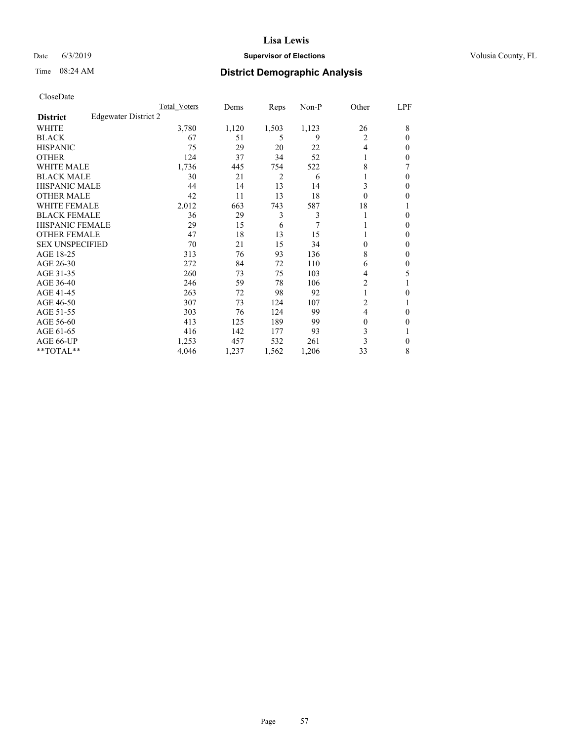#### Date 6/3/2019 **Supervisor of Elections Supervisor of Elections** Volusia County, FL

## Time 08:24 AM **District Demographic Analysis**

|                        |                      | Total Voters | Dems  | Reps  | Non-P | Other          | LPF          |
|------------------------|----------------------|--------------|-------|-------|-------|----------------|--------------|
| <b>District</b>        | Edgewater District 2 |              |       |       |       |                |              |
| WHITE                  |                      | 3,780        | 1,120 | 1,503 | 1,123 | 26             | 8            |
| <b>BLACK</b>           |                      | 67           | 51    | 5     | 9     | 2              | $\Omega$     |
| <b>HISPANIC</b>        |                      | 75           | 29    | 20    | 22    | $\overline{4}$ | 0            |
| <b>OTHER</b>           |                      | 124          | 37    | 34    | 52    |                | 0            |
| <b>WHITE MALE</b>      |                      | 1,736        | 445   | 754   | 522   | 8              |              |
| <b>BLACK MALE</b>      |                      | 30           | 21    | 2     | 6     |                | $\Omega$     |
| <b>HISPANIC MALE</b>   |                      | 44           | 14    | 13    | 14    | 3              | 0            |
| <b>OTHER MALE</b>      |                      | 42           | 11    | 13    | 18    | $\theta$       | 0            |
| <b>WHITE FEMALE</b>    |                      | 2,012        | 663   | 743   | 587   | 18             |              |
| <b>BLACK FEMALE</b>    |                      | 36           | 29    | 3     | 3     |                | 0            |
| <b>HISPANIC FEMALE</b> |                      | 29           | 15    | 6     | 7     |                | 0            |
| <b>OTHER FEMALE</b>    |                      | 47           | 18    | 13    | 15    |                | 0            |
| <b>SEX UNSPECIFIED</b> |                      | 70           | 21    | 15    | 34    | $\Omega$       | 0            |
| AGE 18-25              |                      | 313          | 76    | 93    | 136   | 8              | 0            |
| AGE 26-30              |                      | 272          | 84    | 72    | 110   | 6              | $\mathbf{0}$ |
| AGE 31-35              |                      | 260          | 73    | 75    | 103   | 4              | 5            |
| AGE 36-40              |                      | 246          | 59    | 78    | 106   | 2              |              |
| AGE 41-45              |                      | 263          | 72    | 98    | 92    | 1              | 0            |
| AGE 46-50              |                      | 307          | 73    | 124   | 107   | 2              |              |
| AGE 51-55              |                      | 303          | 76    | 124   | 99    | $\overline{4}$ | 0            |
| AGE 56-60              |                      | 413          | 125   | 189   | 99    | $\theta$       | 0            |
| AGE 61-65              |                      | 416          | 142   | 177   | 93    | 3              |              |
| AGE 66-UP              |                      | 1,253        | 457   | 532   | 261   | 3              | 0            |
| **TOTAL**              |                      | 4,046        | 1,237 | 1,562 | 1,206 | 33             | 8            |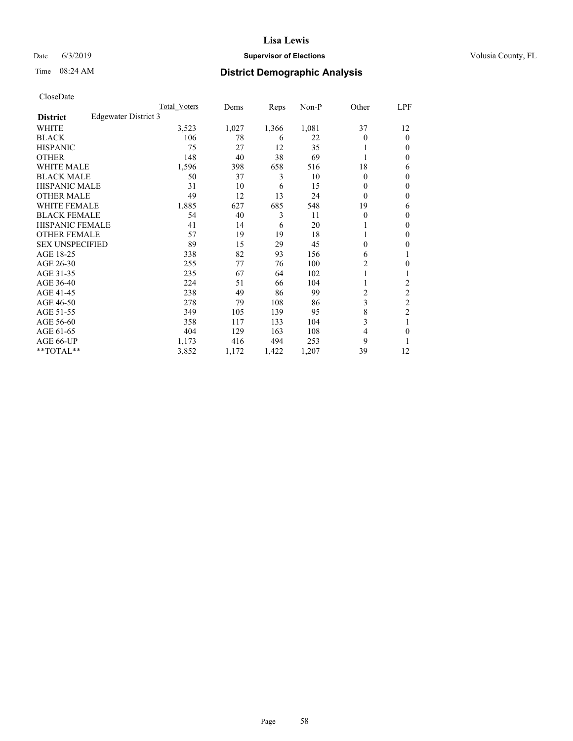## Date 6/3/2019 **Supervisor of Elections Supervisor of Elections** Volusia County, FL

## Time 08:24 AM **District Demographic Analysis**

|                        |                      | Total Voters | Dems  | Reps  | Non-P | Other | LPF            |
|------------------------|----------------------|--------------|-------|-------|-------|-------|----------------|
| <b>District</b>        | Edgewater District 3 |              |       |       |       |       |                |
| WHITE                  |                      | 3,523        | 1,027 | 1,366 | 1,081 | 37    | 12             |
| <b>BLACK</b>           |                      | 106          | 78    | 6     | 22    | 0     | $\mathbf{0}$   |
| <b>HISPANIC</b>        |                      | 75           | 27    | 12    | 35    |       | $\Omega$       |
| <b>OTHER</b>           |                      | 148          | 40    | 38    | 69    |       | 0              |
| <b>WHITE MALE</b>      |                      | 1,596        | 398   | 658   | 516   | 18    | 6              |
| <b>BLACK MALE</b>      |                      | 50           | 37    | 3     | 10    | 0     | $\mathbf{0}$   |
| <b>HISPANIC MALE</b>   |                      | 31           | 10    | 6     | 15    | 0     | $\theta$       |
| <b>OTHER MALE</b>      |                      | 49           | 12    | 13    | 24    | 0     | $\mathbf{0}$   |
| WHITE FEMALE           |                      | 1,885        | 627   | 685   | 548   | 19    | 6              |
| <b>BLACK FEMALE</b>    |                      | 54           | 40    | 3     | 11    | 0     | $\mathbf{0}$   |
| <b>HISPANIC FEMALE</b> |                      | 41           | 14    | 6     | 20    |       | 0              |
| <b>OTHER FEMALE</b>    |                      | 57           | 19    | 19    | 18    |       | 0              |
| <b>SEX UNSPECIFIED</b> |                      | 89           | 15    | 29    | 45    | 0     | 0              |
| AGE 18-25              |                      | 338          | 82    | 93    | 156   | 6     | 1              |
| AGE 26-30              |                      | 255          | 77    | 76    | 100   | 2     | 0              |
| AGE 31-35              |                      | 235          | 67    | 64    | 102   |       |                |
| AGE 36-40              |                      | 224          | 51    | 66    | 104   |       | 2              |
| AGE 41-45              |                      | 238          | 49    | 86    | 99    | 2     | 2              |
| AGE 46-50              |                      | 278          | 79    | 108   | 86    | 3     | $\overline{c}$ |
| AGE 51-55              |                      | 349          | 105   | 139   | 95    | 8     | $\overline{c}$ |
| AGE 56-60              |                      | 358          | 117   | 133   | 104   | 3     |                |
| AGE 61-65              |                      | 404          | 129   | 163   | 108   | 4     | 0              |
| AGE 66-UP              |                      | 1,173        | 416   | 494   | 253   | 9     |                |
| **TOTAL**              |                      | 3,852        | 1,172 | 1,422 | 1,207 | 39    | 12             |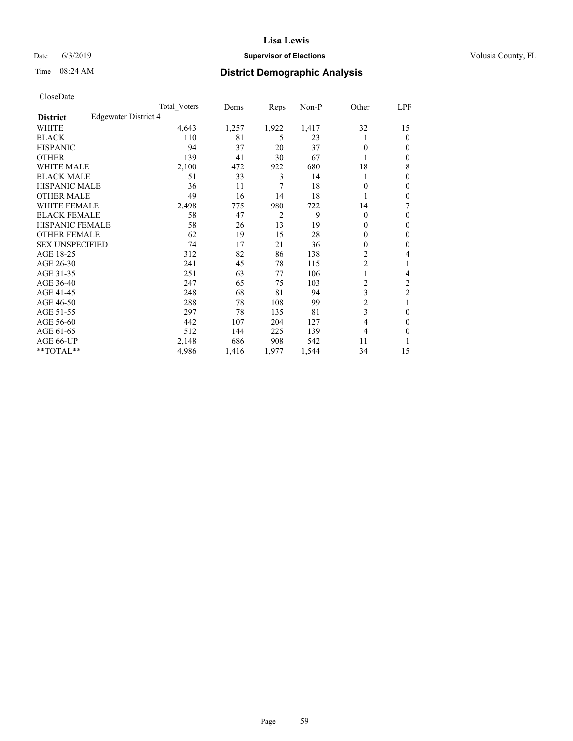## Date 6/3/2019 **Supervisor of Elections Supervisor of Elections** Volusia County, FL

# Time 08:24 AM **District Demographic Analysis**

|                        |                      | Total Voters | Dems  | Reps  | Non-P | Other          | LPF            |
|------------------------|----------------------|--------------|-------|-------|-------|----------------|----------------|
| <b>District</b>        | Edgewater District 4 |              |       |       |       |                |                |
| WHITE                  |                      | 4,643        | 1,257 | 1,922 | 1,417 | 32             | 15             |
| <b>BLACK</b>           |                      | 110          | 81    | 5     | 23    |                | $\mathbf{0}$   |
| <b>HISPANIC</b>        |                      | 94           | 37    | 20    | 37    | $\theta$       | $\Omega$       |
| <b>OTHER</b>           |                      | 139          | 41    | 30    | 67    |                | $\theta$       |
| <b>WHITE MALE</b>      |                      | 2,100        | 472   | 922   | 680   | 18             | 8              |
| <b>BLACK MALE</b>      |                      | 51           | 33    | 3     | 14    |                | $\theta$       |
| <b>HISPANIC MALE</b>   |                      | 36           | 11    | 7     | 18    | 0              | $\theta$       |
| <b>OTHER MALE</b>      |                      | 49           | 16    | 14    | 18    |                | $\theta$       |
| <b>WHITE FEMALE</b>    |                      | 2,498        | 775   | 980   | 722   | 14             | 7              |
| <b>BLACK FEMALE</b>    |                      | 58           | 47    | 2     | 9     | $\Omega$       | $\Omega$       |
| <b>HISPANIC FEMALE</b> |                      | 58           | 26    | 13    | 19    | 0              | $\theta$       |
| <b>OTHER FEMALE</b>    |                      | 62           | 19    | 15    | 28    | 0              | $\theta$       |
| <b>SEX UNSPECIFIED</b> |                      | 74           | 17    | 21    | 36    | $\theta$       | $\theta$       |
| AGE 18-25              |                      | 312          | 82    | 86    | 138   | $\overline{c}$ | 4              |
| AGE 26-30              |                      | 241          | 45    | 78    | 115   | $\overline{c}$ | 1              |
| AGE 31-35              |                      | 251          | 63    | 77    | 106   |                | 4              |
| AGE 36-40              |                      | 247          | 65    | 75    | 103   | 2              | $\overline{c}$ |
| AGE 41-45              |                      | 248          | 68    | 81    | 94    | 3              | $\overline{c}$ |
| AGE 46-50              |                      | 288          | 78    | 108   | 99    | $\overline{2}$ | 1              |
| AGE 51-55              |                      | 297          | 78    | 135   | 81    | 3              | $\theta$       |
| AGE 56-60              |                      | 442          | 107   | 204   | 127   | 4              | $\theta$       |
| AGE 61-65              |                      | 512          | 144   | 225   | 139   | 4              | $\theta$       |
| AGE 66-UP              |                      | 2,148        | 686   | 908   | 542   | 11             |                |
| **TOTAL**              |                      | 4,986        | 1,416 | 1,977 | 1,544 | 34             | 15             |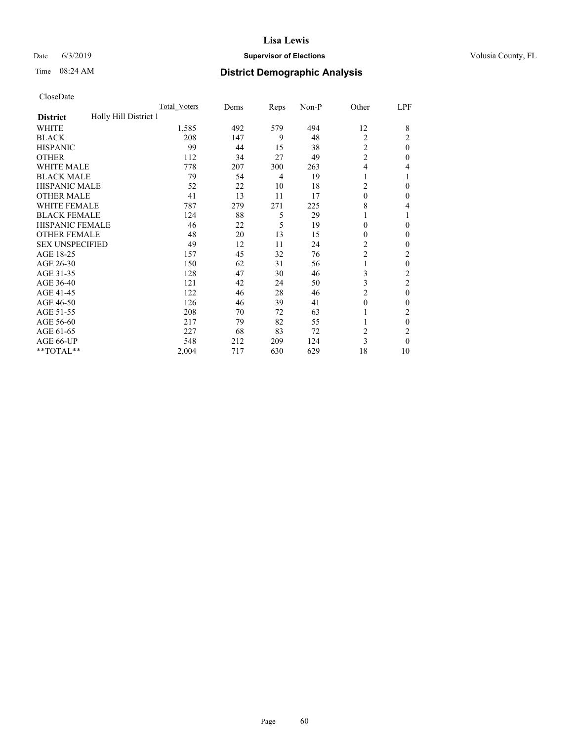#### Date 6/3/2019 **Supervisor of Elections Supervisor of Elections** Volusia County, FL

# Time 08:24 AM **District Demographic Analysis**

|                                          | Total Voters | Dems | Reps | Non-P | Other          | LPF            |
|------------------------------------------|--------------|------|------|-------|----------------|----------------|
| Holly Hill District 1<br><b>District</b> |              |      |      |       |                |                |
| WHITE                                    | 1,585        | 492  | 579  | 494   | 12             | 8              |
| <b>BLACK</b>                             | 208          | 147  | 9    | 48    | $\overline{2}$ | 2              |
| <b>HISPANIC</b>                          | 99           | 44   | 15   | 38    | $\overline{c}$ | $\theta$       |
| <b>OTHER</b>                             | 112          | 34   | 27   | 49    | $\mathfrak{2}$ | 0              |
| WHITE MALE                               | 778          | 207  | 300  | 263   | 4              | 4              |
| <b>BLACK MALE</b>                        | 79           | 54   | 4    | 19    | 1              |                |
| <b>HISPANIC MALE</b>                     | 52           | 22   | 10   | 18    | 2              | 0              |
| <b>OTHER MALE</b>                        | 41           | 13   | 11   | 17    | $\Omega$       | 0              |
| WHITE FEMALE                             | 787          | 279  | 271  | 225   | 8              | 4              |
| <b>BLACK FEMALE</b>                      | 124          | 88   | 5    | 29    | 1              |                |
| <b>HISPANIC FEMALE</b>                   | 46           | 22   | 5    | 19    | $\theta$       | 0              |
| <b>OTHER FEMALE</b>                      | 48           | 20   | 13   | 15    | $\Omega$       | 0              |
| <b>SEX UNSPECIFIED</b>                   | 49           | 12   | 11   | 24    | $\overline{c}$ | 0              |
| AGE 18-25                                | 157          | 45   | 32   | 76    | $\overline{c}$ | 2              |
| AGE 26-30                                | 150          | 62   | 31   | 56    | 1              | $\theta$       |
| AGE 31-35                                | 128          | 47   | 30   | 46    | 3              | $\overline{c}$ |
| AGE 36-40                                | 121          | 42   | 24   | 50    | 3              | 2              |
| AGE 41-45                                | 122          | 46   | 28   | 46    | $\overline{c}$ | $\theta$       |
| AGE 46-50                                | 126          | 46   | 39   | 41    | $\theta$       | 0              |
| AGE 51-55                                | 208          | 70   | 72   | 63    |                | 2              |
| AGE 56-60                                | 217          | 79   | 82   | 55    |                | $\theta$       |
| AGE 61-65                                | 227          | 68   | 83   | 72    | 2              | 2              |
| AGE 66-UP                                | 548          | 212  | 209  | 124   | 3              | $\Omega$       |
| **TOTAL**                                | 2,004        | 717  | 630  | 629   | 18             | 10             |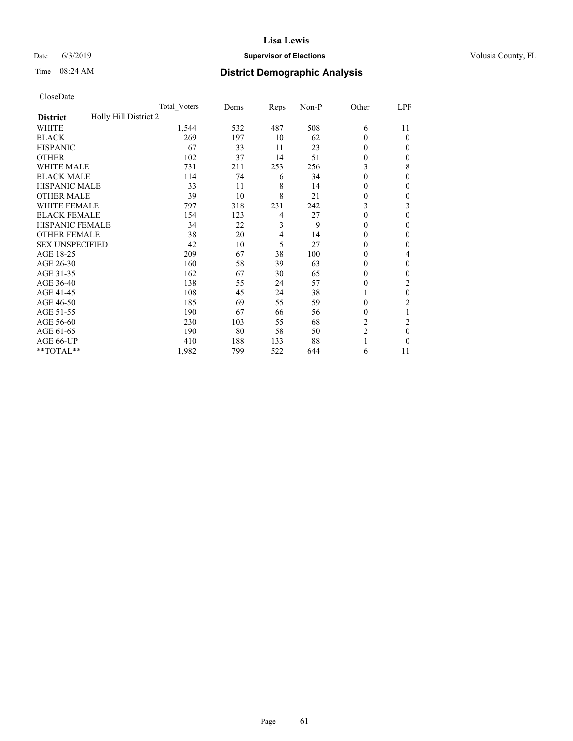## Date 6/3/2019 **Supervisor of Elections Supervisor of Elections** Volusia County, FL

# Time 08:24 AM **District Demographic Analysis**

|                                          | Total Voters | Dems | Reps | Non-P | Other          | LPF          |
|------------------------------------------|--------------|------|------|-------|----------------|--------------|
| Holly Hill District 2<br><b>District</b> |              |      |      |       |                |              |
| WHITE                                    | 1,544        | 532  | 487  | 508   | 6              | 11           |
| <b>BLACK</b>                             | 269          | 197  | 10   | 62    | 0              | 0            |
| <b>HISPANIC</b>                          | 67           | 33   | 11   | 23    | $\Omega$       | $_{0}$       |
| <b>OTHER</b>                             | 102          | 37   | 14   | 51    | 0              | 0            |
| WHITE MALE                               | 731          | 211  | 253  | 256   | 3              | 8            |
| <b>BLACK MALE</b>                        | 114          | 74   | 6    | 34    | $\Omega$       | 0            |
| <b>HISPANIC MALE</b>                     | 33           | 11   | 8    | 14    | 0              | 0            |
| <b>OTHER MALE</b>                        | 39           | 10   | 8    | 21    | 0              | 0            |
| WHITE FEMALE                             | 797          | 318  | 231  | 242   | 3              | 3            |
| <b>BLACK FEMALE</b>                      | 154          | 123  | 4    | 27    | 0              | 0            |
| <b>HISPANIC FEMALE</b>                   | 34           | 22   | 3    | 9     | 0              | 0            |
| <b>OTHER FEMALE</b>                      | 38           | 20   | 4    | 14    | 0              | 0            |
| <b>SEX UNSPECIFIED</b>                   | 42           | 10   | 5    | 27    | 0              | 0            |
| AGE 18-25                                | 209          | 67   | 38   | 100   | 0              | 4            |
| AGE 26-30                                | 160          | 58   | 39   | 63    | $\Omega$       | $\mathbf{0}$ |
| AGE 31-35                                | 162          | 67   | 30   | 65    | 0              | 0            |
| AGE 36-40                                | 138          | 55   | 24   | 57    | 0              | 2            |
| AGE 41-45                                | 108          | 45   | 24   | 38    |                | 0            |
| AGE 46-50                                | 185          | 69   | 55   | 59    | $\Omega$       | 2            |
| AGE 51-55                                | 190          | 67   | 66   | 56    | 0              | 1            |
| AGE 56-60                                | 230          | 103  | 55   | 68    | $\overline{c}$ | 2            |
| AGE 61-65                                | 190          | 80   | 58   | 50    | $\overline{c}$ | 0            |
| AGE 66-UP                                | 410          | 188  | 133  | 88    |                | 0            |
| **TOTAL**                                | 1,982        | 799  | 522  | 644   | 6              | 11           |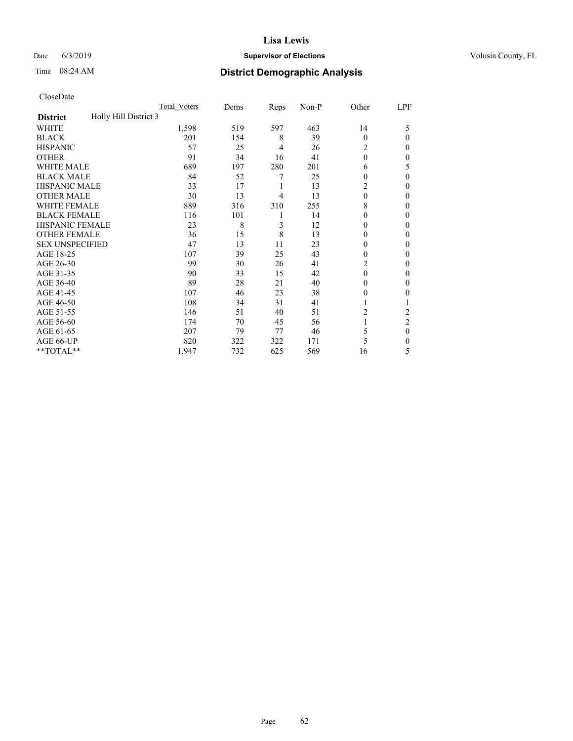## Date 6/3/2019 **Supervisor of Elections Supervisor of Elections** Volusia County, FL

# Time 08:24 AM **District Demographic Analysis**

|                                          | Total Voters | Dems | Reps | Non-P | Other          | LPF            |
|------------------------------------------|--------------|------|------|-------|----------------|----------------|
| Holly Hill District 3<br><b>District</b> |              |      |      |       |                |                |
| WHITE                                    | 1,598        | 519  | 597  | 463   | 14             | 5              |
| <b>BLACK</b>                             | 201          | 154  | 8    | 39    | $\theta$       | $\Omega$       |
| <b>HISPANIC</b>                          | 57           | 25   | 4    | 26    | 2              | 0              |
| <b>OTHER</b>                             | 91           | 34   | 16   | 41    | $\theta$       | 0              |
| <b>WHITE MALE</b>                        | 689          | 197  | 280  | 201   | 6              | 5              |
| <b>BLACK MALE</b>                        | 84           | 52   | 7    | 25    | $\theta$       | $\theta$       |
| <b>HISPANIC MALE</b>                     | 33           | 17   | 1    | 13    | 2              | 0              |
| <b>OTHER MALE</b>                        | 30           | 13   | 4    | 13    | $\theta$       | $\mathbf{0}$   |
| <b>WHITE FEMALE</b>                      | 889          | 316  | 310  | 255   | 8              | 0              |
| <b>BLACK FEMALE</b>                      | 116          | 101  | 1    | 14    | $\theta$       | 0              |
| <b>HISPANIC FEMALE</b>                   | 23           | 8    | 3    | 12    | $\theta$       | 0              |
| <b>OTHER FEMALE</b>                      | 36           | 15   | 8    | 13    | $\theta$       | 0              |
| <b>SEX UNSPECIFIED</b>                   | 47           | 13   | 11   | 23    | $\theta$       | 0              |
| AGE 18-25                                | 107          | 39   | 25   | 43    | $\theta$       | 0              |
| AGE 26-30                                | 99           | 30   | 26   | 41    | $\overline{c}$ | $\mathbf{0}$   |
| AGE 31-35                                | 90           | 33   | 15   | 42    | $\theta$       | 0              |
| AGE 36-40                                | 89           | 28   | 21   | 40    | $\theta$       | 0              |
| AGE 41-45                                | 107          | 46   | 23   | 38    | $\theta$       | 0              |
| AGE 46-50                                | 108          | 34   | 31   | 41    | 1              |                |
| AGE 51-55                                | 146          | 51   | 40   | 51    | 2              | 2              |
| AGE 56-60                                | 174          | 70   | 45   | 56    |                | $\overline{2}$ |
| AGE 61-65                                | 207          | 79   | 77   | 46    | 5              | $\theta$       |
| AGE 66-UP                                | 820          | 322  | 322  | 171   | 5              | 0              |
| **TOTAL**                                | 1,947        | 732  | 625  | 569   | 16             | 5              |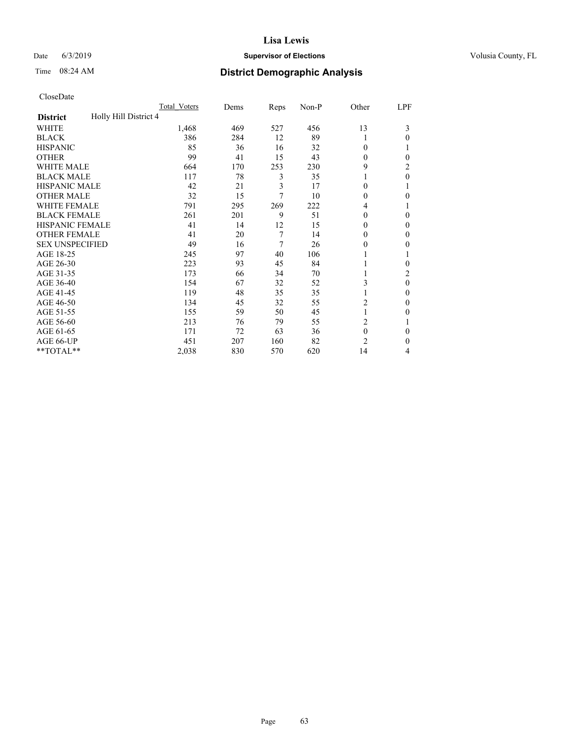## Date 6/3/2019 **Supervisor of Elections Supervisor of Elections** Volusia County, FL

# Time 08:24 AM **District Demographic Analysis**

|                                          | Total Voters | Dems | Reps | Non-P | Other          | LPF      |
|------------------------------------------|--------------|------|------|-------|----------------|----------|
| Holly Hill District 4<br><b>District</b> |              |      |      |       |                |          |
| WHITE                                    | 1,468        | 469  | 527  | 456   | 13             | 3        |
| <b>BLACK</b>                             | 386          | 284  | 12   | 89    | 1              | 0        |
| <b>HISPANIC</b>                          | 85           | 36   | 16   | 32    | 0              |          |
| <b>OTHER</b>                             | 99           | 41   | 15   | 43    | 0              | 0        |
| WHITE MALE                               | 664          | 170  | 253  | 230   | 9              | 2        |
| <b>BLACK MALE</b>                        | 117          | 78   | 3    | 35    |                | 0        |
| <b>HISPANIC MALE</b>                     | 42           | 21   | 3    | 17    | 0              |          |
| <b>OTHER MALE</b>                        | 32           | 15   | 7    | 10    | 0              | 0        |
| WHITE FEMALE                             | 791          | 295  | 269  | 222   | 4              |          |
| <b>BLACK FEMALE</b>                      | 261          | 201  | 9    | 51    | 0              | 0        |
| <b>HISPANIC FEMALE</b>                   | 41           | 14   | 12   | 15    | 0              | 0        |
| <b>OTHER FEMALE</b>                      | 41           | 20   | 7    | 14    | 0              | 0        |
| <b>SEX UNSPECIFIED</b>                   | 49           | 16   | 7    | 26    | 0              | 0        |
| AGE 18-25                                | 245          | 97   | 40   | 106   |                |          |
| AGE 26-30                                | 223          | 93   | 45   | 84    |                | 0        |
| AGE 31-35                                | 173          | 66   | 34   | 70    |                | 2        |
| AGE 36-40                                | 154          | 67   | 32   | 52    | 3              | $\theta$ |
| AGE 41-45                                | 119          | 48   | 35   | 35    |                | 0        |
| AGE 46-50                                | 134          | 45   | 32   | 55    | 2              | 0        |
| AGE 51-55                                | 155          | 59   | 50   | 45    | 1              | 0        |
| AGE 56-60                                | 213          | 76   | 79   | 55    | $\overline{c}$ |          |
| AGE 61-65                                | 171          | 72   | 63   | 36    | $\mathbf{0}$   | 0        |
| AGE 66-UP                                | 451          | 207  | 160  | 82    | $\overline{c}$ | 0        |
| **TOTAL**                                | 2,038        | 830  | 570  | 620   | 14             | 4        |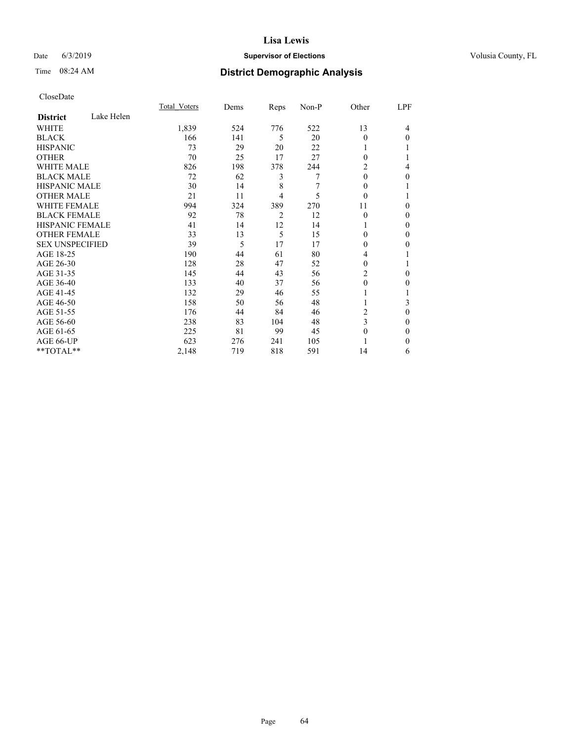## Date 6/3/2019 **Supervisor of Elections Supervisor of Elections** Volusia County, FL

## Time 08:24 AM **District Demographic Analysis**

|                        |            | Total Voters | Dems | Reps | Non-P | Other    | LPF          |
|------------------------|------------|--------------|------|------|-------|----------|--------------|
| <b>District</b>        | Lake Helen |              |      |      |       |          |              |
| WHITE                  |            | 1,839        | 524  | 776  | 522   | 13       | 4            |
| <b>BLACK</b>           |            | 166          | 141  | 5    | 20    | $\Omega$ | $\Omega$     |
| <b>HISPANIC</b>        |            | 73           | 29   | 20   | 22    |          |              |
| <b>OTHER</b>           |            | 70           | 25   | 17   | 27    | $\Omega$ |              |
| WHITE MALE             |            | 826          | 198  | 378  | 244   | 2        | 4            |
| <b>BLACK MALE</b>      |            | 72           | 62   | 3    | 7     | $\theta$ | 0            |
| <b>HISPANIC MALE</b>   |            | 30           | 14   | 8    | 7     | $\Omega$ |              |
| <b>OTHER MALE</b>      |            | 21           | 11   | 4    | 5     | $\theta$ |              |
| <b>WHITE FEMALE</b>    |            | 994          | 324  | 389  | 270   | 11       | 0            |
| <b>BLACK FEMALE</b>    |            | 92           | 78   | 2    | 12    | $\Omega$ | 0            |
| <b>HISPANIC FEMALE</b> |            | 41           | 14   | 12   | 14    | 1        | 0            |
| <b>OTHER FEMALE</b>    |            | 33           | 13   | 5    | 15    | 0        | 0            |
| <b>SEX UNSPECIFIED</b> |            | 39           | 5    | 17   | 17    | $\Omega$ | 0            |
| AGE 18-25              |            | 190          | 44   | 61   | 80    | 4        |              |
| AGE 26-30              |            | 128          | 28   | 47   | 52    | 0        |              |
| AGE 31-35              |            | 145          | 44   | 43   | 56    | 2        | 0            |
| AGE 36-40              |            | 133          | 40   | 37   | 56    | $\theta$ | 0            |
| AGE 41-45              |            | 132          | 29   | 46   | 55    |          |              |
| AGE 46-50              |            | 158          | 50   | 56   | 48    |          | 3            |
| AGE 51-55              |            | 176          | 44   | 84   | 46    | 2        | 0            |
| AGE 56-60              |            | 238          | 83   | 104  | 48    | 3        | 0            |
| AGE 61-65              |            | 225          | 81   | 99   | 45    | 0        | $\mathbf{0}$ |
| AGE 66-UP              |            | 623          | 276  | 241  | 105   |          | 0            |
| **TOTAL**              |            | 2,148        | 719  | 818  | 591   | 14       | 6            |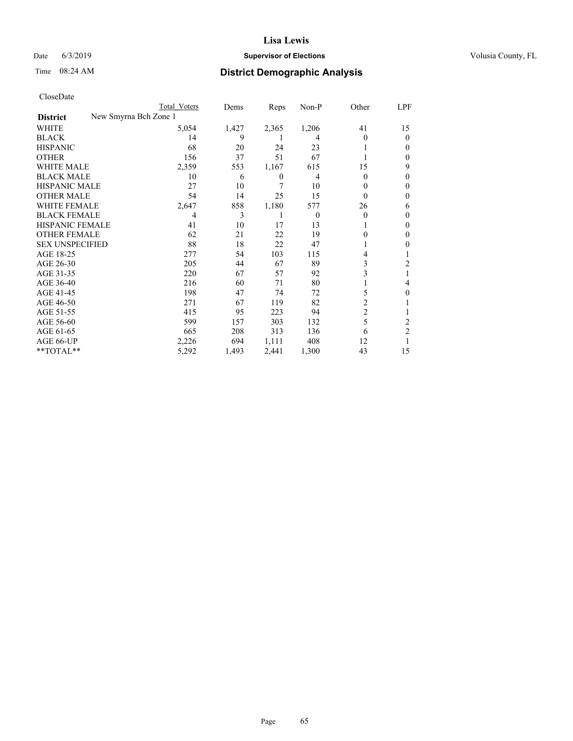## Date 6/3/2019 **Supervisor of Elections Supervisor of Elections** Volusia County, FL

| CloseDate |
|-----------|
|-----------|

|                                          | Total Voters | Dems  | Reps  | Non-P    | Other    | LPF            |
|------------------------------------------|--------------|-------|-------|----------|----------|----------------|
| New Smyrna Bch Zone 1<br><b>District</b> |              |       |       |          |          |                |
| WHITE                                    | 5,054        | 1,427 | 2,365 | 1,206    | 41       | 15             |
| BLACK                                    | 14           | 9     |       | 4        | $\theta$ | 0              |
| HISPANIC                                 | 68           | 20    | 24    | 23       |          | $_{0}$         |
| OTHER                                    | 156          | 37    | 51    | 67       |          | 0              |
| WHITE MALE                               | 2,359        | 553   | 1,167 | 615      | 15       | 9              |
| BLACK MALE                               | 10           | 6     | 0     | 4        | $\Omega$ | $_{0}$         |
| HISPANIC MALE                            | 27           | 10    | 7     | 10       | 0        | 0              |
| <b>OTHER MALE</b>                        | 54           | 14    | 25    | 15       | 0        | 0              |
| WHITE FEMALE                             | 2,647        | 858   | 1,180 | 577      | 26       | 6              |
| BLACK FEMALE                             | 4            | 3     |       | $\Omega$ | $\theta$ | 0              |
| HISPANIC FEMALE                          | 41           | 10    | 17    | 13       |          | 0              |
| OTHER FEMALE                             | 62           | 21    | 22    | 19       | 0        | $_{0}$         |
| <b>SEX UNSPECIFIED</b>                   | 88           | 18    | 22    | 47       |          | 0              |
| AGE 18-25                                | 277          | 54    | 103   | 115      |          |                |
| AGE 26-30                                | 205          | 44    | 67    | 89       | 3        | 2              |
| AGE 31-35                                | 220          | 67    | 57    | 92       | 3        |                |
| AGE 36-40                                | 216          | 60    | 71    | 80       |          | 4              |
| AGE 41-45                                | 198          | 47    | 74    | 72       | 5        | 0              |
| AGE 46-50                                | 271          | 67    | 119   | 82       | 2        |                |
| AGE 51-55                                | 415          | 95    | 223   | 94       | 2        |                |
| AGE 56-60                                | 599          | 157   | 303   | 132      | 5        | 2              |
| AGE 61-65                                | 665          | 208   | 313   | 136      | 6        | $\overline{2}$ |
| AGE 66-UP                                | 2,226        | 694   | 1,111 | 408      | 12       |                |
| **TOTAL**                                | 5,292        | 1,493 | 2,441 | 1,300    | 43       | 15             |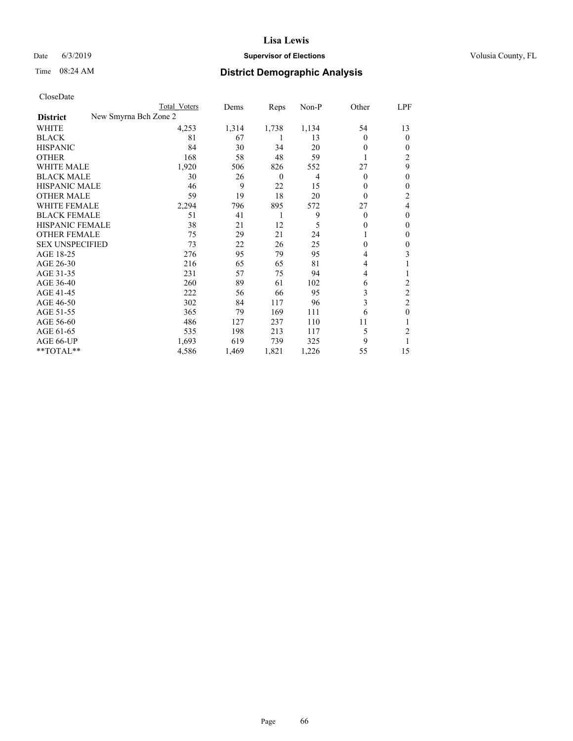## Date 6/3/2019 **Supervisor of Elections Supervisor of Elections** Volusia County, FL

| CloseDate |
|-----------|
|-----------|

|                        | Total Voters          | Dems  | Reps     | Non-P | Other    | LPF      |
|------------------------|-----------------------|-------|----------|-------|----------|----------|
| <b>District</b>        | New Smyrna Bch Zone 2 |       |          |       |          |          |
| WHITE                  | 4,253                 | 1,314 | 1,738    | 1,134 | 54       | 13       |
| <b>BLACK</b>           | 81                    | 67    |          | 13    | $\theta$ | $\Omega$ |
| <b>HISPANIC</b>        | 84                    | 30    | 34       | 20    | $\theta$ | 0        |
| <b>OTHER</b>           | 168                   | 58    | 48       | 59    |          | 2        |
| <b>WHITE MALE</b>      | 1,920                 | 506   | 826      | 552   | 27       | 9        |
| <b>BLACK MALE</b>      | 30                    | 26    | $\theta$ | 4     | $\Omega$ | 0        |
| <b>HISPANIC MALE</b>   | 46                    | 9     | 22       | 15    | $\theta$ | 0        |
| <b>OTHER MALE</b>      | 59                    | 19    | 18       | 20    | $\theta$ | 2        |
| <b>WHITE FEMALE</b>    | 2,294                 | 796   | 895      | 572   | 27       | 4        |
| <b>BLACK FEMALE</b>    | 51                    | 41    | 1        | 9     | $\Omega$ | 0        |
| HISPANIC FEMALE        | 38                    | 21    | 12       | 5     | $\Omega$ | 0        |
| <b>OTHER FEMALE</b>    | 75                    | 29    | 21       | 24    |          | 0        |
| <b>SEX UNSPECIFIED</b> | 73                    | 22    | 26       | 25    | $\theta$ | 0        |
| AGE 18-25              | 276                   | 95    | 79       | 95    | 4        | 3        |
| AGE 26-30              | 216                   | 65    | 65       | 81    | 4        |          |
| AGE 31-35              | 231                   | 57    | 75       | 94    | 4        |          |
| AGE 36-40              | 260                   | 89    | 61       | 102   | 6        | 2        |
| AGE 41-45              | 222                   | 56    | 66       | 95    | 3        | 2        |
| AGE 46-50              | 302                   | 84    | 117      | 96    | 3        | 2        |
| AGE 51-55              | 365                   | 79    | 169      | 111   | 6        | 0        |
| AGE 56-60              | 486                   | 127   | 237      | 110   | 11       |          |
| AGE 61-65              | 535                   | 198   | 213      | 117   | 5        | 2        |
| AGE 66-UP              | 1,693                 | 619   | 739      | 325   | 9        |          |
| **TOTAL**              | 4,586                 | 1,469 | 1,821    | 1,226 | 55       | 15       |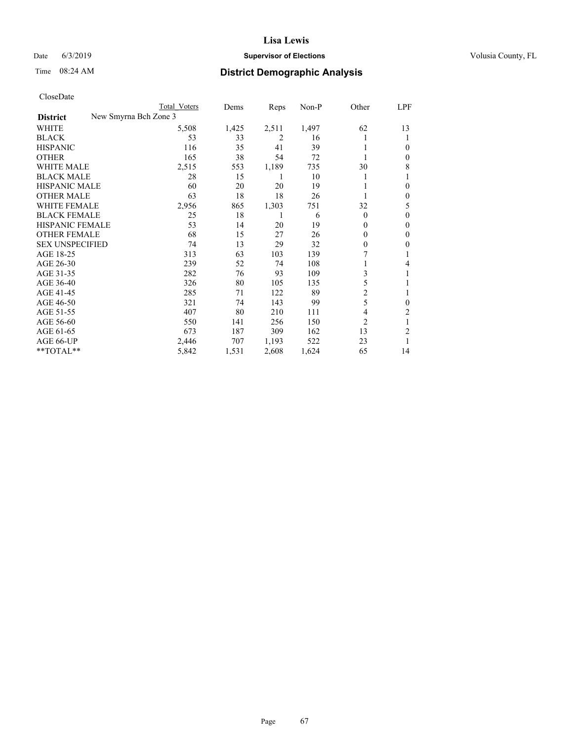## Date 6/3/2019 **Supervisor of Elections Supervisor of Elections** Volusia County, FL

| CloseDate |
|-----------|
|-----------|

|                                          | Total Voters | Dems  | Reps  | Non-P | Other        | LPF            |
|------------------------------------------|--------------|-------|-------|-------|--------------|----------------|
| New Smyrna Bch Zone 3<br><b>District</b> |              |       |       |       |              |                |
| WHITE                                    | 5,508        | 1,425 | 2,511 | 1,497 | 62           | 13             |
| <b>BLACK</b>                             | 53           | 33    | 2     | 16    |              | 1              |
| <b>HISPANIC</b>                          | 116          | 35    | 41    | 39    |              | 0              |
| <b>OTHER</b>                             | 165          | 38    | 54    | 72    |              | 0              |
| <b>WHITE MALE</b>                        | 2,515        | 553   | 1,189 | 735   | 30           | 8              |
| <b>BLACK MALE</b>                        | 28           | 15    | 1     | 10    |              | 1              |
| <b>HISPANIC MALE</b>                     | 60           | 20    | 20    | 19    |              | 0              |
| <b>OTHER MALE</b>                        | 63           | 18    | 18    | 26    |              | 0              |
| WHITE FEMALE                             | 2,956        | 865   | 1,303 | 751   | 32           | 5              |
| <b>BLACK FEMALE</b>                      | 25           | 18    |       | 6     | $\theta$     | 0              |
| <b>HISPANIC FEMALE</b>                   | 53           | 14    | 20    | 19    | 0            | 0              |
| <b>OTHER FEMALE</b>                      | 68           | 15    | 27    | 26    | $\theta$     | $\theta$       |
| <b>SEX UNSPECIFIED</b>                   | 74           | 13    | 29    | 32    | $\mathbf{0}$ | 0              |
| AGE 18-25                                | 313          | 63    | 103   | 139   | 7            |                |
| AGE 26-30                                | 239          | 52    | 74    | 108   |              | 4              |
| AGE 31-35                                | 282          | 76    | 93    | 109   | 3            | 1              |
| AGE 36-40                                | 326          | 80    | 105   | 135   | 5            |                |
| AGE 41-45                                | 285          | 71    | 122   | 89    | 2            |                |
| AGE 46-50                                | 321          | 74    | 143   | 99    | 5            | $\mathbf{0}$   |
| AGE 51-55                                | 407          | 80    | 210   | 111   | 4            | $\overline{2}$ |
| AGE 56-60                                | 550          | 141   | 256   | 150   | 2            |                |
| AGE 61-65                                | 673          | 187   | 309   | 162   | 13           | 2              |
| AGE 66-UP                                | 2,446        | 707   | 1,193 | 522   | 23           |                |
| **TOTAL**                                | 5,842        | 1,531 | 2,608 | 1,624 | 65           | 14             |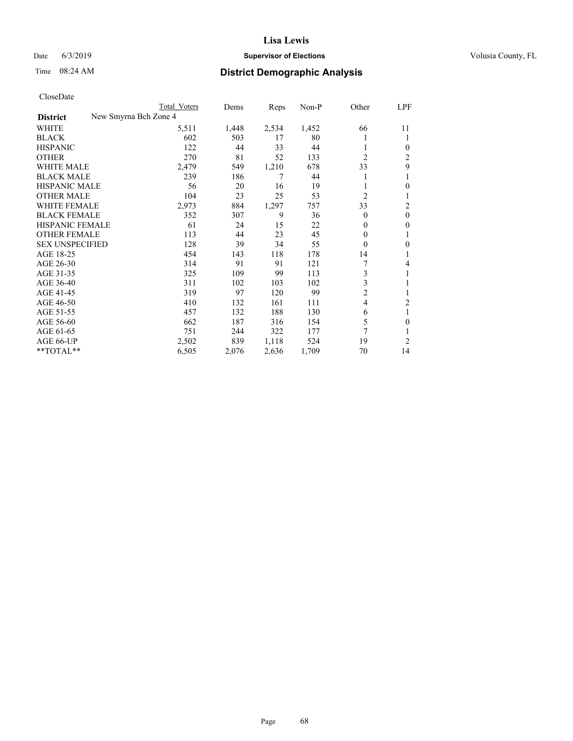#### Date 6/3/2019 **Supervisor of Elections Supervisor of Elections** Volusia County, FL

| CloseDate |
|-----------|
|-----------|

| Cioscivate             |                       |              |       |       |       |                |                |
|------------------------|-----------------------|--------------|-------|-------|-------|----------------|----------------|
|                        |                       | Total Voters | Dems  | Reps  | Non-P | Other          | LPF            |
| <b>District</b>        | New Smyrna Bch Zone 4 |              |       |       |       |                |                |
| WHITE                  |                       | 5,511        | 1,448 | 2,534 | 1,452 | 66             | 11             |
| <b>BLACK</b>           |                       | 602          | 503   | 17    | 80    | l              | 1              |
| <b>HISPANIC</b>        |                       | 122          | 44    | 33    | 44    |                | $\overline{0}$ |
| <b>OTHER</b>           |                       | 270          | 81    | 52    | 133   | $\overline{2}$ | 2              |
| <b>WHITE MALE</b>      |                       | 2,479        | 549   | 1,210 | 678   | 33             | 9              |
| <b>BLACK MALE</b>      |                       | 239          | 186   | 7     | 44    | 1              | 1              |
| <b>HISPANIC MALE</b>   |                       | 56           | 20    | 16    | 19    | 1              | $\theta$       |
| <b>OTHER MALE</b>      |                       | 104          | 23    | 25    | 53    | $\overline{2}$ | 1              |
| WHITE FEMALE           |                       | 2,973        | 884   | 1,297 | 757   | 33             | $\overline{c}$ |
| <b>BLACK FEMALE</b>    |                       | 352          | 307   | 9     | 36    | $\theta$       | $\mathbf{0}$   |
| HISPANIC FEMALE        |                       | 61           | 24    | 15    | 22    | 0              | $\theta$       |
| <b>OTHER FEMALE</b>    |                       | 113          | 44    | 23    | 45    | $\overline{0}$ | 1              |
| <b>SEX UNSPECIFIED</b> |                       | 128          | 39    | 34    | 55    | $\theta$       | $\mathbf{0}$   |
| AGE 18-25              |                       | 454          | 143   | 118   | 178   | 14             | 1              |
| AGE 26-30              |                       | 314          | 91    | 91    | 121   | 7              | 4              |
| AGE 31-35              |                       | 325          | 109   | 99    | 113   | 3              |                |
| AGE 36-40              |                       | 311          | 102   | 103   | 102   | 3              | 1              |
| AGE 41-45              |                       | 319          | 97    | 120   | 99    | $\overline{c}$ | 1              |
| AGE 46-50              |                       | 410          | 132   | 161   | 111   | 4              | $\overline{2}$ |
| AGE 51-55              |                       | 457          | 132   | 188   | 130   | 6              | 1              |
| AGE 56-60              |                       | 662          | 187   | 316   | 154   | 5              | $\theta$       |
| AGE 61-65              |                       | 751          | 244   | 322   | 177   | 7              | 1              |
| AGE 66-UP              |                       | 2,502        | 839   | 1,118 | 524   | 19             | 2              |
| $*$ TOTAL $*$          |                       | 6,505        | 2,076 | 2,636 | 1,709 | 70             | 14             |
|                        |                       |              |       |       |       |                |                |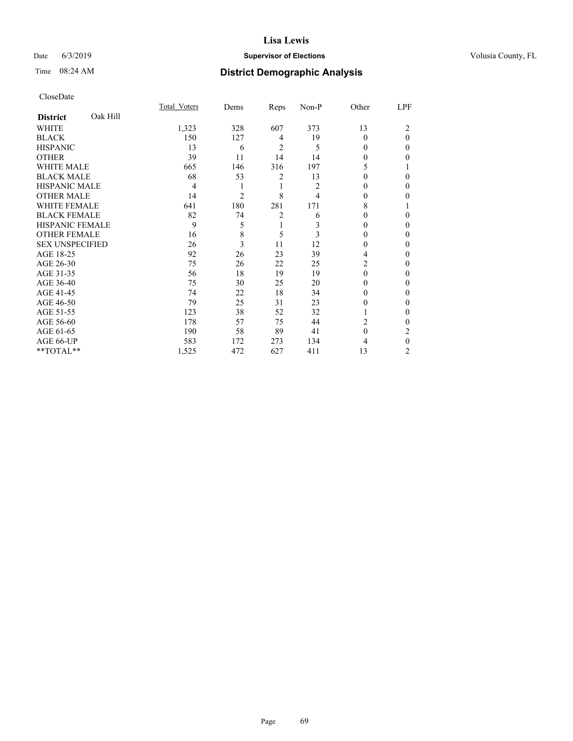## Date 6/3/2019 **Supervisor of Elections Supervisor of Elections** Volusia County, FL

# Time 08:24 AM **District Demographic Analysis**

|                        |          | Total Voters | Dems           | Reps           | Non-P | Other    | LPF          |
|------------------------|----------|--------------|----------------|----------------|-------|----------|--------------|
| <b>District</b>        | Oak Hill |              |                |                |       |          |              |
| WHITE                  |          | 1,323        | 328            | 607            | 373   | 13       | 2            |
| <b>BLACK</b>           |          | 150          | 127            | 4              | 19    | $\theta$ | $\theta$     |
| <b>HISPANIC</b>        |          | 13           | 6              | 2              | 5     | 0        | 0            |
| <b>OTHER</b>           |          | 39           | 11             | 14             | 14    | 0        | 0            |
| WHITE MALE             |          | 665          | 146            | 316            | 197   | 5        |              |
| <b>BLACK MALE</b>      |          | 68           | 53             | 2              | 13    | $\Omega$ | 0            |
| <b>HISPANIC MALE</b>   |          | 4            | 1              | 1              | 2     | 0        | 0            |
| <b>OTHER MALE</b>      |          | 14           | $\overline{c}$ | 8              | 4     | 0        | 0            |
| WHITE FEMALE           |          | 641          | 180            | 281            | 171   | 8        |              |
| <b>BLACK FEMALE</b>    |          | 82           | 74             | $\overline{2}$ | 6     | $\Omega$ | 0            |
| <b>HISPANIC FEMALE</b> |          | 9            | 5              | 1              | 3     | 0        | 0            |
| <b>OTHER FEMALE</b>    |          | 16           | 8              | 5              | 3     | 0        | 0            |
| <b>SEX UNSPECIFIED</b> |          | 26           | 3              | 11             | 12    | $\theta$ | 0            |
| AGE 18-25              |          | 92           | 26             | 23             | 39    | 4        | 0            |
| AGE 26-30              |          | 75           | 26             | 22             | 25    | 2        | 0            |
| AGE 31-35              |          | 56           | 18             | 19             | 19    | $\Omega$ | 0            |
| AGE 36-40              |          | 75           | 30             | 25             | 20    | $\Omega$ | 0            |
| AGE 41-45              |          | 74           | 22             | 18             | 34    | 0        | 0            |
| AGE 46-50              |          | 79           | 25             | 31             | 23    | 0        | 0            |
| AGE 51-55              |          | 123          | 38             | 52             | 32    | 1        | $\mathbf{0}$ |
| AGE 56-60              |          | 178          | 57             | 75             | 44    | 2        | 0            |
| AGE 61-65              |          | 190          | 58             | 89             | 41    | $\theta$ | 2            |
| AGE 66-UP              |          | 583          | 172            | 273            | 134   | 4        | $\theta$     |
| **TOTAL**              |          | 1,525        | 472            | 627            | 411   | 13       | 2            |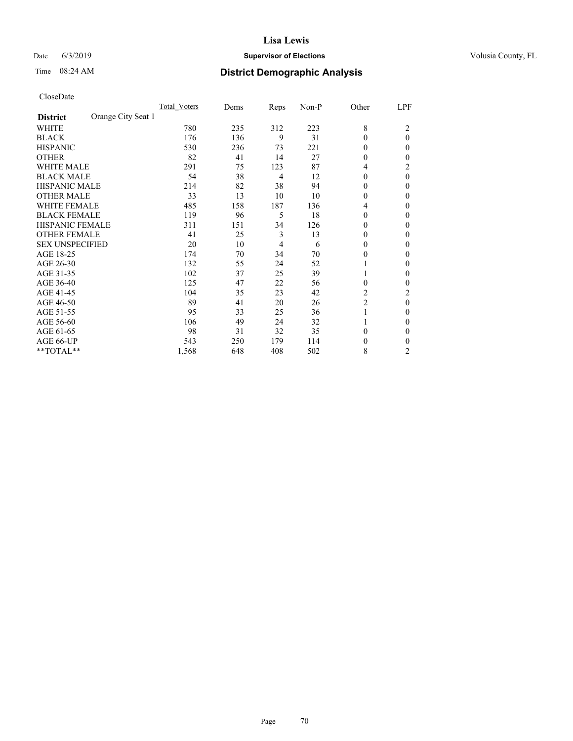## Date 6/3/2019 **Supervisor of Elections Supervisor of Elections** Volusia County, FL

# Time 08:24 AM **District Demographic Analysis**

|                                       | Total Voters | Dems | Reps           | Non-P | Other          | LPF      |
|---------------------------------------|--------------|------|----------------|-------|----------------|----------|
| Orange City Seat 1<br><b>District</b> |              |      |                |       |                |          |
| WHITE                                 | 780          | 235  | 312            | 223   | 8              | 2        |
| <b>BLACK</b>                          | 176          | 136  | 9              | 31    | $\theta$       | $\theta$ |
| <b>HISPANIC</b>                       | 530          | 236  | 73             | 221   | $\theta$       | 0        |
| <b>OTHER</b>                          | 82           | 41   | 14             | 27    | $\theta$       | 0        |
| <b>WHITE MALE</b>                     | 291          | 75   | 123            | 87    | 4              | 2        |
| <b>BLACK MALE</b>                     | 54           | 38   | $\overline{4}$ | 12    | $\theta$       | 0        |
| <b>HISPANIC MALE</b>                  | 214          | 82   | 38             | 94    | $\bf{0}$       | 0        |
| <b>OTHER MALE</b>                     | 33           | 13   | 10             | 10    | $\mathbf{0}$   | 0        |
| <b>WHITE FEMALE</b>                   | 485          | 158  | 187            | 136   | 4              | 0        |
| <b>BLACK FEMALE</b>                   | 119          | 96   | 5              | 18    | $\theta$       | 0        |
| <b>HISPANIC FEMALE</b>                | 311          | 151  | 34             | 126   | $\theta$       | 0        |
| <b>OTHER FEMALE</b>                   | 41           | 25   | 3              | 13    | $\theta$       | 0        |
| <b>SEX UNSPECIFIED</b>                | 20           | 10   | $\overline{4}$ | 6     | $\theta$       | 0        |
| AGE 18-25                             | 174          | 70   | 34             | 70    | $\theta$       | 0        |
| AGE 26-30                             | 132          | 55   | 24             | 52    | 1              | $_{0}$   |
| AGE 31-35                             | 102          | 37   | 25             | 39    | 1              | 0        |
| AGE 36-40                             | 125          | 47   | 22             | 56    | $\theta$       | 0        |
| AGE 41-45                             | 104          | 35   | 23             | 42    | 2              | 2        |
| AGE 46-50                             | 89           | 41   | 20             | 26    | $\overline{c}$ | 0        |
| AGE 51-55                             | 95           | 33   | 25             | 36    | 1              | $_{0}$   |
| AGE 56-60                             | 106          | 49   | 24             | 32    |                | 0        |
| AGE 61-65                             | 98           | 31   | 32             | 35    | $\theta$       | 0        |
| AGE 66-UP                             | 543          | 250  | 179            | 114   | 0              | 0        |
| **TOTAL**                             | 1,568        | 648  | 408            | 502   | 8              | 2        |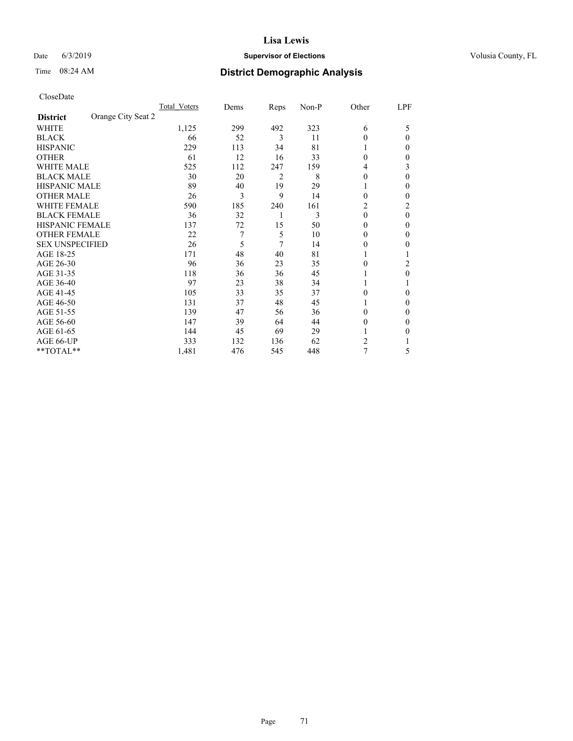## Date 6/3/2019 **Supervisor of Elections Supervisor of Elections** Volusia County, FL

# Time 08:24 AM **District Demographic Analysis**

|                                       | Total Voters | Dems | Reps           | Non-P | Other    | LPF            |
|---------------------------------------|--------------|------|----------------|-------|----------|----------------|
| Orange City Seat 2<br><b>District</b> |              |      |                |       |          |                |
| WHITE                                 | 1,125        | 299  | 492            | 323   | 6        | 5              |
| <b>BLACK</b>                          | 66           | 52   | 3              | 11    | $\theta$ | 0              |
| <b>HISPANIC</b>                       | 229          | 113  | 34             | 81    | 1        | 0              |
| <b>OTHER</b>                          | 61           | 12   | 16             | 33    | $\theta$ | 0              |
| <b>WHITE MALE</b>                     | 525          | 112  | 247            | 159   | 4        | 3              |
| <b>BLACK MALE</b>                     | 30           | 20   | $\overline{2}$ | 8     | $\theta$ | $\Omega$       |
| HISPANIC MALE                         | 89           | 40   | 19             | 29    | 1        | 0              |
| <b>OTHER MALE</b>                     | 26           | 3    | 9              | 14    | $\theta$ | 0              |
| <b>WHITE FEMALE</b>                   | 590          | 185  | 240            | 161   | 2        | $\overline{c}$ |
| <b>BLACK FEMALE</b>                   | 36           | 32   | 1              | 3     | $\theta$ | $\theta$       |
| <b>HISPANIC FEMALE</b>                | 137          | 72   | 15             | 50    | $\Omega$ | 0              |
| <b>OTHER FEMALE</b>                   | 22           | 7    | 5              | 10    | $\theta$ | 0              |
| <b>SEX UNSPECIFIED</b>                | 26           | 5    | 7              | 14    | $\Omega$ | 0              |
| AGE 18-25                             | 171          | 48   | 40             | 81    |          |                |
| AGE 26-30                             | 96           | 36   | 23             | 35    | $\theta$ | 2              |
| AGE 31-35                             | 118          | 36   | 36             | 45    |          | 0              |
| AGE 36-40                             | 97           | 23   | 38             | 34    | 1        |                |
| AGE 41-45                             | 105          | 33   | 35             | 37    | $\Omega$ | 0              |
| AGE 46-50                             | 131          | 37   | 48             | 45    | 1        | 0              |
| AGE 51-55                             | 139          | 47   | 56             | 36    | $\Omega$ | 0              |
| AGE 56-60                             | 147          | 39   | 64             | 44    | $\theta$ | 0              |
| AGE 61-65                             | 144          | 45   | 69             | 29    |          | 0              |
| AGE 66-UP                             | 333          | 132  | 136            | 62    | 2        |                |
| **TOTAL**                             | 1,481        | 476  | 545            | 448   | 7        | 5              |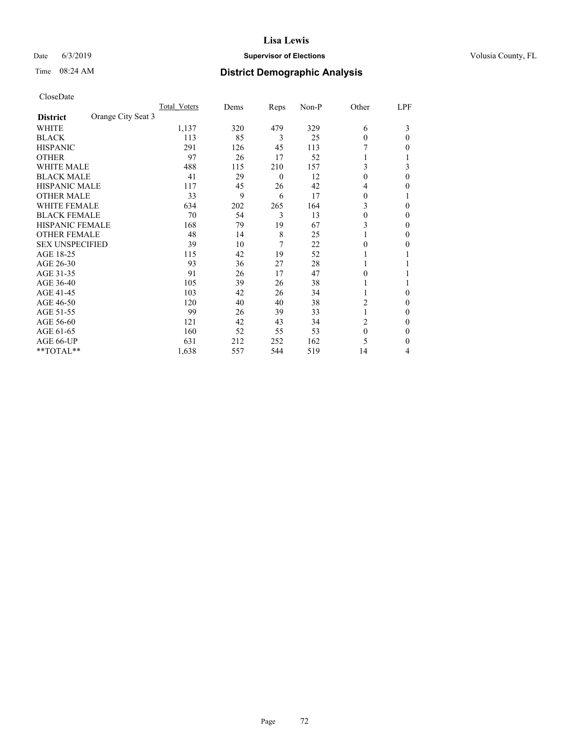## Date 6/3/2019 **Supervisor of Elections Supervisor of Elections** Volusia County, FL

|                                       | Total Voters | Dems | Reps             | Non-P | Other        | LPF          |
|---------------------------------------|--------------|------|------------------|-------|--------------|--------------|
| Orange City Seat 3<br><b>District</b> |              |      |                  |       |              |              |
| WHITE                                 | 1,137        | 320  | 479              | 329   | 6            | 3            |
| <b>BLACK</b>                          | 113          | 85   | 3                | 25    | $\theta$     | 0            |
| <b>HISPANIC</b>                       | 291          | 126  | 45               | 113   |              | 0            |
| <b>OTHER</b>                          | 97           | 26   | 17               | 52    |              |              |
| <b>WHITE MALE</b>                     | 488          | 115  | 210              | 157   | 3            | 3            |
| <b>BLACK MALE</b>                     | 41           | 29   | $\boldsymbol{0}$ | 12    | 0            | $\mathbf{0}$ |
| <b>HISPANIC MALE</b>                  | 117          | 45   | 26               | 42    | 4            | 0            |
| <b>OTHER MALE</b>                     | 33           | 9    | 6                | 17    | 0            |              |
| <b>WHITE FEMALE</b>                   | 634          | 202  | 265              | 164   | 3            | 0            |
| <b>BLACK FEMALE</b>                   | 70           | 54   | 3                | 13    | $\theta$     | 0            |
| <b>HISPANIC FEMALE</b>                | 168          | 79   | 19               | 67    | 3            | 0            |
| <b>OTHER FEMALE</b>                   | 48           | 14   | 8                | 25    |              | 0            |
| <b>SEX UNSPECIFIED</b>                | 39           | 10   | 7                | 22    | $\theta$     | 0            |
| AGE 18-25                             | 115          | 42   | 19               | 52    |              |              |
| AGE 26-30                             | 93           | 36   | 27               | 28    |              |              |
| AGE 31-35                             | 91           | 26   | 17               | 47    | 0            |              |
| AGE 36-40                             | 105          | 39   | 26               | 38    |              |              |
| AGE 41-45                             | 103          | 42   | 26               | 34    |              | 0            |
| AGE 46-50                             | 120          | 40   | 40               | 38    | 2            | 0            |
| AGE 51-55                             | 99           | 26   | 39               | 33    |              | 0            |
| AGE 56-60                             | 121          | 42   | 43               | 34    | 2            | 0            |
| AGE 61-65                             | 160          | 52   | 55               | 53    | $\mathbf{0}$ | 0            |
| AGE 66-UP                             | 631          | 212  | 252              | 162   | 5            | 0            |
| **TOTAL**                             | 1,638        | 557  | 544              | 519   | 14           | 4            |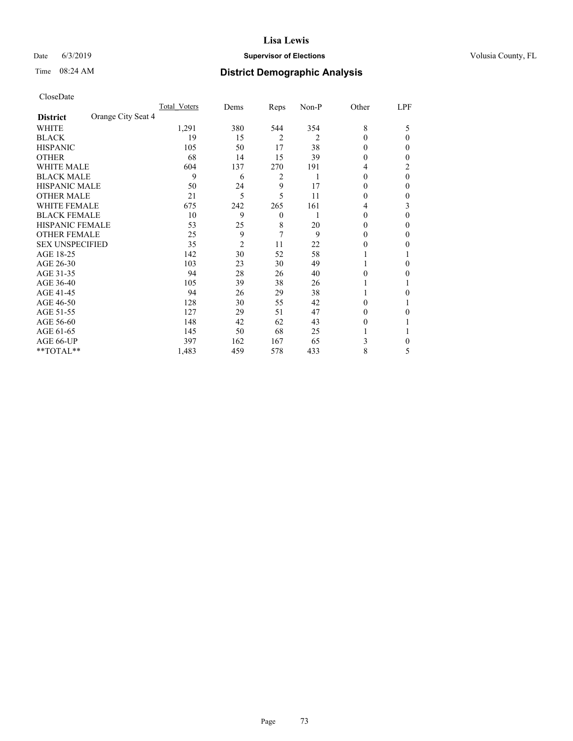# Date 6/3/2019 **Supervisor of Elections Supervisor of Elections** Volusia County, FL

# Time 08:24 AM **District Demographic Analysis**

|                        |                    | Total Voters | Dems           | Reps             | Non-P | Other    | LPF      |
|------------------------|--------------------|--------------|----------------|------------------|-------|----------|----------|
| <b>District</b>        | Orange City Seat 4 |              |                |                  |       |          |          |
| WHITE                  |                    | 1,291        | 380            | 544              | 354   | 8        | 5        |
| <b>BLACK</b>           |                    | 19           | 15             | $\overline{2}$   | 2     | $\theta$ | 0        |
| <b>HISPANIC</b>        |                    | 105          | 50             | 17               | 38    | $\Omega$ | 0        |
| <b>OTHER</b>           |                    | 68           | 14             | 15               | 39    | $\theta$ | 0        |
| <b>WHITE MALE</b>      |                    | 604          | 137            | 270              | 191   | 4        | 2        |
| <b>BLACK MALE</b>      |                    | 9            | 6              | 2                | 1     | $\theta$ | $\theta$ |
| <b>HISPANIC MALE</b>   |                    | 50           | 24             | 9                | 17    | $\theta$ | 0        |
| <b>OTHER MALE</b>      |                    | 21           | 5              | 5                | 11    | $\theta$ | 0        |
| <b>WHITE FEMALE</b>    |                    | 675          | 242            | 265              | 161   | 4        | 3        |
| <b>BLACK FEMALE</b>    |                    | 10           | 9              | $\boldsymbol{0}$ |       | $\theta$ | 0        |
| <b>HISPANIC FEMALE</b> |                    | 53           | 25             | 8                | 20    | $\theta$ | 0        |
| <b>OTHER FEMALE</b>    |                    | 25           | 9              | 7                | 9     | $\Omega$ | 0        |
| <b>SEX UNSPECIFIED</b> |                    | 35           | $\overline{2}$ | 11               | 22    | 0        | 0        |
| AGE 18-25              |                    | 142          | 30             | 52               | 58    |          |          |
| AGE 26-30              |                    | 103          | 23             | 30               | 49    | 1        | 0        |
| AGE 31-35              |                    | 94           | 28             | 26               | 40    | 0        | 0        |
| AGE 36-40              |                    | 105          | 39             | 38               | 26    |          |          |
| AGE 41-45              |                    | 94           | 26             | 29               | 38    |          | 0        |
| AGE 46-50              |                    | 128          | 30             | 55               | 42    | $\Omega$ |          |
| AGE 51-55              |                    | 127          | 29             | 51               | 47    | $\theta$ | 0        |
| AGE 56-60              |                    | 148          | 42             | 62               | 43    | $\theta$ |          |
| AGE 61-65              |                    | 145          | 50             | 68               | 25    |          |          |
| AGE 66-UP              |                    | 397          | 162            | 167              | 65    | 3        | 0        |
| **TOTAL**              |                    | 1,483        | 459            | 578              | 433   | 8        | 5        |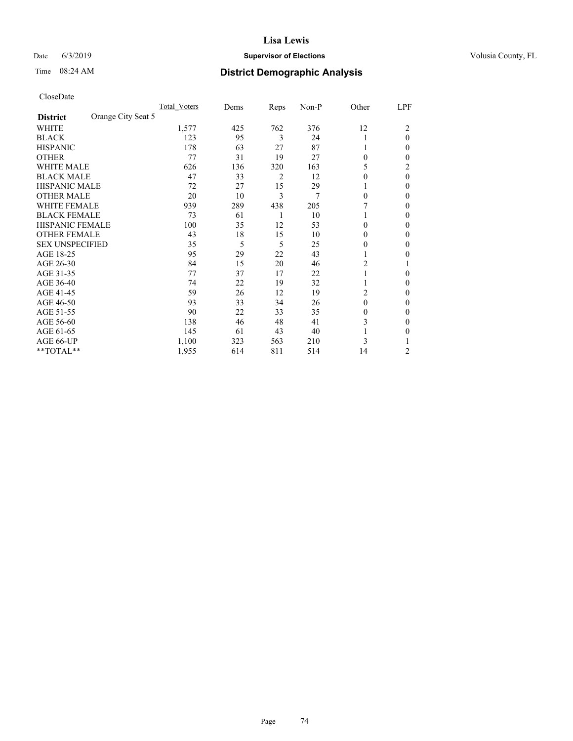# Date 6/3/2019 **Supervisor of Elections Supervisor of Elections** Volusia County, FL

# Time 08:24 AM **District Demographic Analysis**

|                                       | Total Voters | Dems | Reps           | Non-P | Other    | LPF      |
|---------------------------------------|--------------|------|----------------|-------|----------|----------|
| Orange City Seat 5<br><b>District</b> |              |      |                |       |          |          |
| WHITE                                 | 1,577        | 425  | 762            | 376   | 12       | 2        |
| <b>BLACK</b>                          | 123          | 95   | 3              | 24    |          | $\theta$ |
| <b>HISPANIC</b>                       | 178          | 63   | 27             | 87    |          | 0        |
| <b>OTHER</b>                          | 77           | 31   | 19             | 27    | 0        | 0        |
| <b>WHITE MALE</b>                     | 626          | 136  | 320            | 163   | 5        | 2        |
| <b>BLACK MALE</b>                     | 47           | 33   | $\overline{2}$ | 12    | 0        | 0        |
| <b>HISPANIC MALE</b>                  | 72           | 27   | 15             | 29    |          | 0        |
| <b>OTHER MALE</b>                     | 20           | 10   | 3              | 7     | 0        | 0        |
| <b>WHITE FEMALE</b>                   | 939          | 289  | 438            | 205   |          | 0        |
| <b>BLACK FEMALE</b>                   | 73           | 61   | 1              | 10    |          | 0        |
| <b>HISPANIC FEMALE</b>                | 100          | 35   | 12             | 53    | 0        | 0        |
| <b>OTHER FEMALE</b>                   | 43           | 18   | 15             | 10    | 0        | 0        |
| <b>SEX UNSPECIFIED</b>                | 35           | 5    | 5              | 25    | 0        | 0        |
| AGE 18-25                             | 95           | 29   | 22             | 43    |          | 0        |
| AGE 26-30                             | 84           | 15   | 20             | 46    | 2        |          |
| AGE 31-35                             | 77           | 37   | 17             | 22    |          | 0        |
| AGE 36-40                             | 74           | 22   | 19             | 32    |          | 0        |
| AGE 41-45                             | 59           | 26   | 12             | 19    | 2        | 0        |
| AGE 46-50                             | 93           | 33   | 34             | 26    | $\theta$ | 0        |
| AGE 51-55                             | 90           | 22   | 33             | 35    | 0        | 0        |
| AGE 56-60                             | 138          | 46   | 48             | 41    | 3        | 0        |
| AGE 61-65                             | 145          | 61   | 43             | 40    |          | 0        |
| AGE 66-UP                             | 1,100        | 323  | 563            | 210   | 3        |          |
| **TOTAL**                             | 1,955        | 614  | 811            | 514   | 14       | 2        |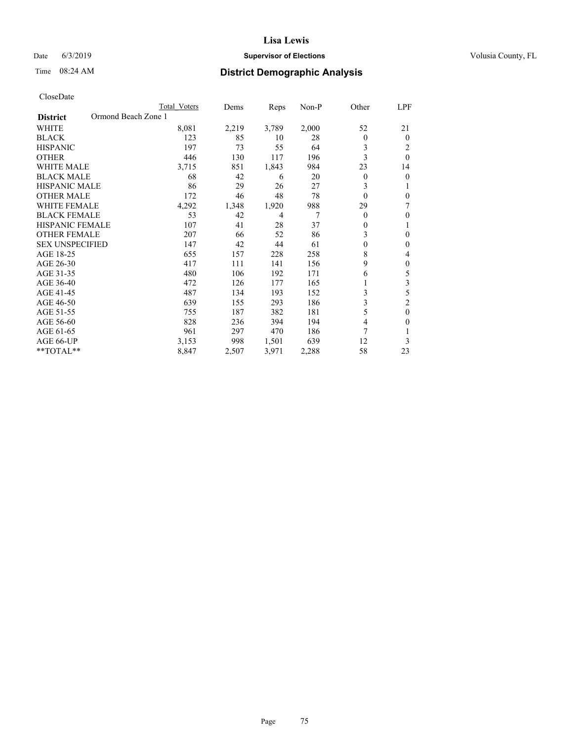# Date 6/3/2019 **Supervisor of Elections Supervisor of Elections** Volusia County, FL

# Time 08:24 AM **District Demographic Analysis**

|                                        | Total Voters | Dems  | Reps  | $Non-P$ | Other        | LPF            |
|----------------------------------------|--------------|-------|-------|---------|--------------|----------------|
| Ormond Beach Zone 1<br><b>District</b> |              |       |       |         |              |                |
| <b>WHITE</b>                           | 8,081        | 2,219 | 3,789 | 2,000   | 52           | 21             |
| <b>BLACK</b>                           | 123          | 85    | 10    | 28      | $\theta$     | $\theta$       |
| <b>HISPANIC</b>                        | 197          | 73    | 55    | 64      | 3            | 2              |
| <b>OTHER</b>                           | 446          | 130   | 117   | 196     | 3            | $\theta$       |
| <b>WHITE MALE</b>                      | 3,715        | 851   | 1,843 | 984     | 23           | 14             |
| <b>BLACK MALE</b>                      | 68           | 42    | 6     | 20      | 0            | $\theta$       |
| HISPANIC MALE                          | 86           | 29    | 26    | 27      | 3            | 1              |
| <b>OTHER MALE</b>                      | 172          | 46    | 48    | 78      | $\theta$     | $\theta$       |
| <b>WHITE FEMALE</b>                    | 4,292        | 1,348 | 1,920 | 988     | 29           | 7              |
| <b>BLACK FEMALE</b>                    | 53           | 42    | 4     | 7       | $\theta$     | $\theta$       |
| <b>HISPANIC FEMALE</b>                 | 107          | 41    | 28    | 37      | $\mathbf{0}$ | 1              |
| <b>OTHER FEMALE</b>                    | 207          | 66    | 52    | 86      | 3            | $\theta$       |
| <b>SEX UNSPECIFIED</b>                 | 147          | 42    | 44    | 61      | $\theta$     | $\theta$       |
| AGE 18-25                              | 655          | 157   | 228   | 258     | 8            | 4              |
| AGE 26-30                              | 417          | 111   | 141   | 156     | 9            | $\theta$       |
| AGE 31-35                              | 480          | 106   | 192   | 171     | 6            | 5              |
| AGE 36-40                              | 472          | 126   | 177   | 165     |              | 3              |
| AGE 41-45                              | 487          | 134   | 193   | 152     | 3            | 5              |
| AGE 46-50                              | 639          | 155   | 293   | 186     | 3            | $\overline{2}$ |
| AGE 51-55                              | 755          | 187   | 382   | 181     | 5            | $\theta$       |
| AGE 56-60                              | 828          | 236   | 394   | 194     | 4            | $\Omega$       |
| AGE 61-65                              | 961          | 297   | 470   | 186     | 7            |                |
| AGE 66-UP                              | 3,153        | 998   | 1,501 | 639     | 12           | 3              |
| $*$ TOTAL $*$                          | 8,847        | 2,507 | 3,971 | 2,288   | 58           | 23             |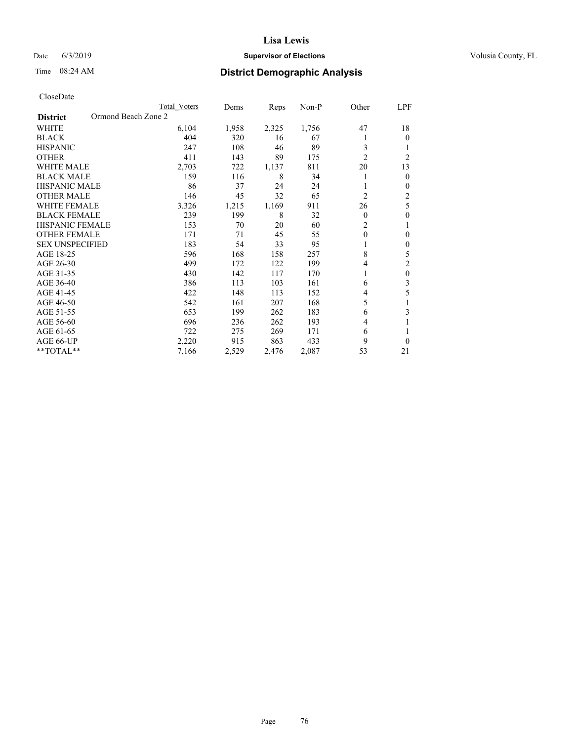# Date 6/3/2019 **Supervisor of Elections Supervisor of Elections** Volusia County, FL

# Time 08:24 AM **District Demographic Analysis**

|                                        | Total Voters | Dems  | Reps  | Non-P | Other          | LPF            |
|----------------------------------------|--------------|-------|-------|-------|----------------|----------------|
| Ormond Beach Zone 2<br><b>District</b> |              |       |       |       |                |                |
| WHITE                                  | 6,104        | 1,958 | 2,325 | 1,756 | 47             | 18             |
| <b>BLACK</b>                           | 404          | 320   | 16    | 67    |                | $\theta$       |
| <b>HISPANIC</b>                        | 247          | 108   | 46    | 89    | 3              | 1              |
| <b>OTHER</b>                           | 411          | 143   | 89    | 175   | $\overline{2}$ | $\overline{2}$ |
| <b>WHITE MALE</b>                      | 2,703        | 722   | 1,137 | 811   | 20             | 13             |
| <b>BLACK MALE</b>                      | 159          | 116   | 8     | 34    |                | $\mathbf{0}$   |
| HISPANIC MALE                          | 86           | 37    | 24    | 24    |                | $\mathbf{0}$   |
| <b>OTHER MALE</b>                      | 146          | 45    | 32    | 65    | 2              | 2              |
| <b>WHITE FEMALE</b>                    | 3,326        | 1,215 | 1,169 | 911   | 26             | 5              |
| <b>BLACK FEMALE</b>                    | 239          | 199   | 8     | 32    | 0              | $\theta$       |
| <b>HISPANIC FEMALE</b>                 | 153          | 70    | 20    | 60    | 2              | 1              |
| <b>OTHER FEMALE</b>                    | 171          | 71    | 45    | 55    | $\theta$       | 0              |
| <b>SEX UNSPECIFIED</b>                 | 183          | 54    | 33    | 95    |                | $\theta$       |
| AGE 18-25                              | 596          | 168   | 158   | 257   | 8              | 5              |
| AGE 26-30                              | 499          | 172   | 122   | 199   | 4              | $\overline{2}$ |
| AGE 31-35                              | 430          | 142   | 117   | 170   |                | $\theta$       |
| AGE 36-40                              | 386          | 113   | 103   | 161   | 6              | 3              |
| AGE 41-45                              | 422          | 148   | 113   | 152   | 4              | 5              |
| AGE 46-50                              | 542          | 161   | 207   | 168   | 5              |                |
| AGE 51-55                              | 653          | 199   | 262   | 183   | 6              | 3              |
| AGE 56-60                              | 696          | 236   | 262   | 193   | 4              |                |
| AGE 61-65                              | 722          | 275   | 269   | 171   | 6              | 1              |
| AGE 66-UP                              | 2,220        | 915   | 863   | 433   | 9              | $\Omega$       |
| **TOTAL**                              | 7,166        | 2,529 | 2,476 | 2,087 | 53             | 21             |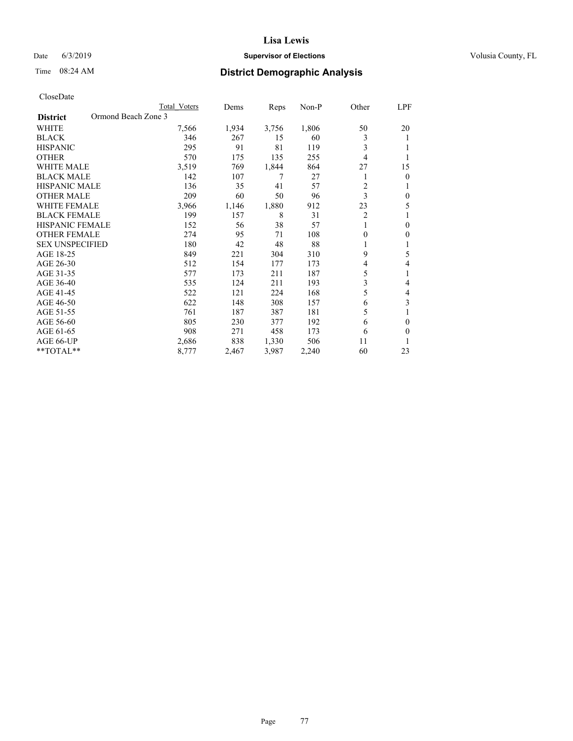# Date 6/3/2019 **Supervisor of Elections Supervisor of Elections** Volusia County, FL

# Time 08:24 AM **District Demographic Analysis**

|                                        | Total Voters | Dems  | Reps  | $Non-P$ | Other          | LPF          |
|----------------------------------------|--------------|-------|-------|---------|----------------|--------------|
| Ormond Beach Zone 3<br><b>District</b> |              |       |       |         |                |              |
| WHITE                                  | 7,566        | 1,934 | 3,756 | 1,806   | 50             | 20           |
| <b>BLACK</b>                           | 346          | 267   | 15    | 60      | 3              | 1            |
| <b>HISPANIC</b>                        | 295          | 91    | 81    | 119     | 3              |              |
| <b>OTHER</b>                           | 570          | 175   | 135   | 255     | 4              |              |
| <b>WHITE MALE</b>                      | 3,519        | 769   | 1,844 | 864     | 27             | 15           |
| <b>BLACK MALE</b>                      | 142          | 107   | 7     | 27      |                | $\theta$     |
| <b>HISPANIC MALE</b>                   | 136          | 35    | 41    | 57      | 2              | 1            |
| <b>OTHER MALE</b>                      | 209          | 60    | 50    | 96      | 3              | $\theta$     |
| <b>WHITE FEMALE</b>                    | 3,966        | 1,146 | 1,880 | 912     | 23             | 5            |
| <b>BLACK FEMALE</b>                    | 199          | 157   | 8     | 31      | $\overline{2}$ |              |
| <b>HISPANIC FEMALE</b>                 | 152          | 56    | 38    | 57      | 1              | $\theta$     |
| <b>OTHER FEMALE</b>                    | 274          | 95    | 71    | 108     | 0              | $\mathbf{0}$ |
| <b>SEX UNSPECIFIED</b>                 | 180          | 42    | 48    | 88      |                | 1            |
| AGE 18-25                              | 849          | 221   | 304   | 310     | 9              | 5            |
| AGE 26-30                              | 512          | 154   | 177   | 173     | 4              | 4            |
| AGE 31-35                              | 577          | 173   | 211   | 187     | 5              | 1            |
| AGE 36-40                              | 535          | 124   | 211   | 193     | 3              | 4            |
| AGE 41-45                              | 522          | 121   | 224   | 168     | 5              | 4            |
| AGE 46-50                              | 622          | 148   | 308   | 157     | 6              | 3            |
| AGE 51-55                              | 761          | 187   | 387   | 181     | 5              | 1            |
| AGE 56-60                              | 805          | 230   | 377   | 192     | 6              | $\theta$     |
| AGE 61-65                              | 908          | 271   | 458   | 173     | 6              | $\theta$     |
| AGE 66-UP                              | 2,686        | 838   | 1,330 | 506     | 11             | 1            |
| $*$ TOTAL $*$                          | 8,777        | 2,467 | 3,987 | 2,240   | 60             | 23           |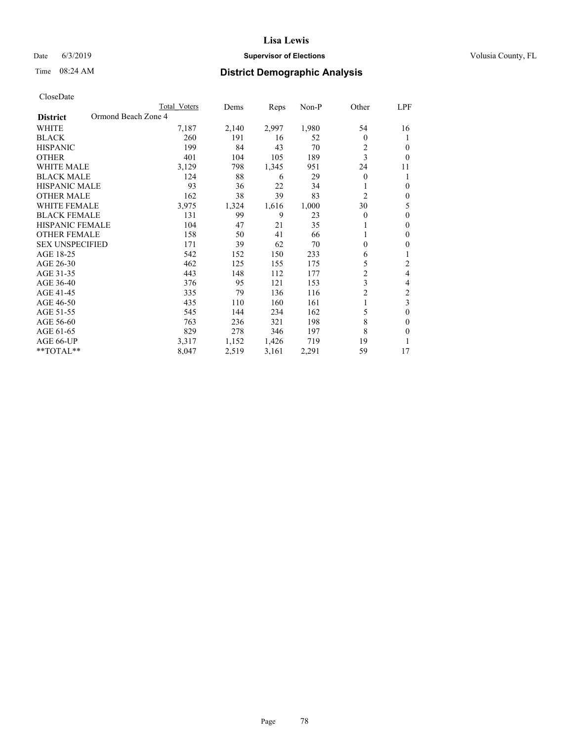# Date 6/3/2019 **Supervisor of Elections Supervisor of Elections** Volusia County, FL

# Time 08:24 AM **District Demographic Analysis**

|                                        | Total Voters | Dems  | Reps  | Non-P | Other          | LPF          |
|----------------------------------------|--------------|-------|-------|-------|----------------|--------------|
| Ormond Beach Zone 4<br><b>District</b> |              |       |       |       |                |              |
| WHITE                                  | 7,187        | 2,140 | 2,997 | 1,980 | 54             | 16           |
| <b>BLACK</b>                           | 260          | 191   | 16    | 52    | $\theta$       | 1            |
| <b>HISPANIC</b>                        | 199          | 84    | 43    | 70    | 2              | $\Omega$     |
| <b>OTHER</b>                           | 401          | 104   | 105   | 189   | 3              | $\theta$     |
| <b>WHITE MALE</b>                      | 3,129        | 798   | 1,345 | 951   | 24             | 11           |
| <b>BLACK MALE</b>                      | 124          | 88    | 6     | 29    | $\theta$       | 1            |
| <b>HISPANIC MALE</b>                   | 93           | 36    | 22    | 34    |                | $\theta$     |
| <b>OTHER MALE</b>                      | 162          | 38    | 39    | 83    | $\overline{2}$ | $\mathbf{0}$ |
| <b>WHITE FEMALE</b>                    | 3,975        | 1,324 | 1,616 | 1,000 | 30             | 5            |
| <b>BLACK FEMALE</b>                    | 131          | 99    | 9     | 23    | $\theta$       | $\theta$     |
| <b>HISPANIC FEMALE</b>                 | 104          | 47    | 21    | 35    |                | $\Omega$     |
| <b>OTHER FEMALE</b>                    | 158          | 50    | 41    | 66    |                | $\theta$     |
| <b>SEX UNSPECIFIED</b>                 | 171          | 39    | 62    | 70    | 0              | $\theta$     |
| AGE 18-25                              | 542          | 152   | 150   | 233   | 6              | 1            |
| AGE 26-30                              | 462          | 125   | 155   | 175   | 5              | 2            |
| AGE 31-35                              | 443          | 148   | 112   | 177   | $\overline{c}$ | 4            |
| AGE 36-40                              | 376          | 95    | 121   | 153   | 3              | 4            |
| AGE 41-45                              | 335          | 79    | 136   | 116   | $\overline{c}$ | 2            |
| AGE 46-50                              | 435          | 110   | 160   | 161   |                | 3            |
| AGE 51-55                              | 545          | 144   | 234   | 162   | 5              | $\theta$     |
| AGE 56-60                              | 763          | 236   | 321   | 198   | 8              | $\theta$     |
| AGE 61-65                              | 829          | 278   | 346   | 197   | 8              | $\theta$     |
| AGE 66-UP                              | 3,317        | 1,152 | 1,426 | 719   | 19             |              |
| **TOTAL**                              | 8,047        | 2,519 | 3,161 | 2,291 | 59             | 17           |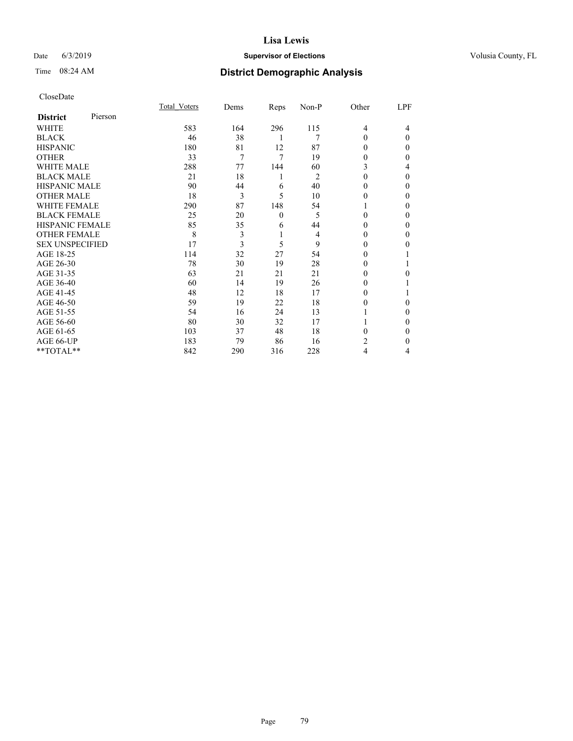# Date 6/3/2019 **Supervisor of Elections Supervisor of Elections** Volusia County, FL

# Time 08:24 AM **District Demographic Analysis**

| CloseDate |
|-----------|
|-----------|

|                        |         | Total Voters | Dems | Reps         | Non-P | Other | LPF          |
|------------------------|---------|--------------|------|--------------|-------|-------|--------------|
| <b>District</b>        | Pierson |              |      |              |       |       |              |
| WHITE                  |         | 583          | 164  | 296          | 115   | 4     | 4            |
| <b>BLACK</b>           |         | 46           | 38   | 1            | 7     | 0     | $\Omega$     |
| <b>HISPANIC</b>        |         | 180          | 81   | 12           | 87    | 0     | 0            |
| <b>OTHER</b>           |         | 33           | 7    | 7            | 19    | 0     | 0            |
| <b>WHITE MALE</b>      |         | 288          | 77   | 144          | 60    | 3     | 4            |
| <b>BLACK MALE</b>      |         | 21           | 18   | 1            | 2     | 0     | $\mathbf{0}$ |
| <b>HISPANIC MALE</b>   |         | 90           | 44   | 6            | 40    | 0     | 0            |
| <b>OTHER MALE</b>      |         | 18           | 3    | 5            | 10    | 0     | 0            |
| <b>WHITE FEMALE</b>    |         | 290          | 87   | 148          | 54    |       | 0            |
| <b>BLACK FEMALE</b>    |         | 25           | 20   | $\mathbf{0}$ | 5     | 0     | 0            |
| <b>HISPANIC FEMALE</b> |         | 85           | 35   | 6            | 44    | 0     | 0            |
| <b>OTHER FEMALE</b>    |         | 8            | 3    | 1            | 4     | 0     | 0            |
| <b>SEX UNSPECIFIED</b> |         | 17           | 3    | 5            | 9     | 0     | 0            |
| AGE 18-25              |         | 114          | 32   | 27           | 54    | 0     |              |
| AGE 26-30              |         | 78           | 30   | 19           | 28    | 0     |              |
| AGE 31-35              |         | 63           | 21   | 21           | 21    | 0     | 0            |
| AGE 36-40              |         | 60           | 14   | 19           | 26    | 0     |              |
| AGE 41-45              |         | 48           | 12   | 18           | 17    | 0     |              |
| AGE 46-50              |         | 59           | 19   | 22           | 18    | 0     | 0            |
| AGE 51-55              |         | 54           | 16   | 24           | 13    |       | 0            |
| AGE 56-60              |         | 80           | 30   | 32           | 17    |       | 0            |
| AGE 61-65              |         | 103          | 37   | 48           | 18    | 0     | 0            |
| AGE 66-UP              |         | 183          | 79   | 86           | 16    | 2     | 0            |
| **TOTAL**              |         | 842          | 290  | 316          | 228   | 4     | 4            |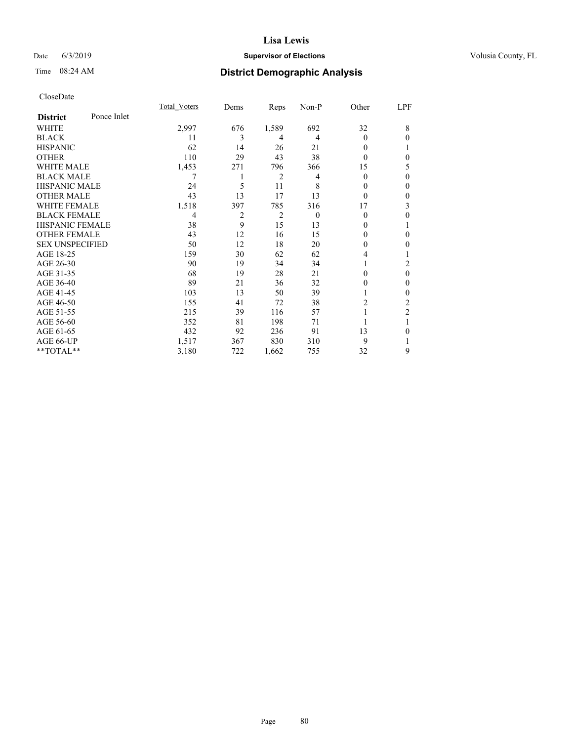# Date 6/3/2019 **Supervisor of Elections Supervisor of Elections** Volusia County, FL

# Time 08:24 AM **District Demographic Analysis**

|                        |             | Total Voters | Dems | Reps           | Non-P    | Other  | LPF            |
|------------------------|-------------|--------------|------|----------------|----------|--------|----------------|
| <b>District</b>        | Ponce Inlet |              |      |                |          |        |                |
| WHITE                  |             | 2,997        | 676  | 1,589          | 692      | 32     | 8              |
| <b>BLACK</b>           |             | 11           | 3    | 4              | 4        | 0      | $\theta$       |
| <b>HISPANIC</b>        |             | 62           | 14   | 26             | 21       | 0      | T              |
| <b>OTHER</b>           |             | 110          | 29   | 43             | 38       | 0      | $\theta$       |
| <b>WHITE MALE</b>      |             | 1,453        | 271  | 796            | 366      | 15     | 5              |
| <b>BLACK MALE</b>      |             | 7            | 1    | 2              | 4        | 0      | $\theta$       |
| <b>HISPANIC MALE</b>   |             | 24           | 5    | 11             | 8        | $_{0}$ | $\theta$       |
| <b>OTHER MALE</b>      |             | 43           | 13   | 17             | 13       | 0      | $\mathbf{0}$   |
| <b>WHITE FEMALE</b>    |             | 1,518        | 397  | 785            | 316      | 17     | 3              |
| <b>BLACK FEMALE</b>    |             | 4            | 2    | $\overline{2}$ | $\theta$ | 0      | $\theta$       |
| <b>HISPANIC FEMALE</b> |             | 38           | 9    | 15             | 13       | 0      | 1              |
| <b>OTHER FEMALE</b>    |             | 43           | 12   | 16             | 15       | 0      | $\theta$       |
| <b>SEX UNSPECIFIED</b> |             | 50           | 12   | 18             | 20       | 0      | $\mathbf{0}$   |
| AGE 18-25              |             | 159          | 30   | 62             | 62       | 4      |                |
| AGE 26-30              |             | 90           | 19   | 34             | 34       |        | 2              |
| AGE 31-35              |             | 68           | 19   | 28             | 21       | 0      | $\theta$       |
| AGE 36-40              |             | 89           | 21   | 36             | 32       | 0      | $\mathbf{0}$   |
| AGE 41-45              |             | 103          | 13   | 50             | 39       |        | $\theta$       |
| AGE 46-50              |             | 155          | 41   | 72             | 38       | 2      | 2              |
| AGE 51-55              |             | 215          | 39   | 116            | 57       |        | $\overline{2}$ |
| AGE 56-60              |             | 352          | 81   | 198            | 71       |        |                |
| AGE 61-65              |             | 432          | 92   | 236            | 91       | 13     | $\theta$       |
| AGE 66-UP              |             | 1,517        | 367  | 830            | 310      | 9      |                |
| **TOTAL**              |             | 3,180        | 722  | 1,662          | 755      | 32     | 9              |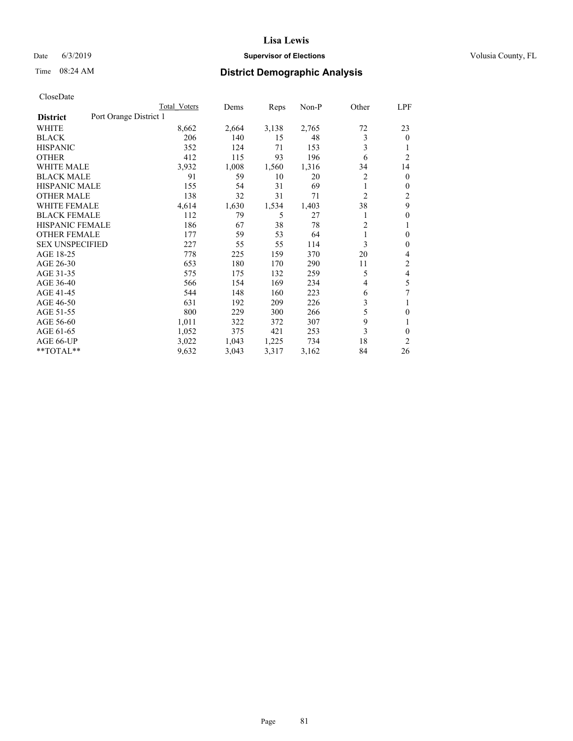# Date 6/3/2019 **Supervisor of Elections Supervisor of Elections** Volusia County, FL

# Time 08:24 AM **District Demographic Analysis**

|                        | Total Voters           | Dems  | Reps  | Non-P | Other          | LPF            |
|------------------------|------------------------|-------|-------|-------|----------------|----------------|
| <b>District</b>        | Port Orange District 1 |       |       |       |                |                |
| WHITE                  | 8,662                  | 2,664 | 3,138 | 2,765 | 72             | 23             |
| <b>BLACK</b>           | 206                    | 140   | 15    | 48    | 3              | $\mathbf{0}$   |
| <b>HISPANIC</b>        | 352                    | 124   | 71    | 153   | 3              |                |
| <b>OTHER</b>           | 412                    | 115   | 93    | 196   | 6              | $\overline{2}$ |
| <b>WHITE MALE</b>      | 3,932                  | 1,008 | 1,560 | 1,316 | 34             | 14             |
| <b>BLACK MALE</b>      | 91                     | 59    | 10    | 20    | 2              | $\mathbf{0}$   |
| <b>HISPANIC MALE</b>   | 155                    | 54    | 31    | 69    | 1              | $\mathbf{0}$   |
| <b>OTHER MALE</b>      | 138                    | 32    | 31    | 71    | $\overline{c}$ | $\overline{2}$ |
| <b>WHITE FEMALE</b>    | 4,614                  | 1,630 | 1,534 | 1,403 | 38             | 9              |
| <b>BLACK FEMALE</b>    | 112                    | 79    | 5     | 27    |                | $\theta$       |
| <b>HISPANIC FEMALE</b> | 186                    | 67    | 38    | 78    | $\overline{2}$ |                |
| <b>OTHER FEMALE</b>    | 177                    | 59    | 53    | 64    | 1              | $\theta$       |
| <b>SEX UNSPECIFIED</b> | 227                    | 55    | 55    | 114   | 3              | $\theta$       |
| AGE 18-25              | 778                    | 225   | 159   | 370   | 20             | 4              |
| AGE 26-30              | 653                    | 180   | 170   | 290   | 11             | 2              |
| AGE 31-35              | 575                    | 175   | 132   | 259   | 5              | 4              |
| AGE 36-40              | 566                    | 154   | 169   | 234   | $\overline{4}$ | 5              |
| AGE 41-45              | 544                    | 148   | 160   | 223   | 6              | 7              |
| AGE 46-50              | 631                    | 192   | 209   | 226   | 3              |                |
| AGE 51-55              | 800                    | 229   | 300   | 266   | 5              | 0              |
| AGE 56-60              | 1,011                  | 322   | 372   | 307   | 9              |                |
| AGE 61-65              | 1,052                  | 375   | 421   | 253   | 3              | $\theta$       |
| AGE 66-UP              | 3,022                  | 1,043 | 1,225 | 734   | 18             | 2              |
| **TOTAL**              | 9,632                  | 3,043 | 3,317 | 3,162 | 84             | 26             |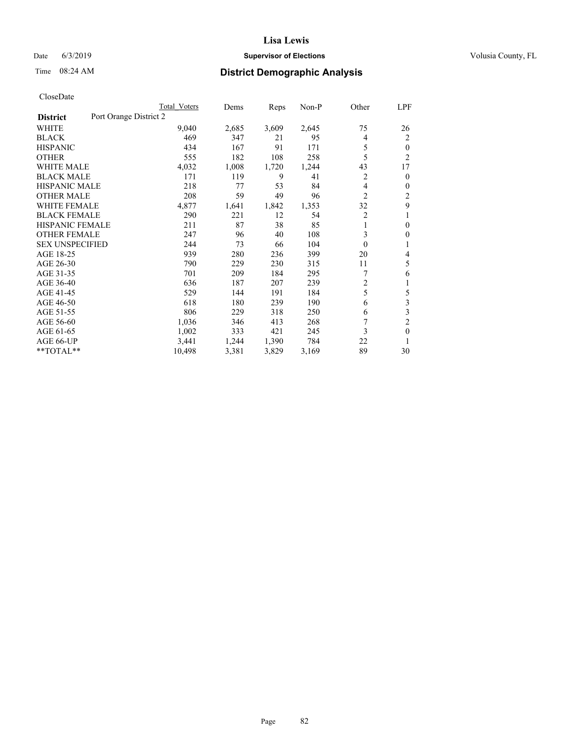# Date 6/3/2019 **Supervisor of Elections Supervisor of Elections** Volusia County, FL

# Time 08:24 AM **District Demographic Analysis**

|                                           | Total Voters | Dems  | Reps  | $Non-P$ | Other          | LPF            |
|-------------------------------------------|--------------|-------|-------|---------|----------------|----------------|
| Port Orange District 2<br><b>District</b> |              |       |       |         |                |                |
| WHITE                                     | 9,040        | 2,685 | 3,609 | 2,645   | 75             | 26             |
| <b>BLACK</b>                              | 469          | 347   | 21    | 95      | 4              | 2              |
| <b>HISPANIC</b>                           | 434          | 167   | 91    | 171     | 5              | $\theta$       |
| <b>OTHER</b>                              | 555          | 182   | 108   | 258     | 5              | $\overline{c}$ |
| <b>WHITE MALE</b>                         | 4,032        | 1,008 | 1,720 | 1,244   | 43             | 17             |
| <b>BLACK MALE</b>                         | 171          | 119   | 9     | 41      | 2              | 0              |
| <b>HISPANIC MALE</b>                      | 218          | 77    | 53    | 84      | 4              | 0              |
| <b>OTHER MALE</b>                         | 208          | 59    | 49    | 96      | $\overline{2}$ | 2              |
| WHITE FEMALE                              | 4,877        | 1,641 | 1,842 | 1,353   | 32             | 9              |
| <b>BLACK FEMALE</b>                       | 290          | 221   | 12    | 54      | $\overline{2}$ |                |
| <b>HISPANIC FEMALE</b>                    | 211          | 87    | 38    | 85      | 1              | 0              |
| <b>OTHER FEMALE</b>                       | 247          | 96    | 40    | 108     | 3              | 0              |
| <b>SEX UNSPECIFIED</b>                    | 244          | 73    | 66    | 104     | $\theta$       |                |
| AGE 18-25                                 | 939          | 280   | 236   | 399     | 20             | 4              |
| AGE 26-30                                 | 790          | 229   | 230   | 315     | 11             | 5              |
| AGE 31-35                                 | 701          | 209   | 184   | 295     | 7              | 6              |
| AGE 36-40                                 | 636          | 187   | 207   | 239     | $\overline{2}$ |                |
| AGE 41-45                                 | 529          | 144   | 191   | 184     | 5              | 5              |
| AGE 46-50                                 | 618          | 180   | 239   | 190     | 6              | 3              |
| AGE 51-55                                 | 806          | 229   | 318   | 250     | 6              | 3              |
| AGE 56-60                                 | 1,036        | 346   | 413   | 268     |                | $\overline{2}$ |
| AGE 61-65                                 | 1,002        | 333   | 421   | 245     | 3              | $\theta$       |
| AGE 66-UP                                 | 3,441        | 1,244 | 1,390 | 784     | 22             | 1              |
| **TOTAL**                                 | 10,498       | 3,381 | 3,829 | 3,169   | 89             | 30             |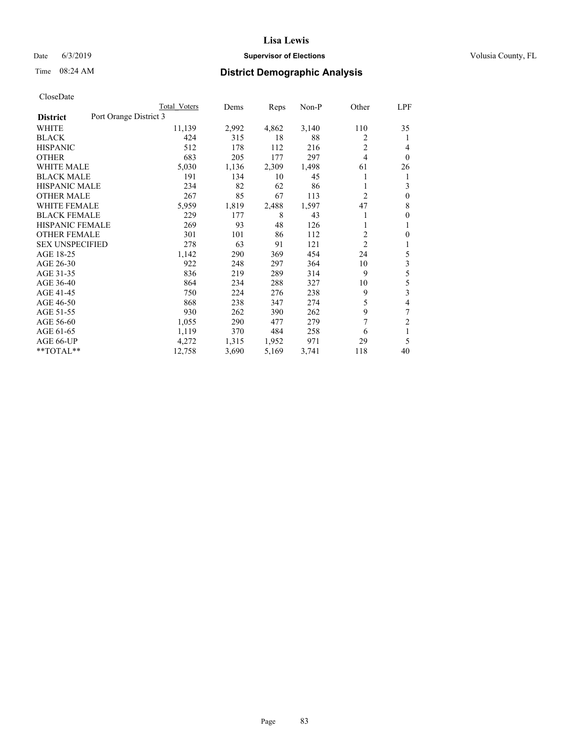### Date 6/3/2019 **Supervisor of Elections Supervisor of Elections** Volusia County, FL

# Time 08:24 AM **District Demographic Analysis**

|                        |                        | Total Voters | Dems  | Reps  | Non-P | Other          | LPF            |
|------------------------|------------------------|--------------|-------|-------|-------|----------------|----------------|
| <b>District</b>        | Port Orange District 3 |              |       |       |       |                |                |
| WHITE                  |                        | 11,139       | 2,992 | 4,862 | 3,140 | 110            | 35             |
| <b>BLACK</b>           |                        | 424          | 315   | 18    | 88    | 2              | 1              |
| <b>HISPANIC</b>        |                        | 512          | 178   | 112   | 216   | 2              | 4              |
| <b>OTHER</b>           |                        | 683          | 205   | 177   | 297   | 4              | $\theta$       |
| <b>WHITE MALE</b>      |                        | 5,030        | 1,136 | 2,309 | 1,498 | 61             | 26             |
| <b>BLACK MALE</b>      |                        | 191          | 134   | 10    | 45    |                | 1              |
| <b>HISPANIC MALE</b>   |                        | 234          | 82    | 62    | 86    | 1              | 3              |
| <b>OTHER MALE</b>      |                        | 267          | 85    | 67    | 113   | 2              | $\mathbf{0}$   |
| WHITE FEMALE           |                        | 5,959        | 1,819 | 2,488 | 1,597 | 47             | 8              |
| <b>BLACK FEMALE</b>    |                        | 229          | 177   | 8     | 43    |                | $\mathbf{0}$   |
| <b>HISPANIC FEMALE</b> |                        | 269          | 93    | 48    | 126   |                | 1              |
| <b>OTHER FEMALE</b>    |                        | 301          | 101   | 86    | 112   | $\overline{c}$ | $\theta$       |
| <b>SEX UNSPECIFIED</b> |                        | 278          | 63    | 91    | 121   | $\overline{2}$ | 1              |
| AGE 18-25              |                        | 1,142        | 290   | 369   | 454   | 24             | 5              |
| AGE 26-30              |                        | 922          | 248   | 297   | 364   | 10             | 3              |
| AGE 31-35              |                        | 836          | 219   | 289   | 314   | 9              | 5              |
| AGE 36-40              |                        | 864          | 234   | 288   | 327   | 10             | 5              |
| AGE 41-45              |                        | 750          | 224   | 276   | 238   | 9              | 3              |
| AGE 46-50              |                        | 868          | 238   | 347   | 274   | 5              | 4              |
| AGE 51-55              |                        | 930          | 262   | 390   | 262   | 9              | 7              |
| AGE 56-60              |                        | 1,055        | 290   | 477   | 279   | 7              | $\overline{2}$ |
| AGE 61-65              |                        | 1,119        | 370   | 484   | 258   | 6              | 1              |
| AGE 66-UP              |                        | 4,272        | 1,315 | 1,952 | 971   | 29             | 5              |
| $*$ TOTAL $*$          |                        | 12,758       | 3,690 | 5,169 | 3,741 | 118            | 40             |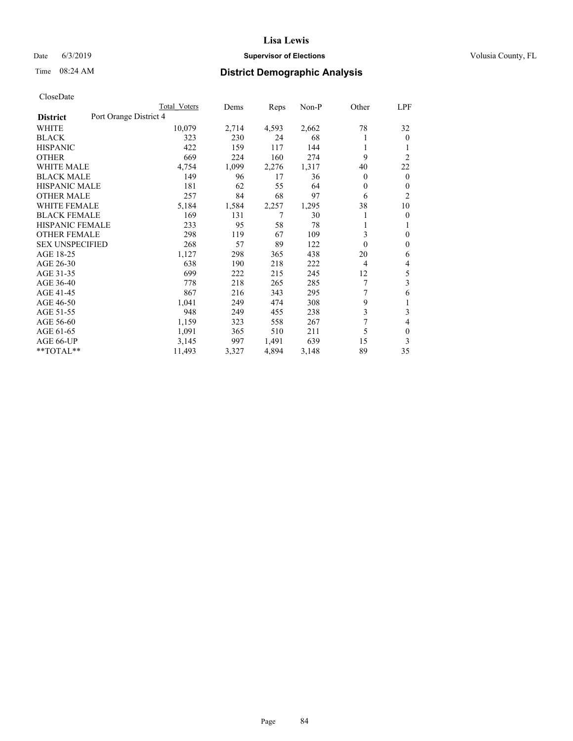# Date 6/3/2019 **Supervisor of Elections Supervisor of Elections** Volusia County, FL

# Time 08:24 AM **District Demographic Analysis**

|                                           | Total Voters | Dems  | Reps  | Non-P | Other    | LPF            |
|-------------------------------------------|--------------|-------|-------|-------|----------|----------------|
| Port Orange District 4<br><b>District</b> |              |       |       |       |          |                |
| WHITE                                     | 10,079       | 2,714 | 4,593 | 2,662 | 78       | 32             |
| <b>BLACK</b>                              | 323          | 230   | 24    | 68    |          | $\theta$       |
| <b>HISPANIC</b>                           | 422          | 159   | 117   | 144   | 1        | 1              |
| <b>OTHER</b>                              | 669          | 224   | 160   | 274   | 9        | $\overline{2}$ |
| <b>WHITE MALE</b>                         | 4,754        | 1,099 | 2,276 | 1,317 | 40       | 22             |
| <b>BLACK MALE</b>                         | 149          | 96    | 17    | 36    | 0        | $\theta$       |
| <b>HISPANIC MALE</b>                      | 181          | 62    | 55    | 64    | 0        | $\mathbf{0}$   |
| <b>OTHER MALE</b>                         | 257          | 84    | 68    | 97    | 6        | $\overline{2}$ |
| WHITE FEMALE                              | 5,184        | 1,584 | 2,257 | 1,295 | 38       | 10             |
| <b>BLACK FEMALE</b>                       | 169          | 131   | 7     | 30    |          | $\mathbf{0}$   |
| <b>HISPANIC FEMALE</b>                    | 233          | 95    | 58    | 78    |          | 1              |
| <b>OTHER FEMALE</b>                       | 298          | 119   | 67    | 109   | 3        | $\theta$       |
| <b>SEX UNSPECIFIED</b>                    | 268          | 57    | 89    | 122   | $\theta$ | $\mathbf{0}$   |
| AGE 18-25                                 | 1,127        | 298   | 365   | 438   | 20       | 6              |
| AGE 26-30                                 | 638          | 190   | 218   | 222   | 4        | 4              |
| AGE 31-35                                 | 699          | 222   | 215   | 245   | 12       | 5              |
| AGE 36-40                                 | 778          | 218   | 265   | 285   | 7        | 3              |
| AGE 41-45                                 | 867          | 216   | 343   | 295   |          | 6              |
| AGE 46-50                                 | 1,041        | 249   | 474   | 308   | 9        | 1              |
| AGE 51-55                                 | 948          | 249   | 455   | 238   | 3        | 3              |
| AGE 56-60                                 | 1,159        | 323   | 558   | 267   | 7        | 4              |
| AGE 61-65                                 | 1,091        | 365   | 510   | 211   | 5        | $\mathbf{0}$   |
| AGE 66-UP                                 | 3,145        | 997   | 1,491 | 639   | 15       | 3              |
| **TOTAL**                                 | 11,493       | 3,327 | 4,894 | 3,148 | 89       | 35             |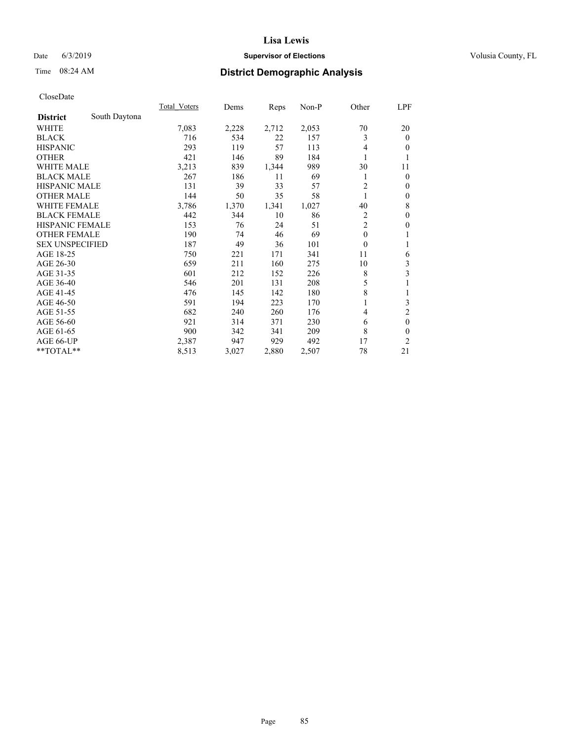# Date 6/3/2019 **Supervisor of Elections Supervisor of Elections** Volusia County, FL

# Time 08:24 AM **District Demographic Analysis**

|                        |               | Total Voters | Dems  | Reps  | Non-P | Other          | LPF            |
|------------------------|---------------|--------------|-------|-------|-------|----------------|----------------|
| <b>District</b>        | South Daytona |              |       |       |       |                |                |
| WHITE                  |               | 7,083        | 2,228 | 2,712 | 2,053 | 70             | 20             |
| <b>BLACK</b>           |               | 716          | 534   | 22    | 157   | 3              | $\mathbf{0}$   |
| <b>HISPANIC</b>        |               | 293          | 119   | 57    | 113   | 4              | $\theta$       |
| <b>OTHER</b>           |               | 421          | 146   | 89    | 184   |                | 1              |
| <b>WHITE MALE</b>      |               | 3,213        | 839   | 1,344 | 989   | 30             | 11             |
| <b>BLACK MALE</b>      |               | 267          | 186   | 11    | 69    |                | $\mathbf{0}$   |
| <b>HISPANIC MALE</b>   |               | 131          | 39    | 33    | 57    | $\overline{2}$ | $\theta$       |
| <b>OTHER MALE</b>      |               | 144          | 50    | 35    | 58    | 1              | $\mathbf{0}$   |
| <b>WHITE FEMALE</b>    |               | 3,786        | 1,370 | 1,341 | 1,027 | 40             | 8              |
| <b>BLACK FEMALE</b>    |               | 442          | 344   | 10    | 86    | 2              | $\mathbf{0}$   |
| <b>HISPANIC FEMALE</b> |               | 153          | 76    | 24    | 51    | $\overline{2}$ | $\mathbf{0}$   |
| <b>OTHER FEMALE</b>    |               | 190          | 74    | 46    | 69    | $\mathbf{0}$   | 1              |
| <b>SEX UNSPECIFIED</b> |               | 187          | 49    | 36    | 101   | $\theta$       | 1              |
| AGE 18-25              |               | 750          | 221   | 171   | 341   | 11             | 6              |
| AGE 26-30              |               | 659          | 211   | 160   | 275   | 10             | 3              |
| AGE 31-35              |               | 601          | 212   | 152   | 226   | 8              | 3              |
| AGE 36-40              |               | 546          | 201   | 131   | 208   | 5              | 1              |
| AGE 41-45              |               | 476          | 145   | 142   | 180   | 8              | 1              |
| AGE 46-50              |               | 591          | 194   | 223   | 170   |                | 3              |
| AGE 51-55              |               | 682          | 240   | 260   | 176   | 4              | $\overline{c}$ |
| AGE 56-60              |               | 921          | 314   | 371   | 230   | 6              | $\mathbf{0}$   |
| AGE 61-65              |               | 900          | 342   | 341   | 209   | 8              | $\theta$       |
| AGE 66-UP              |               | 2,387        | 947   | 929   | 492   | 17             | 2              |
| **TOTAL**              |               | 8,513        | 3,027 | 2,880 | 2,507 | 78             | 21             |